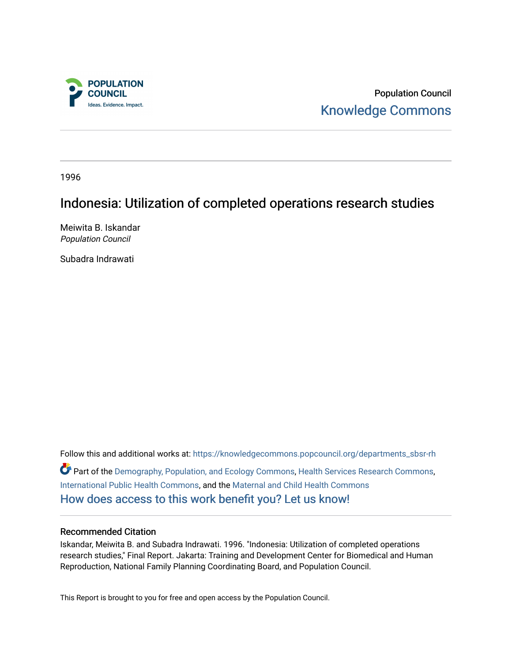

Population Council [Knowledge Commons](https://knowledgecommons.popcouncil.org/) 

1996

# Indonesia: Utilization of completed operations research studies

Meiwita B. Iskandar Population Council

Subadra Indrawati

Follow this and additional works at: [https://knowledgecommons.popcouncil.org/departments\\_sbsr-rh](https://knowledgecommons.popcouncil.org/departments_sbsr-rh?utm_source=knowledgecommons.popcouncil.org%2Fdepartments_sbsr-rh%2F2025&utm_medium=PDF&utm_campaign=PDFCoverPages)  Part of the [Demography, Population, and Ecology Commons,](https://network.bepress.com/hgg/discipline/418?utm_source=knowledgecommons.popcouncil.org%2Fdepartments_sbsr-rh%2F2025&utm_medium=PDF&utm_campaign=PDFCoverPages) [Health Services Research Commons,](https://network.bepress.com/hgg/discipline/816?utm_source=knowledgecommons.popcouncil.org%2Fdepartments_sbsr-rh%2F2025&utm_medium=PDF&utm_campaign=PDFCoverPages) [International Public Health Commons](https://network.bepress.com/hgg/discipline/746?utm_source=knowledgecommons.popcouncil.org%2Fdepartments_sbsr-rh%2F2025&utm_medium=PDF&utm_campaign=PDFCoverPages), and the [Maternal and Child Health Commons](https://network.bepress.com/hgg/discipline/745?utm_source=knowledgecommons.popcouncil.org%2Fdepartments_sbsr-rh%2F2025&utm_medium=PDF&utm_campaign=PDFCoverPages)  [How does access to this work benefit you? Let us know!](https://pcouncil.wufoo.com/forms/open-access-to-population-council-research/)

### Recommended Citation

Iskandar, Meiwita B. and Subadra Indrawati. 1996. "Indonesia: Utilization of completed operations research studies," Final Report. Jakarta: Training and Development Center for Biomedical and Human Reproduction, National Family Planning Coordinating Board, and Population Council.

This Report is brought to you for free and open access by the Population Council.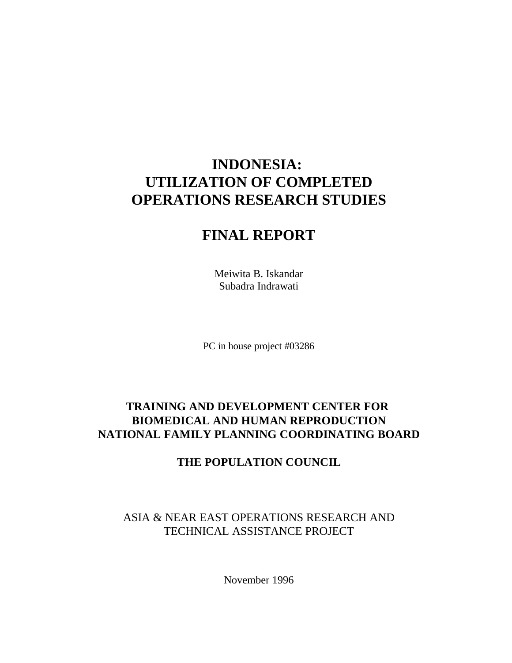# **INDONESIA: UTILIZATION OF COMPLETED OPERATIONS RESEARCH STUDIES**

# **FINAL REPORT**

Meiwita B. Iskandar Subadra Indrawati

PC in house project #03286

# **TRAINING AND DEVELOPMENT CENTER FOR BIOMEDICAL AND HUMAN REPRODUCTION NATIONAL FAMILY PLANNING COORDINATING BOARD**

# **THE POPULATION COUNCIL**

ASIA & NEAR EAST OPERATIONS RESEARCH AND TECHNICAL ASSISTANCE PROJECT

November 1996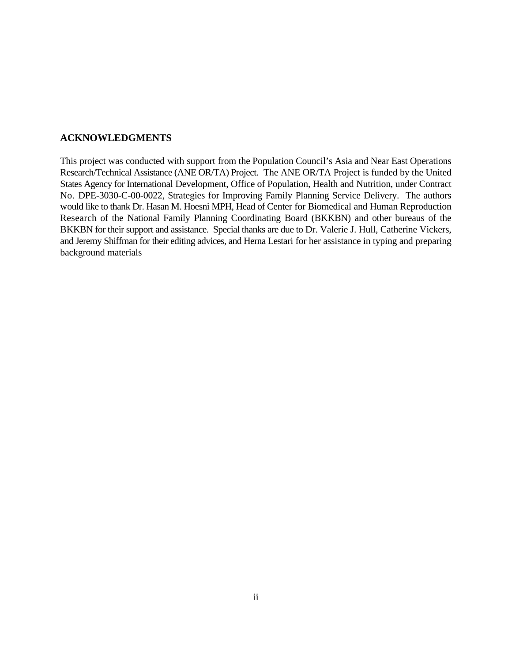## **ACKNOWLEDGMENTS**

This project was conducted with support from the Population Council's Asia and Near East Operations Research/Technical Assistance (ANE OR/TA) Project. The ANE OR/TA Project is funded by the United States Agency for International Development, Office of Population, Health and Nutrition, under Contract No. DPE-3030-C-00-0022, Strategies for Improving Family Planning Service Delivery. The authors would like to thank Dr. Hasan M. Hoesni MPH, Head of Center for Biomedical and Human Reproduction Research of the National Family Planning Coordinating Board (BKKBN) and other bureaus of the BKKBN for their support and assistance. Special thanks are due to Dr. Valerie J. Hull, Catherine Vickers, and Jeremy Shiffman for their editing advices, and Herna Lestari for her assistance in typing and preparing background materials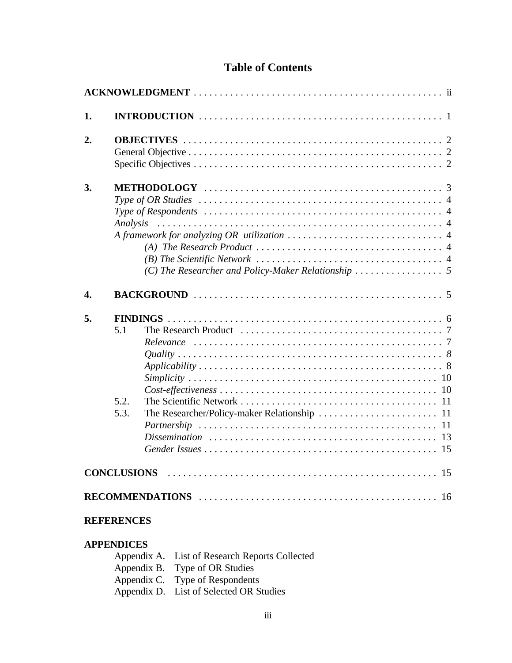# **Table of Contents**

| 1. |                     |  |  |
|----|---------------------|--|--|
| 2. |                     |  |  |
| 3. | Analysis            |  |  |
| 4. |                     |  |  |
| 5. | 5.1<br>5.2.<br>5.3. |  |  |
|    |                     |  |  |
|    | <b>REFERENCES</b>   |  |  |

# **APPENDICES**

| Appendix A. List of Research Reports Collected |
|------------------------------------------------|
| Appendix B. Type of OR Studies                 |
| Appendix C. Type of Respondents                |
| Appendix D. List of Selected OR Studies        |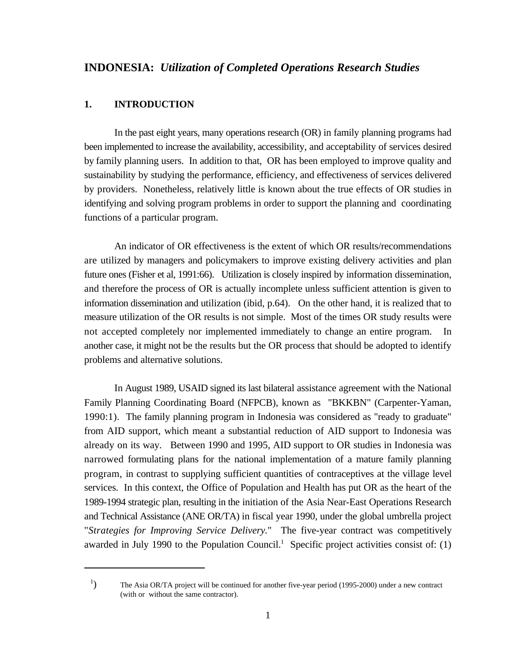### **1. INTRODUCTION**

In the past eight years, many operations research (OR) in family planning programs had been implemented to increase the availability, accessibility, and acceptability of services desired by family planning users. In addition to that, OR has been employed to improve quality and sustainability by studying the performance, efficiency, and effectiveness of services delivered by providers. Nonetheless, relatively little is known about the true effects of OR studies in identifying and solving program problems in order to support the planning and coordinating functions of a particular program.

An indicator of OR effectiveness is the extent of which OR results/recommendations are utilized by managers and policymakers to improve existing delivery activities and plan future ones (Fisher et al, 1991:66). Utilization is closely inspired by information dissemination, and therefore the process of OR is actually incomplete unless sufficient attention is given to information dissemination and utilization (ibid, p.64). On the other hand, it is realized that to measure utilization of the OR results is not simple. Most of the times OR study results were not accepted completely nor implemented immediately to change an entire program. another case, it might not be the results but the OR process that should be adopted to identify problems and alternative solutions.

In August 1989, USAID signed its last bilateral assistance agreement with the National Family Planning Coordinating Board (NFPCB), known as "BKKBN" (Carpenter-Yaman, 1990:1). The family planning program in Indonesia was considered as "ready to graduate" from AID support, which meant a substantial reduction of AID support to Indonesia was already on its way. Between 1990 and 1995, AID support to OR studies in Indonesia was narrowed formulating plans for the national implementation of a mature family planning program, in contrast to supplying sufficient quantities of contraceptives at the village level services. In this context, the Office of Population and Health has put OR as the heart of the 1989-1994 strategic plan, resulting in the initiation of the Asia Near-East Operations Research and Technical Assistance (ANE OR/TA) in fiscal year 1990, under the global umbrella project "*Strategies for Improving Service Delivery.*" The five-year contract was competitively awarded in July 1990 to the Population Council.<sup>1</sup> Specific project activities consist of:  $(1)$ 

<sup>&</sup>lt;sup>1</sup>) The Asia OR/TA project will be continued for another five-year period (1995-2000) under a new contract (with or without the same contractor).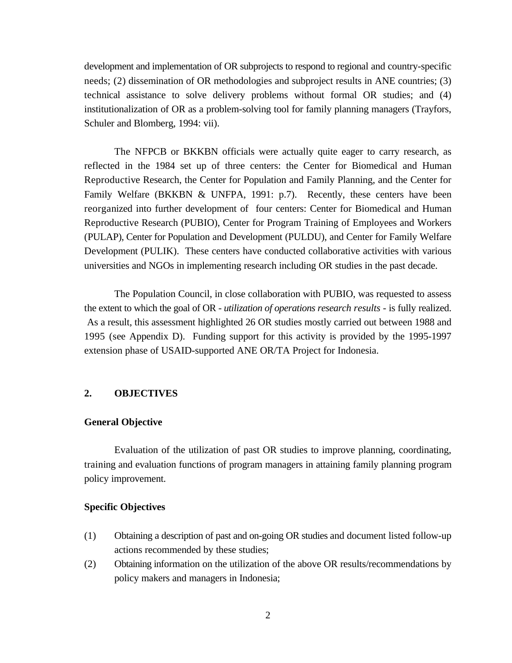development and implementation of OR subprojects to respond to regional and country-specific needs; (2) dissemination of OR methodologies and subproject results in ANE countries; (3) technical assistance to solve delivery problems without formal OR studies; and (4) institutionalization of OR as a problem-solving tool for family planning managers (Trayfors, Schuler and Blomberg, 1994: vii).

The NFPCB or BKKBN officials were actually quite eager to carry research, as reflected in the 1984 set up of three centers: the Center for Biomedical and Human Reproductive Research, the Center for Population and Family Planning, and the Center for Family Welfare (BKKBN & UNFPA, 1991: p.7). Recently, these centers have been reorganized into further development of four centers: Center for Biomedical and Human Reproductive Research (PUBIO), Center for Program Training of Employees and Workers (PULAP), Center for Population and Development (PULDU), and Center for Family Welfare Development (PULIK). These centers have conducted collaborative activities with various universities and NGOs in implementing research including OR studies in the past decade.

The Population Council, in close collaboration with PUBIO, was requested to assess the extent to which the goal of OR - *utilization of operations research results* - is fully realized. As a result, this assessment highlighted 26 OR studies mostly carried out between 1988 and 1995 (see Appendix D). Funding support for this activity is provided by the 1995-1997 extension phase of USAID-supported ANE OR/TA Project for Indonesia.

## **2. OBJECTIVES**

### **General Objective**

Evaluation of the utilization of past OR studies to improve planning, coordinating, training and evaluation functions of program managers in attaining family planning program policy improvement.

### **Specific Objectives**

- (1) Obtaining a description of past and on-going OR studies and document listed follow-up actions recommended by these studies;
- (2) Obtaining information on the utilization of the above OR results/recommendations by policy makers and managers in Indonesia;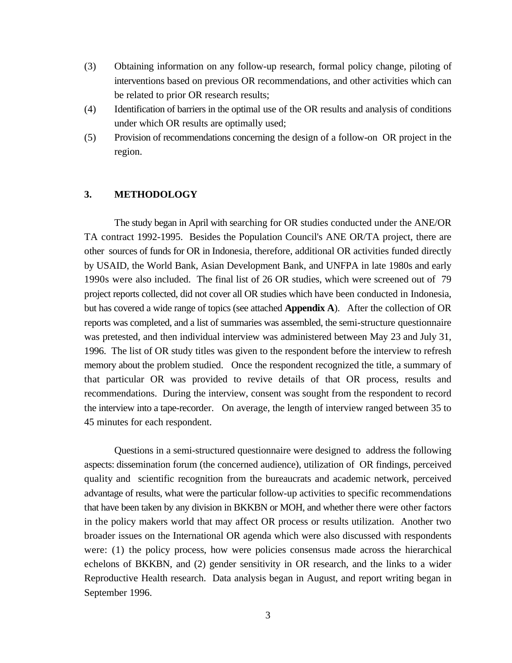- (3) Obtaining information on any follow-up research, formal policy change, piloting of interventions based on previous OR recommendations, and other activities which can be related to prior OR research results;
- (4) Identification of barriers in the optimal use of the OR results and analysis of conditions under which OR results are optimally used;
- (5) Provision of recommendations concerning the design of a follow-on OR project in the region.

## **3. METHODOLOGY**

The study began in April with searching for OR studies conducted under the ANE/OR TA contract 1992-1995. Besides the Population Council's ANE OR/TA project, there are other sources of funds for OR in Indonesia, therefore, additional OR activities funded directly by USAID, the World Bank, Asian Development Bank, and UNFPA in late 1980s and early 1990s were also included. The final list of 26 OR studies, which were screened out of 79 project reports collected, did not cover all OR studies which have been conducted in Indonesia, but has covered a wide range of topics (see attached **Appendix A**). After the collection of OR reports was completed, and a list of summaries was assembled, the semi-structure questionnaire was pretested, and then individual interview was administered between May 23 and July 31, 1996. The list of OR study titles was given to the respondent before the interview to refresh memory about the problem studied. Once the respondent recognized the title, a summary of that particular OR was provided to revive details of that OR process, results and recommendations. During the interview, consent was sought from the respondent to record the interview into a tape-recorder. On average, the length of interview ranged between 35 to 45 minutes for each respondent.

Questions in a semi-structured questionnaire were designed to address the following aspects: dissemination forum (the concerned audience), utilization of OR findings, perceived quality and scientific recognition from the bureaucrats and academic network, perceived advantage of results, what were the particular follow-up activities to specific recommendations that have been taken by any division in BKKBN or MOH, and whether there were other factors in the policy makers world that may affect OR process or results utilization. Another two broader issues on the International OR agenda which were also discussed with respondents were: (1) the policy process, how were policies consensus made across the hierarchical echelons of BKKBN, and (2) gender sensitivity in OR research, and the links to a wider Reproductive Health research. Data analysis began in August, and report writing began in September 1996.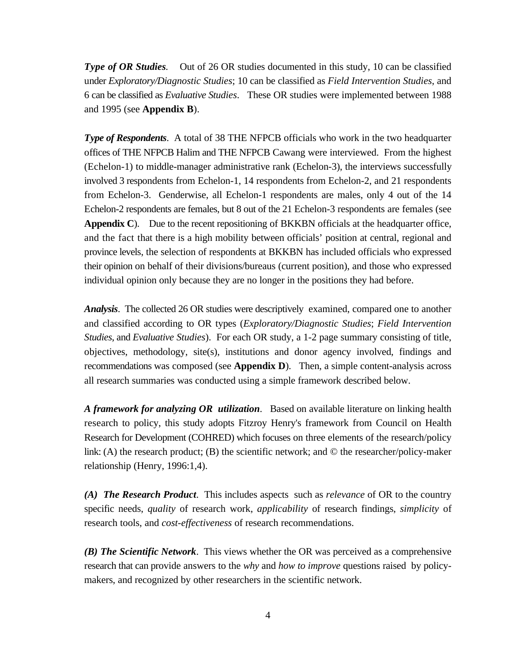*Type of OR Studies.* Out of 26 OR studies documented in this study, 10 can be classified under *Exploratory/Diagnostic Studies*; 10 can be classified as *Field Intervention Studies*, and 6 can be classified as *Evaluative Studies*. These OR studies were implemented between 1988 and 1995 (see **Appendix B**).

*Type of Respondents*. A total of 38 THE NFPCB officials who work in the two headquarter offices of THE NFPCB Halim and THE NFPCB Cawang were interviewed. From the highest (Echelon-1) to middle-manager administrative rank (Echelon-3), the interviews successfully involved 3 respondents from Echelon-1, 14 respondents from Echelon-2, and 21 respondents from Echelon-3. Genderwise, all Echelon-1 respondents are males, only 4 out of the 14 Echelon-2 respondents are females, but 8 out of the 21 Echelon-3 respondents are females (see **Appendix C**). Due to the recent repositioning of BKKBN officials at the headquarter office, and the fact that there is a high mobility between officials' position at central, regional and province levels, the selection of respondents at BKKBN has included officials who expressed their opinion on behalf of their divisions/bureaus (current position), and those who expressed individual opinion only because they are no longer in the positions they had before.

*Analysis*. The collected 26 OR studies were descriptively examined, compared one to another and classified according to OR types (*Exploratory/Diagnostic Studies*; *Field Intervention Studies*, and *Evaluative Studies*). For each OR study, a 1-2 page summary consisting of title, objectives, methodology, site(s), institutions and donor agency involved, findings and recommendations was composed (see **Appendix D**). Then, a simple content-analysis across all research summaries was conducted using a simple framework described below.

*A framework for analyzing OR utilization*. Based on available literature on linking health research to policy, this study adopts Fitzroy Henry's framework from Council on Health Research for Development (COHRED) which focuses on three elements of the research/policy link: (A) the research product; (B) the scientific network; and  $\odot$  the researcher/policy-maker relationship (Henry, 1996:1,4).

*(A) The Research Product*. This includes aspects such as *relevance* of OR to the country specific needs, *quality* of research work, *applicability* of research findings, *simplicity* of research tools, and *cost-effectiveness* of research recommendations.

*(B) The Scientific Network*. This views whether the OR was perceived as a comprehensive research that can provide answers to the *why* and *how to improve* questions raised by policymakers, and recognized by other researchers in the scientific network.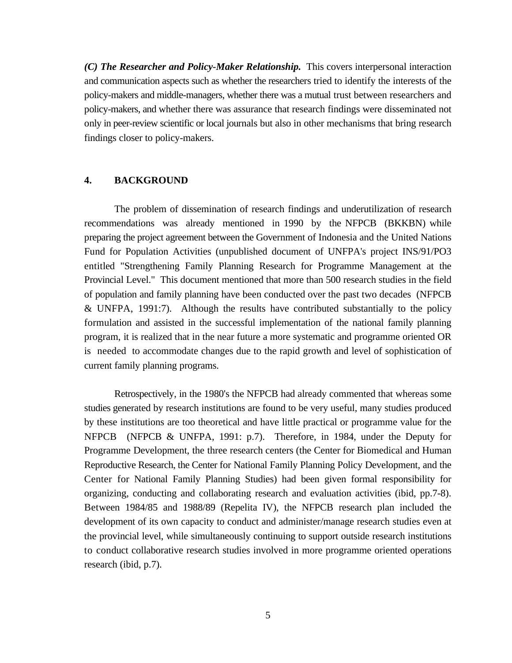*(C) The Researcher and Policy-Maker Relationship.* This covers interpersonal interaction and communication aspects such as whether the researchers tried to identify the interests of the policy-makers and middle-managers, whether there was a mutual trust between researchers and policy-makers, and whether there was assurance that research findings were disseminated not only in peer-review scientific or local journals but also in other mechanisms that bring research findings closer to policy-makers.

## **4. BACKGROUND**

The problem of dissemination of research findings and underutilization of research recommendations was already mentioned in 1990 by the NFPCB (BKKBN) while preparing the project agreement between the Government of Indonesia and the United Nations Fund for Population Activities (unpublished document of UNFPA's project INS/91/PO3 entitled "Strengthening Family Planning Research for Programme Management at the Provincial Level." This document mentioned that more than 500 research studies in the field of population and family planning have been conducted over the past two decades (NFPCB & UNFPA, 1991:7). Although the results have contributed substantially to the policy formulation and assisted in the successful implementation of the national family planning program, it is realized that in the near future a more systematic and programme oriented OR is needed to accommodate changes due to the rapid growth and level of sophistication of current family planning programs.

Retrospectively, in the 1980's the NFPCB had already commented that whereas some studies generated by research institutions are found to be very useful, many studies produced by these institutions are too theoretical and have little practical or programme value for the NFPCB (NFPCB & UNFPA, 1991: p.7). Therefore, in 1984, under the Deputy for Programme Development, the three research centers (the Center for Biomedical and Human Reproductive Research, the Center for National Family Planning Policy Development, and the Center for National Family Planning Studies) had been given formal responsibility for organizing, conducting and collaborating research and evaluation activities (ibid, pp.7-8). Between 1984/85 and 1988/89 (Repelita IV), the NFPCB research plan included the development of its own capacity to conduct and administer/manage research studies even at the provincial level, while simultaneously continuing to support outside research institutions to conduct collaborative research studies involved in more programme oriented operations research (ibid, p.7).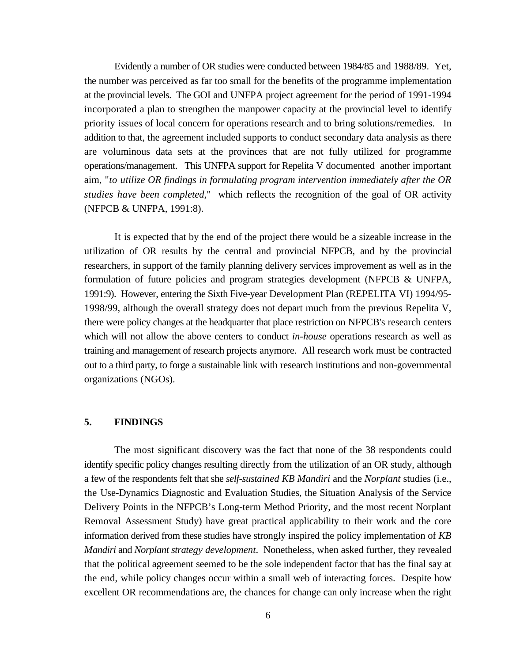Evidently a number of OR studies were conducted between 1984/85 and 1988/89. Yet, the number was perceived as far too small for the benefits of the programme implementation at the provincial levels. The GOI and UNFPA project agreement for the period of 1991-1994 incorporated a plan to strengthen the manpower capacity at the provincial level to identify priority issues of local concern for operations research and to bring solutions/remedies. In addition to that, the agreement included supports to conduct secondary data analysis as there are voluminous data sets at the provinces that are not fully utilized for programme operations/management. This UNFPA support for Repelita V documented another important aim, "*to utilize OR findings in formulating program intervention immediately after the OR studies have been completed*," which reflects the recognition of the goal of OR activity (NFPCB & UNFPA, 1991:8).

It is expected that by the end of the project there would be a sizeable increase in the utilization of OR results by the central and provincial NFPCB, and by the provincial researchers, in support of the family planning delivery services improvement as well as in the formulation of future policies and program strategies development (NFPCB & UNFPA, 1991:9). However, entering the Sixth Five-year Development Plan (REPELITA VI) 1994/95- 1998/99, although the overall strategy does not depart much from the previous Repelita V, there were policy changes at the headquarter that place restriction on NFPCB's research centers which will not allow the above centers to conduct *in-house* operations research as well as training and management of research projects anymore. All research work must be contracted out to a third party, to forge a sustainable link with research institutions and non-governmental organizations (NGOs).

### **5. FINDINGS**

The most significant discovery was the fact that none of the 38 respondents could identify specific policy changes resulting directly from the utilization of an OR study, although a few of the respondents felt that she *self-sustained KB Mandiri* and the *Norplant* studies (i.e., the Use-Dynamics Diagnostic and Evaluation Studies, the Situation Analysis of the Service Delivery Points in the NFPCB's Long-term Method Priority, and the most recent Norplant Removal Assessment Study) have great practical applicability to their work and the core information derived from these studies have strongly inspired the policy implementation of *KB Mandiri* and *Norplant strategy development*. Nonetheless, when asked further, they revealed that the political agreement seemed to be the sole independent factor that has the final say at the end, while policy changes occur within a small web of interacting forces. Despite how excellent OR recommendations are, the chances for change can only increase when the right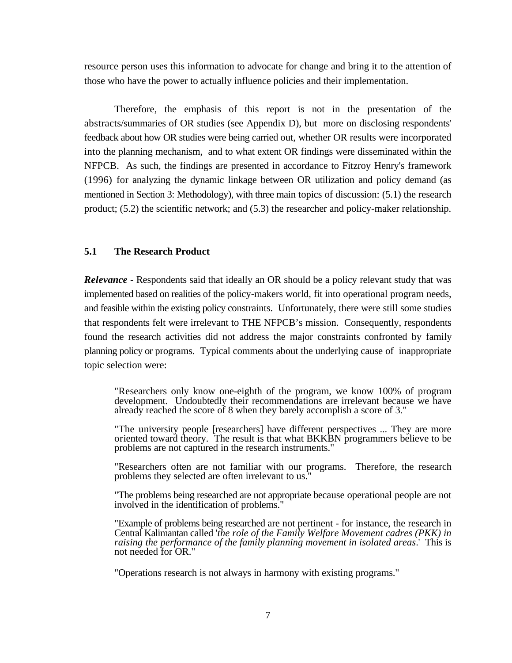resource person uses this information to advocate for change and bring it to the attention of those who have the power to actually influence policies and their implementation.

Therefore, the emphasis of this report is not in the presentation of the abstracts/summaries of OR studies (see Appendix D), but more on disclosing respondents' feedback about how OR studies were being carried out, whether OR results were incorporated into the planning mechanism, and to what extent OR findings were disseminated within the NFPCB. As such, the findings are presented in accordance to Fitzroy Henry's framework (1996) for analyzing the dynamic linkage between OR utilization and policy demand (as mentioned in Section 3: Methodology), with three main topics of discussion: (5.1) the research product; (5.2) the scientific network; and (5.3) the researcher and policy-maker relationship.

#### **5.1 The Research Product**

*Relevance* - Respondents said that ideally an OR should be a policy relevant study that was implemented based on realities of the policy-makers world, fit into operational program needs, and feasible within the existing policy constraints. Unfortunately, there were still some studies that respondents felt were irrelevant to THE NFPCB's mission. Consequently, respondents found the research activities did not address the major constraints confronted by family planning policy or programs. Typical comments about the underlying cause of inappropriate topic selection were:

"Researchers only know one-eighth of the program, we know 100% of program development. Undoubtedly their recommendations are irrelevant because we have already reached the score of 8 when they barely accomplish a score of 3."

"The university people [researchers] have different perspectives ... They are more oriented toward theory. The result is that what BKKBN programmers believe to be problems are not captured in the research instruments."

"Researchers often are not familiar with our programs. Therefore, the research problems they selected are often irrelevant to us."

"The problems being researched are not appropriate because operational people are not involved in the identification of problems."

"Example of problems being researched are not pertinent - for instance, the research in Central Kalimantan called '*the role of the Family Welfare Movement cadres (PKK) in raising the performance of the family planning movement in isolated areas*.' This is not needed for OR."

"Operations research is not always in harmony with existing programs."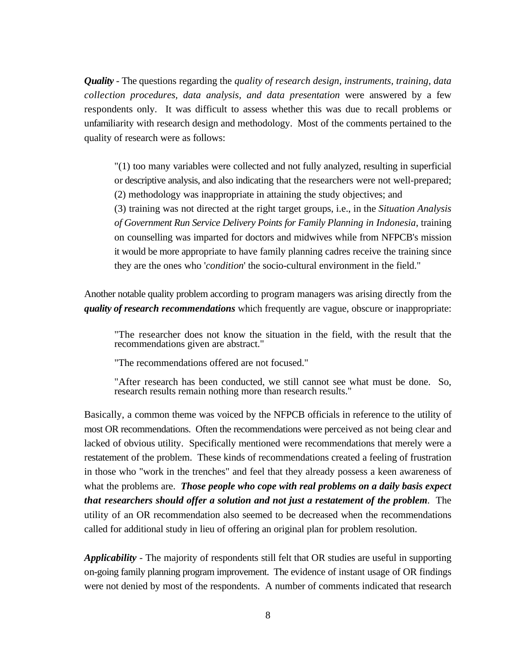*Quality -* The questions regarding the *quality of research design, instruments, training, data collection procedures, data analysis, and data presentation* were answered by a few respondents only. It was difficult to assess whether this was due to recall problems or unfamiliarity with research design and methodology. Most of the comments pertained to the quality of research were as follows:

 "(1) too many variables were collected and not fully analyzed, resulting in superficial or descriptive analysis, and also indicating that the researchers were not well-prepared; (2) methodology was inappropriate in attaining the study objectives; and

(3) training was not directed at the right target groups, i.e., in the *Situation Analysis of Government Run Service Delivery Points for Family Planning in Indonesia*, training on counselling was imparted for doctors and midwives while from NFPCB's mission it would be more appropriate to have family planning cadres receive the training since they are the ones who '*condition*' the socio-cultural environment in the field."

Another notable quality problem according to program managers was arising directly from the *quality of research recommendations* which frequently are vague, obscure or inappropriate:

"The researcher does not know the situation in the field, with the result that the recommendations given are abstract."

"The recommendations offered are not focused."

"After research has been conducted, we still cannot see what must be done. So, research results remain nothing more than research results."

Basically, a common theme was voiced by the NFPCB officials in reference to the utility of most OR recommendations. Often the recommendations were perceived as not being clear and lacked of obvious utility. Specifically mentioned were recommendations that merely were a restatement of the problem. These kinds of recommendations created a feeling of frustration in those who "work in the trenches" and feel that they already possess a keen awareness of what the problems are. *Those people who cope with real problems on a daily basis expect that researchers should offer a solution and not just a restatement of the problem*. The utility of an OR recommendation also seemed to be decreased when the recommendations called for additional study in lieu of offering an original plan for problem resolution.

*Applicability* - The majority of respondents still felt that OR studies are useful in supporting on-going family planning program improvement. The evidence of instant usage of OR findings were not denied by most of the respondents. A number of comments indicated that research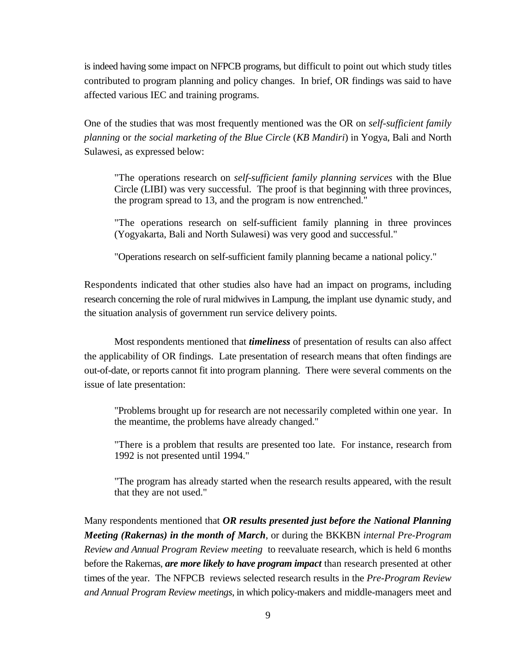is indeed having some impact on NFPCB programs, but difficult to point out which study titles contributed to program planning and policy changes. In brief, OR findings was said to have affected various IEC and training programs.

One of the studies that was most frequently mentioned was the OR on *self-sufficient family planning* or *the social marketing of the Blue Circle* (*KB Mandiri*) in Yogya, Bali and North Sulawesi, as expressed below:

"The operations research on *self-sufficient family planning services* with the Blue Circle (LIBI) was very successful. The proof is that beginning with three provinces, the program spread to 13, and the program is now entrenched."

"The operations research on self-sufficient family planning in three provinces (Yogyakarta, Bali and North Sulawesi) was very good and successful."

"Operations research on self-sufficient family planning became a national policy."

Respondents indicated that other studies also have had an impact on programs, including research concerning the role of rural midwives in Lampung, the implant use dynamic study, and the situation analysis of government run service delivery points.

Most respondents mentioned that *timeliness* of presentation of results can also affect the applicability of OR findings. Late presentation of research means that often findings are out-of-date, or reports cannot fit into program planning. There were several comments on the issue of late presentation:

"Problems brought up for research are not necessarily completed within one year. In the meantime, the problems have already changed."

"There is a problem that results are presented too late. For instance, research from 1992 is not presented until 1994."

"The program has already started when the research results appeared, with the result that they are not used."

Many respondents mentioned that *OR results presented just before the National Planning Meeting (Rakernas) in the month of March*, or during the BKKBN *internal Pre-Program Review and Annual Program Review meeting* to reevaluate research, which is held 6 months before the Rakernas, *are more likely to have program impact* than research presented at other times of the year. The NFPCB reviews selected research results in the *Pre-Program Review and Annual Program Review meetings*, in which policy-makers and middle-managers meet and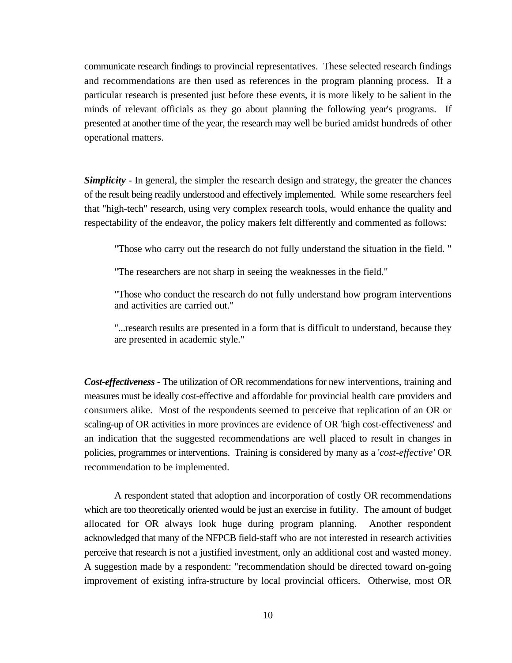communicate research findings to provincial representatives. These selected research findings and recommendations are then used as references in the program planning process. If a particular research is presented just before these events, it is more likely to be salient in the minds of relevant officials as they go about planning the following year's programs. If presented at another time of the year, the research may well be buried amidst hundreds of other operational matters.

*Simplicity* - In general, the simpler the research design and strategy, the greater the chances of the result being readily understood and effectively implemented. While some researchers feel that "high-tech" research, using very complex research tools, would enhance the quality and respectability of the endeavor, the policy makers felt differently and commented as follows:

"Those who carry out the research do not fully understand the situation in the field. "

"The researchers are not sharp in seeing the weaknesses in the field."

"Those who conduct the research do not fully understand how program interventions and activities are carried out."

"...research results are presented in a form that is difficult to understand, because they are presented in academic style."

*Cost-effectiveness* - The utilization of OR recommendations for new interventions, training and measures must be ideally cost-effective and affordable for provincial health care providers and consumers alike. Most of the respondents seemed to perceive that replication of an OR or scaling-up of OR activities in more provinces are evidence of OR 'high cost-effectiveness' and an indication that the suggested recommendations are well placed to result in changes in policies, programmes or interventions. Training is considered by many as a '*cost-effective'* OR recommendation to be implemented.

A respondent stated that adoption and incorporation of costly OR recommendations which are too theoretically oriented would be just an exercise in futility. The amount of budget allocated for OR always look huge during program planning. Another respondent acknowledged that many of the NFPCB field-staff who are not interested in research activities perceive that research is not a justified investment, only an additional cost and wasted money. A suggestion made by a respondent: "recommendation should be directed toward on-going improvement of existing infra-structure by local provincial officers. Otherwise, most OR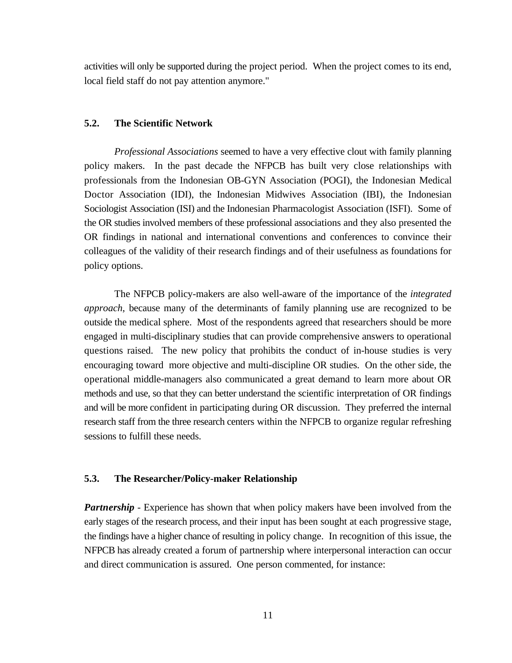activities will only be supported during the project period. When the project comes to its end, local field staff do not pay attention anymore."

#### **5.2. The Scientific Network**

*Professional Associations* seemed to have a very effective clout with family planning policy makers. In the past decade the NFPCB has built very close relationships with professionals from the Indonesian OB-GYN Association (POGI), the Indonesian Medical Doctor Association (IDI), the Indonesian Midwives Association (IBI), the Indonesian Sociologist Association (ISI) and the Indonesian Pharmacologist Association (ISFI). Some of the OR studies involved members of these professional associations and they also presented the OR findings in national and international conventions and conferences to convince their colleagues of the validity of their research findings and of their usefulness as foundations for policy options.

The NFPCB policy-makers are also well-aware of the importance of the *integrated approach*, because many of the determinants of family planning use are recognized to be outside the medical sphere. Most of the respondents agreed that researchers should be more engaged in multi-disciplinary studies that can provide comprehensive answers to operational questions raised. The new policy that prohibits the conduct of in-house studies is very encouraging toward more objective and multi-discipline OR studies. On the other side, the operational middle-managers also communicated a great demand to learn more about OR methods and use, so that they can better understand the scientific interpretation of OR findings and will be more confident in participating during OR discussion. They preferred the internal research staff from the three research centers within the NFPCB to organize regular refreshing sessions to fulfill these needs.

## **5.3. The Researcher/Policy-maker Relationship**

*Partnership* - Experience has shown that when policy makers have been involved from the early stages of the research process, and their input has been sought at each progressive stage, the findings have a higher chance of resulting in policy change. In recognition of this issue, the NFPCB has already created a forum of partnership where interpersonal interaction can occur and direct communication is assured. One person commented, for instance: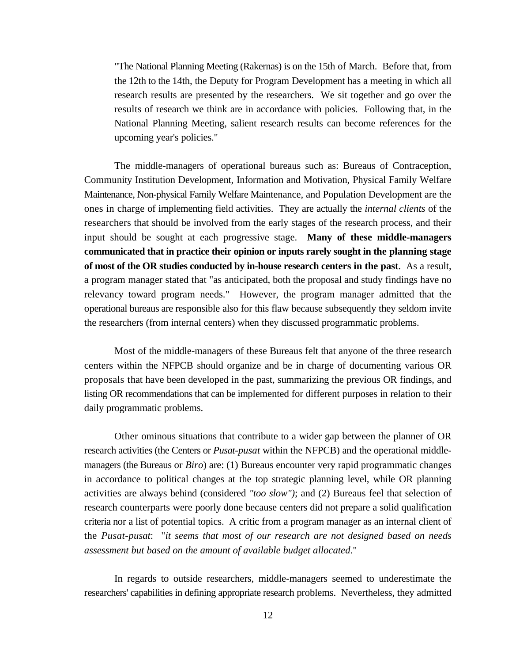"The National Planning Meeting (Rakernas) is on the 15th of March. Before that, from the 12th to the 14th, the Deputy for Program Development has a meeting in which all research results are presented by the researchers. We sit together and go over the results of research we think are in accordance with policies. Following that, in the National Planning Meeting, salient research results can become references for the upcoming year's policies."

The middle-managers of operational bureaus such as: Bureaus of Contraception, Community Institution Development, Information and Motivation, Physical Family Welfare Maintenance, Non-physical Family Welfare Maintenance, and Population Development are the ones in charge of implementing field activities. They are actually the *internal clients* of the researchers that should be involved from the early stages of the research process, and their input should be sought at each progressive stage. **Many of these middle-managers communicated that in practice their opinion or inputs rarely sought in the planning stage of most of the OR studies conducted by in-house research centers in the past**. As a result, a program manager stated that "as anticipated, both the proposal and study findings have no relevancy toward program needs." However, the program manager admitted that the operational bureaus are responsible also for this flaw because subsequently they seldom invite the researchers (from internal centers) when they discussed programmatic problems.

Most of the middle-managers of these Bureaus felt that anyone of the three research centers within the NFPCB should organize and be in charge of documenting various OR proposals that have been developed in the past, summarizing the previous OR findings, and listing OR recommendations that can be implemented for different purposes in relation to their daily programmatic problems.

Other ominous situations that contribute to a wider gap between the planner of OR research activities (the Centers or *Pusat-pusat* within the NFPCB) and the operational middlemanagers (the Bureaus or *Biro*) are: (1) Bureaus encounter very rapid programmatic changes in accordance to political changes at the top strategic planning level, while OR planning activities are always behind (considered *"too slow")*; and (2) Bureaus feel that selection of research counterparts were poorly done because centers did not prepare a solid qualification criteria nor a list of potential topics. A critic from a program manager as an internal client of the *Pusat-pusat*: "*it seems that most of our research are not designed based on needs assessment but based on the amount of available budget allocated*."

In regards to outside researchers, middle-managers seemed to underestimate the researchers' capabilities in defining appropriate research problems. Nevertheless, they admitted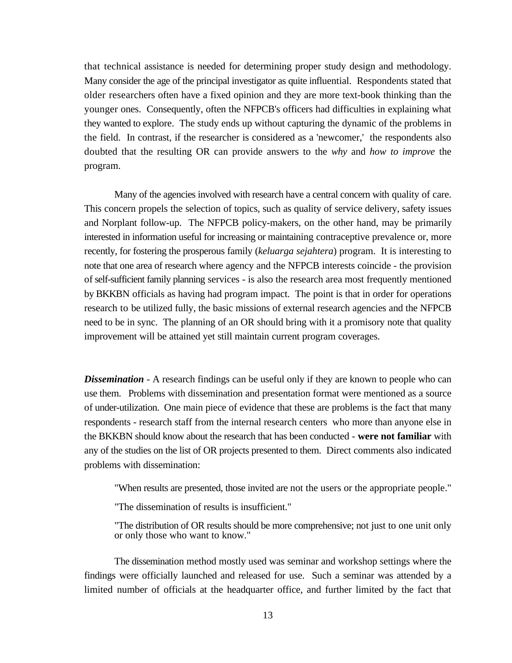that technical assistance is needed for determining proper study design and methodology. Many consider the age of the principal investigator as quite influential. Respondents stated that older researchers often have a fixed opinion and they are more text-book thinking than the younger ones. Consequently, often the NFPCB's officers had difficulties in explaining what they wanted to explore. The study ends up without capturing the dynamic of the problems in the field. In contrast, if the researcher is considered as a 'newcomer,' the respondents also doubted that the resulting OR can provide answers to the *why* and *how to improve* the program.

Many of the agencies involved with research have a central concern with quality of care. This concern propels the selection of topics, such as quality of service delivery, safety issues and Norplant follow-up. The NFPCB policy-makers, on the other hand, may be primarily interested in information useful for increasing or maintaining contraceptive prevalence or, more recently, for fostering the prosperous family (*keluarga sejahtera*) program. It is interesting to note that one area of research where agency and the NFPCB interests coincide - the provision of self-sufficient family planning services - is also the research area most frequently mentioned by BKKBN officials as having had program impact. The point is that in order for operations research to be utilized fully, the basic missions of external research agencies and the NFPCB need to be in sync. The planning of an OR should bring with it a promisory note that quality improvement will be attained yet still maintain current program coverages.

**Dissemination** - A research findings can be useful only if they are known to people who can use them. Problems with dissemination and presentation format were mentioned as a source of under-utilization. One main piece of evidence that these are problems is the fact that many respondents - research staff from the internal research centers who more than anyone else in the BKKBN should know about the research that has been conducted - **were not familiar** with any of the studies on the list of OR projects presented to them. Direct comments also indicated problems with dissemination:

"When results are presented, those invited are not the users or the appropriate people."

"The dissemination of results is insufficient."

"The distribution of OR results should be more comprehensive; not just to one unit only or only those who want to know."

The dissemination method mostly used was seminar and workshop settings where the findings were officially launched and released for use. Such a seminar was attended by a limited number of officials at the headquarter office, and further limited by the fact that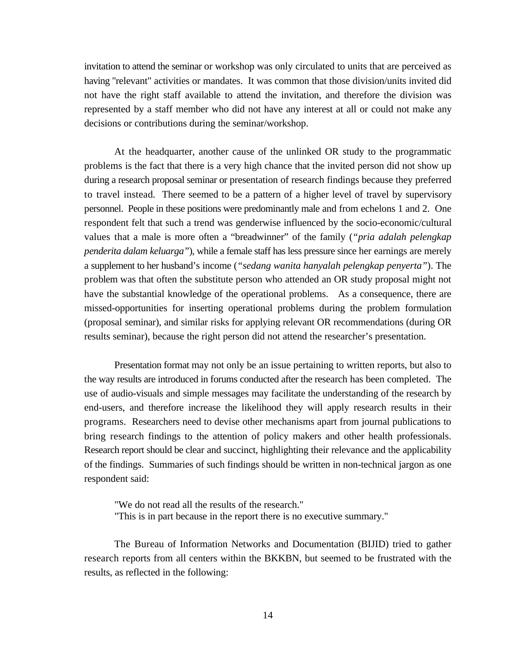invitation to attend the seminar or workshop was only circulated to units that are perceived as having "relevant" activities or mandates. It was common that those division/units invited did not have the right staff available to attend the invitation, and therefore the division was represented by a staff member who did not have any interest at all or could not make any decisions or contributions during the seminar/workshop.

At the headquarter, another cause of the unlinked OR study to the programmatic problems is the fact that there is a very high chance that the invited person did not show up during a research proposal seminar or presentation of research findings because they preferred to travel instead. There seemed to be a pattern of a higher level of travel by supervisory personnel. People in these positions were predominantly male and from echelons 1 and 2. One respondent felt that such a trend was genderwise influenced by the socio-economic/cultural values that a male is more often a "breadwinner" of the family (*"pria adalah pelengkap penderita dalam keluarga"*), while a female staff has less pressure since her earnings are merely a supplement to her husband's income (*"sedang wanita hanyalah pelengkap penyerta"*). The problem was that often the substitute person who attended an OR study proposal might not have the substantial knowledge of the operational problems. As a consequence, there are missed-opportunities for inserting operational problems during the problem formulation (proposal seminar), and similar risks for applying relevant OR recommendations (during OR results seminar), because the right person did not attend the researcher's presentation.

Presentation format may not only be an issue pertaining to written reports, but also to the way results are introduced in forums conducted after the research has been completed. The use of audio-visuals and simple messages may facilitate the understanding of the research by end-users, and therefore increase the likelihood they will apply research results in their programs. Researchers need to devise other mechanisms apart from journal publications to bring research findings to the attention of policy makers and other health professionals. Research report should be clear and succinct, highlighting their relevance and the applicability of the findings. Summaries of such findings should be written in non-technical jargon as one respondent said:

"We do not read all the results of the research." "This is in part because in the report there is no executive summary."

The Bureau of Information Networks and Documentation (BIJID) tried to gather research reports from all centers within the BKKBN, but seemed to be frustrated with the results, as reflected in the following: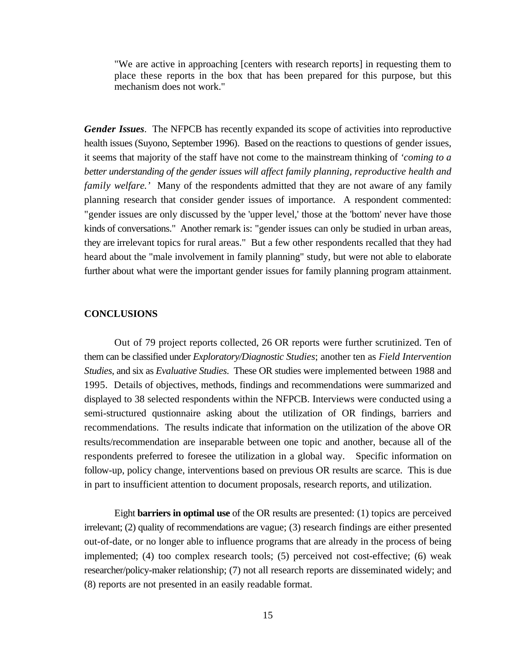"We are active in approaching [centers with research reports] in requesting them to place these reports in the box that has been prepared for this purpose, but this mechanism does not work."

*Gender Issues*. The NFPCB has recently expanded its scope of activities into reproductive health issues (Suyono, September 1996). Based on the reactions to questions of gender issues, it seems that majority of the staff have not come to the mainstream thinking of *'coming to a better understanding of the gender issues will affect family planning, reproductive health and family welfare.'* Many of the respondents admitted that they are not aware of any family planning research that consider gender issues of importance. A respondent commented: "gender issues are only discussed by the 'upper level,' those at the 'bottom' never have those kinds of conversations." Another remark is: "gender issues can only be studied in urban areas, they are irrelevant topics for rural areas." But a few other respondents recalled that they had heard about the "male involvement in family planning" study, but were not able to elaborate further about what were the important gender issues for family planning program attainment.

#### **CONCLUSIONS**

Out of 79 project reports collected, 26 OR reports were further scrutinized. Ten of them can be classified under *Exploratory/Diagnostic Studies*; another ten as *Field Intervention Studies*, and six as *Evaluative Studies*. These OR studies were implemented between 1988 and 1995. Details of objectives, methods, findings and recommendations were summarized and displayed to 38 selected respondents within the NFPCB. Interviews were conducted using a semi-structured qustionnaire asking about the utilization of OR findings, barriers and recommendations. The results indicate that information on the utilization of the above OR results/recommendation are inseparable between one topic and another, because all of the respondents preferred to foresee the utilization in a global way. Specific information on follow-up, policy change, interventions based on previous OR results are scarce. This is due in part to insufficient attention to document proposals, research reports, and utilization.

Eight **barriers in optimal use** of the OR results are presented: (1) topics are perceived irrelevant; (2) quality of recommendations are vague; (3) research findings are either presented out-of-date, or no longer able to influence programs that are already in the process of being implemented; (4) too complex research tools; (5) perceived not cost-effective; (6) weak researcher/policy-maker relationship; (7) not all research reports are disseminated widely; and (8) reports are not presented in an easily readable format.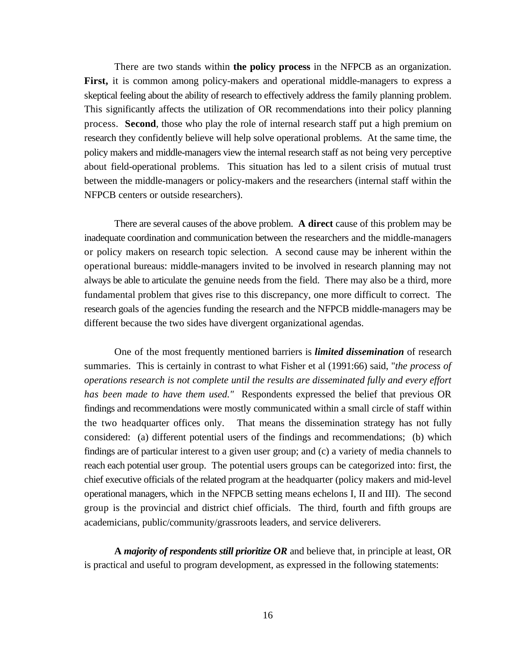There are two stands within **the policy process** in the NFPCB as an organization. First, it is common among policy-makers and operational middle-managers to express a skeptical feeling about the ability of research to effectively address the family planning problem. This significantly affects the utilization of OR recommendations into their policy planning process. **Second**, those who play the role of internal research staff put a high premium on research they confidently believe will help solve operational problems. At the same time, the policy makers and middle-managers view the internal research staff as not being very perceptive about field-operational problems. This situation has led to a silent crisis of mutual trust between the middle-managers or policy-makers and the researchers (internal staff within the NFPCB centers or outside researchers).

There are several causes of the above problem. **A direct** cause of this problem may be inadequate coordination and communication between the researchers and the middle-managers or policy makers on research topic selection. A second cause may be inherent within the operational bureaus: middle-managers invited to be involved in research planning may not always be able to articulate the genuine needs from the field. There may also be a third, more fundamental problem that gives rise to this discrepancy, one more difficult to correct. The research goals of the agencies funding the research and the NFPCB middle-managers may be different because the two sides have divergent organizational agendas.

One of the most frequently mentioned barriers is *limited dissemination* of research summaries. This is certainly in contrast to what Fisher et al (1991:66) said, "*the process of operations research is not complete until the results are disseminated fully and every effort has been made to have them used."* Respondents expressed the belief that previous OR findings and recommendations were mostly communicated within a small circle of staff within the two headquarter offices only. That means the dissemination strategy has not fully considered: (a) different potential users of the findings and recommendations; (b) which findings are of particular interest to a given user group; and (c) a variety of media channels to reach each potential user group. The potential users groups can be categorized into: first, the chief executive officials of the related program at the headquarter (policy makers and mid-level operational managers, which in the NFPCB setting means echelons I, II and III). The second group is the provincial and district chief officials. The third, fourth and fifth groups are academicians, public/community/grassroots leaders, and service deliverers.

**A** *majority of respondents still prioritize OR* and believe that, in principle at least, OR is practical and useful to program development, as expressed in the following statements: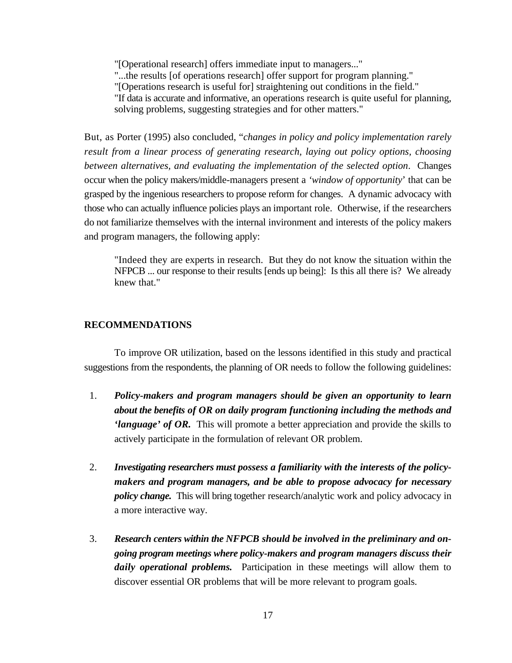"[Operational research] offers immediate input to managers..."

"...the results [of operations research] offer support for program planning."

"[Operations research is useful for] straightening out conditions in the field."

"If data is accurate and informative, an operations research is quite useful for planning, solving problems, suggesting strategies and for other matters."

But, as Porter (1995) also concluded, "*changes in policy and policy implementation rarely result from a linear process of generating research, laying out policy options, choosing between alternatives, and evaluating the implementation of the selected option*. Changes occur when the policy makers/middle-managers present a *'window of opportunity*' that can be grasped by the ingenious researchers to propose reform for changes. A dynamic advocacy with those who can actually influence policies plays an important role. Otherwise, if the researchers do not familiarize themselves with the internal invironment and interests of the policy makers and program managers, the following apply:

"Indeed they are experts in research. But they do not know the situation within the NFPCB ... our response to their results [ends up being]: Is this all there is? We already knew that."

### **RECOMMENDATIONS**

To improve OR utilization, based on the lessons identified in this study and practical suggestions from the respondents, the planning of OR needs to follow the following guidelines:

- 1. *Policy-makers and program managers should be given an opportunity to learn about the benefits of OR on daily program functioning including the methods and 'language' of OR.* This will promote a better appreciation and provide the skills to actively participate in the formulation of relevant OR problem.
- 2. *Investigating researchers must possess a familiarity with the interests of the policymakers and program managers, and be able to propose advocacy for necessary policy change.* This will bring together research/analytic work and policy advocacy in a more interactive way.
- 3. *Research centers within the NFPCB should be involved in the preliminary and ongoing program meetings where policy-makers and program managers discuss their daily operational problems.* Participation in these meetings will allow them to discover essential OR problems that will be more relevant to program goals.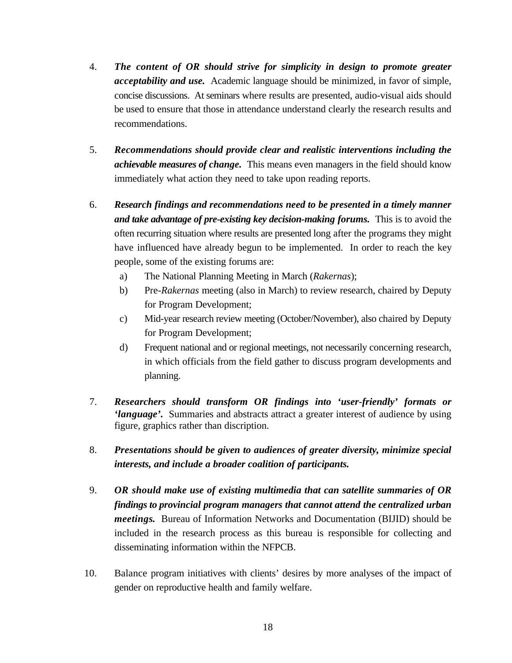- 4. *The content of OR should strive for simplicity in design to promote greater acceptability and use.* Academic language should be minimized, in favor of simple, concise discussions. At seminars where results are presented, audio-visual aids should be used to ensure that those in attendance understand clearly the research results and recommendations.
- 5. *Recommendations should provide clear and realistic interventions including the achievable measures of change.* This means even managers in the field should know immediately what action they need to take upon reading reports.
- 6. *Research findings and recommendations need to be presented in a timely manner and take advantage of pre-existing key decision-making forums.* This is to avoid the often recurring situation where results are presented long after the programs they might have influenced have already begun to be implemented. In order to reach the key people, some of the existing forums are:
	- a) The National Planning Meeting in March (*Rakernas*);
	- b) Pre-*Rakernas* meeting (also in March) to review research, chaired by Deputy for Program Development;
	- c) Mid-year research review meeting (October/November), also chaired by Deputy for Program Development;
	- d) Frequent national and or regional meetings, not necessarily concerning research, in which officials from the field gather to discuss program developments and planning.
- 7. *Researchers should transform OR findings into 'user-friendly' formats or 'language'.* Summaries and abstracts attract a greater interest of audience by using figure, graphics rather than discription.
- 8. *Presentations should be given to audiences of greater diversity, minimize special interests, and include a broader coalition of participants.*
- 9. *OR should make use of existing multimedia that can satellite summaries of OR findings to provincial program managers that cannot attend the centralized urban meetings.* Bureau of Information Networks and Documentation (BIJID) should be included in the research process as this bureau is responsible for collecting and disseminating information within the NFPCB.
- 10. Balance program initiatives with clients' desires by more analyses of the impact of gender on reproductive health and family welfare.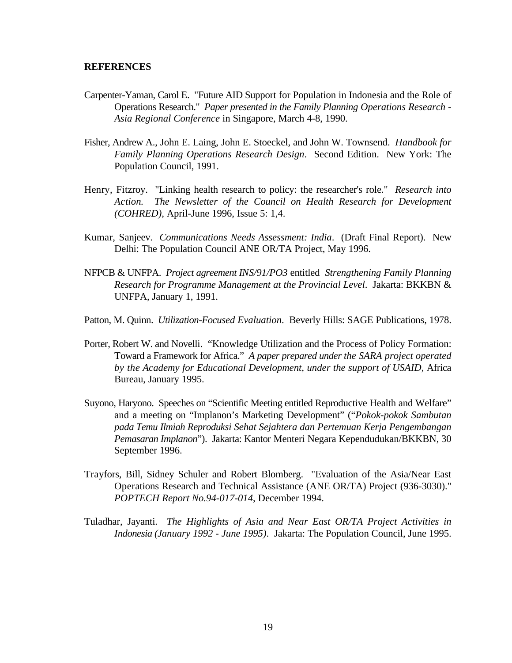## **REFERENCES**

- Carpenter-Yaman, Carol E. "Future AID Support for Population in Indonesia and the Role of Operations Research." *Paper presented in the Family Planning Operations Research - Asia Regional Conference* in Singapore, March 4-8, 1990.
- Fisher, Andrew A., John E. Laing, John E. Stoeckel, and John W. Townsend. *Handbook for Family Planning Operations Research Design*. Second Edition. New York: The Population Council, 1991.
- Henry, Fitzroy. "Linking health research to policy: the researcher's role." *Research into Action. The Newsletter of the Council on Health Research for Development (COHRED)*, April-June 1996, Issue 5: 1,4.
- Kumar, Sanjeev. *Communications Needs Assessment: India*. (Draft Final Report). New Delhi: The Population Council ANE OR/TA Project, May 1996.
- NFPCB & UNFPA. *Project agreement INS/91/PO3* entitled *Strengthening Family Planning Research for Programme Management at the Provincial Level*. Jakarta: BKKBN & UNFPA, January 1, 1991.
- Patton, M. Quinn. *Utilization-Focused Evaluation*. Beverly Hills: SAGE Publications, 1978.
- Porter, Robert W. and Novelli. "Knowledge Utilization and the Process of Policy Formation: Toward a Framework for Africa." *A paper prepared under the SARA project operated by the Academy for Educational Development, under the support of USAID,* Africa Bureau, January 1995.
- Suyono, Haryono. Speeches on "Scientific Meeting entitled Reproductive Health and Welfare" and a meeting on "Implanon's Marketing Development" ("*Pokok-pokok Sambutan pada Temu Ilmiah Reproduksi Sehat Sejahtera dan Pertemuan Kerja Pengembangan Pemasaran Implanon*"). Jakarta: Kantor Menteri Negara Kependudukan/BKKBN, 30 September 1996.
- Trayfors, Bill, Sidney Schuler and Robert Blomberg. "Evaluation of the Asia/Near East Operations Research and Technical Assistance (ANE OR/TA) Project (936-3030)." *POPTECH Report No.94-017-014*, December 1994.
- Tuladhar, Jayanti. *The Highlights of Asia and Near East OR/TA Project Activities in Indonesia (January 1992 - June 1995)*. Jakarta: The Population Council, June 1995.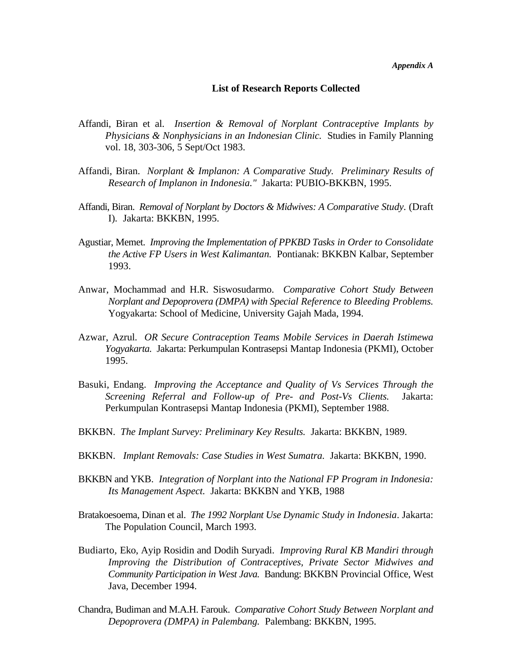*Appendix A*

#### **List of Research Reports Collected**

- Affandi, Biran et al. *Insertion & Removal of Norplant Contraceptive Implants by Physicians & Nonphysicians in an Indonesian Clinic.* Studies in Family Planning vol. 18, 303-306, 5 Sept/Oct 1983.
- Affandi, Biran. *Norplant & Implanon: A Comparative Study. Preliminary Results of Research of Implanon in Indonesia."* Jakarta: PUBIO-BKKBN, 1995.
- Affandi, Biran. *Removal of Norplant by Doctors & Midwives: A Comparative Study.* (Draft I)*.* Jakarta: BKKBN, 1995.
- Agustiar, Memet. *Improving the Implementation of PPKBD Tasks in Order to Consolidate the Active FP Users in West Kalimantan.* Pontianak: BKKBN Kalbar, September 1993.
- Anwar, Mochammad and H.R. Siswosudarmo. *Comparative Cohort Study Between Norplant and Depoprovera (DMPA) with Special Reference to Bleeding Problems.* Yogyakarta: School of Medicine, University Gajah Mada, 1994.
- Azwar, Azrul. *OR Secure Contraception Teams Mobile Services in Daerah Istimewa Yogyakarta.* Jakarta: Perkumpulan Kontrasepsi Mantap Indonesia (PKMI), October 1995.
- Basuki, Endang. *Improving the Acceptance and Quality of Vs Services Through the Screening Referral and Follow-up of Pre- and Post-Vs Clients.* Jakarta: Perkumpulan Kontrasepsi Mantap Indonesia (PKMI), September 1988.
- BKKBN. *The Implant Survey: Preliminary Key Results.* Jakarta: BKKBN, 1989.
- BKKBN. *Implant Removals: Case Studies in West Sumatra.* Jakarta: BKKBN, 1990.
- BKKBN and YKB. *Integration of Norplant into the National FP Program in Indonesia: Its Management Aspect.* Jakarta: BKKBN and YKB, 1988
- Bratakoesoema, Dinan et al. *The 1992 Norplant Use Dynamic Study in Indonesia*. Jakarta: The Population Council, March 1993.
- Budiarto, Eko, Ayip Rosidin and Dodih Suryadi. *Improving Rural KB Mandiri through Improving the Distribution of Contraceptives, Private Sector Midwives and Community Participation in West Java.* Bandung: BKKBN Provincial Office, West Java, December 1994.
- Chandra, Budiman and M.A.H. Farouk. *Comparative Cohort Study Between Norplant and Depoprovera (DMPA) in Palembang.* Palembang: BKKBN, 1995.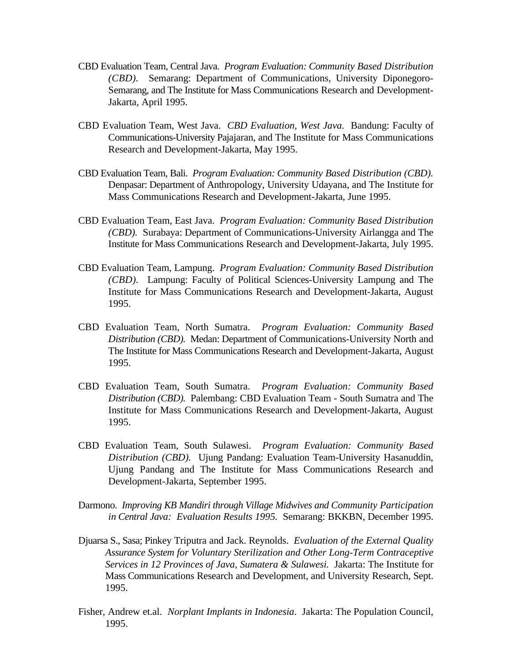- CBD Evaluation Team, Central Java. *Program Evaluation: Community Based Distribution (CBD).* Semarang: Department of Communications, University Diponegoro-Semarang, and The Institute for Mass Communications Research and Development-Jakarta, April 1995.
- CBD Evaluation Team, West Java. *CBD Evaluation, West Java.* Bandung: Faculty of Communications-University Pajajaran, and The Institute for Mass Communications Research and Development-Jakarta, May 1995.
- CBD Evaluation Team, Bali. *Program Evaluation: Community Based Distribution (CBD).* Denpasar: Department of Anthropology, University Udayana, and The Institute for Mass Communications Research and Development-Jakarta, June 1995.
- CBD Evaluation Team, East Java. *Program Evaluation: Community Based Distribution (CBD).* Surabaya: Department of Communications-University Airlangga and The Institute for Mass Communications Research and Development-Jakarta, July 1995.
- CBD Evaluation Team, Lampung. *Program Evaluation: Community Based Distribution (CBD).* Lampung: Faculty of Political Sciences-University Lampung and The Institute for Mass Communications Research and Development-Jakarta, August 1995.
- CBD Evaluation Team, North Sumatra. *Program Evaluation: Community Based Distribution (CBD).* Medan: Department of Communications-University North and The Institute for Mass Communications Research and Development-Jakarta, August 1995.
- CBD Evaluation Team, South Sumatra. *Program Evaluation: Community Based Distribution (CBD).* Palembang: CBD Evaluation Team - South Sumatra and The Institute for Mass Communications Research and Development-Jakarta, August 1995.
- CBD Evaluation Team, South Sulawesi. *Program Evaluation: Community Based Distribution (CBD).* Ujung Pandang: Evaluation Team-University Hasanuddin, Ujung Pandang and The Institute for Mass Communications Research and Development-Jakarta, September 1995.
- Darmono. *Improving KB Mandiri through Village Midwives and Community Participation in Central Java: Evaluation Results 1995.* Semarang: BKKBN, December 1995.
- Djuarsa S., Sasa; Pinkey Triputra and Jack. Reynolds. *Evaluation of the External Quality Assurance System for Voluntary Sterilization and Other Long-Term Contraceptive Services in 12 Provinces of Java, Sumatera & Sulawesi.* Jakarta: The Institute for Mass Communications Research and Development, and University Research, Sept. 1995.
- Fisher, Andrew et.al. *Norplant Implants in Indonesia*. Jakarta: The Population Council, 1995.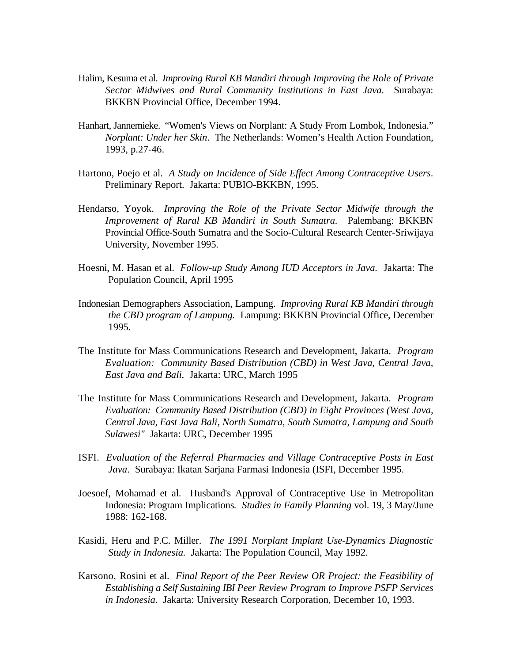- Halim, Kesuma et al. *Improving Rural KB Mandiri through Improving the Role of Private Sector Midwives and Rural Community Institutions in East Java.* Surabaya: BKKBN Provincial Office, December 1994.
- Hanhart, Jannemieke. "Women's Views on Norplant: A Study From Lombok, Indonesia." *Norplant: Under her Skin*. The Netherlands: Women's Health Action Foundation, 1993, p.27-46.
- Hartono, Poejo et al. *A Study on Incidence of Side Effect Among Contraceptive Users*. Preliminary Report. Jakarta: PUBIO-BKKBN, 1995.
- Hendarso, Yoyok. *Improving the Role of the Private Sector Midwife through the Improvement of Rural KB Mandiri in South Sumatra.* Palembang: BKKBN Provincial Office-South Sumatra and the Socio-Cultural Research Center-Sriwijaya University, November 1995.
- Hoesni, M. Hasan et al. *Follow-up Study Among IUD Acceptors in Java.* Jakarta: The Population Council, April 1995
- Indonesian Demographers Association, Lampung. *Improving Rural KB Mandiri through the CBD program of Lampung.* Lampung: BKKBN Provincial Office, December 1995.
- The Institute for Mass Communications Research and Development, Jakarta. *Program Evaluation: Community Based Distribution (CBD) in West Java, Central Java, East Java and Bali.* Jakarta: URC, March 1995
- The Institute for Mass Communications Research and Development, Jakarta. *Program Evaluation: Community Based Distribution (CBD) in Eight Provinces (West Java, Central Java, East Java Bali, North Sumatra, South Sumatra, Lampung and South Sulawesi"* Jakarta: URC, December 1995
- ISFI. *Evaluation of the Referral Pharmacies and Village Contraceptive Posts in East Java*. Surabaya: Ikatan Sarjana Farmasi Indonesia (ISFI, December 1995.
- Joesoef, Mohamad et al. Husband's Approval of Contraceptive Use in Metropolitan Indonesia: Program Implications*. Studies in Family Planning* vol. 19, 3 May/June 1988: 162-168.
- Kasidi, Heru and P.C. Miller. *The 1991 Norplant Implant Use-Dynamics Diagnostic Study in Indonesia.* Jakarta: The Population Council, May 1992.
- Karsono, Rosini et al. *Final Report of the Peer Review OR Project: the Feasibility of Establishing a Self Sustaining IBI Peer Review Program to Improve PSFP Services in Indonesia.* Jakarta: University Research Corporation, December 10, 1993.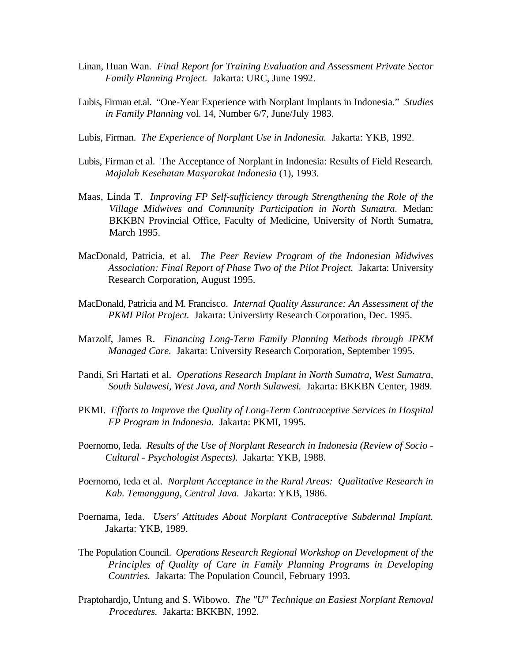- Linan, Huan Wan. *Final Report for Training Evaluation and Assessment Private Sector Family Planning Project.* Jakarta: URC, June 1992.
- Lubis, Firman et.al. "One-Year Experience with Norplant Implants in Indonesia." *Studies in Family Planning* vol. 14, Number 6/7, June/July 1983.
- Lubis, Firman. *The Experience of Norplant Use in Indonesia.* Jakarta: YKB, 1992.
- Lubis, Firman et al. The Acceptance of Norplant in Indonesia: Results of Field Research*. Majalah Kesehatan Masyarakat Indonesia* (1), 1993.
- Maas, Linda T. *Improving FP Self-sufficiency through Strengthening the Role of the Village Midwives and Community Participation in North Sumatra.* Medan: BKKBN Provincial Office, Faculty of Medicine, University of North Sumatra, March 1995.
- MacDonald, Patricia, et al. *The Peer Review Program of the Indonesian Midwives Association: Final Report of Phase Two of the Pilot Project.* Jakarta: University Research Corporation, August 1995.
- MacDonald, Patricia and M. Francisco. *Internal Quality Assurance: An Assessment of the PKMI Pilot Project.* Jakarta: Universirty Research Corporation, Dec. 1995.
- Marzolf, James R. *Financing Long-Term Family Planning Methods through JPKM Managed Care.* Jakarta: University Research Corporation, September 1995.
- Pandi, Sri Hartati et al. *Operations Research Implant in North Sumatra, West Sumatra, South Sulawesi, West Java, and North Sulawesi.* Jakarta: BKKBN Center, 1989.
- PKMI. *Efforts to Improve the Quality of Long-Term Contraceptive Services in Hospital FP Program in Indonesia.* Jakarta: PKMI, 1995.
- Poernomo, Ieda. *Results of the Use of Norplant Research in Indonesia (Review of Socio - Cultural - Psychologist Aspects).* Jakarta: YKB, 1988.
- Poernomo, Ieda et al. *Norplant Acceptance in the Rural Areas: Qualitative Research in Kab. Temanggung, Central Java.* Jakarta: YKB, 1986.
- Poernama, Ieda. *Users' Attitudes About Norplant Contraceptive Subdermal Implant.* Jakarta: YKB, 1989.
- The Population Council. *Operations Research Regional Workshop on Development of the Principles of Quality of Care in Family Planning Programs in Developing Countries.* Jakarta: The Population Council, February 1993.
- Praptohardjo, Untung and S. Wibowo. *The "U" Technique an Easiest Norplant Removal Procedures.* Jakarta: BKKBN, 1992.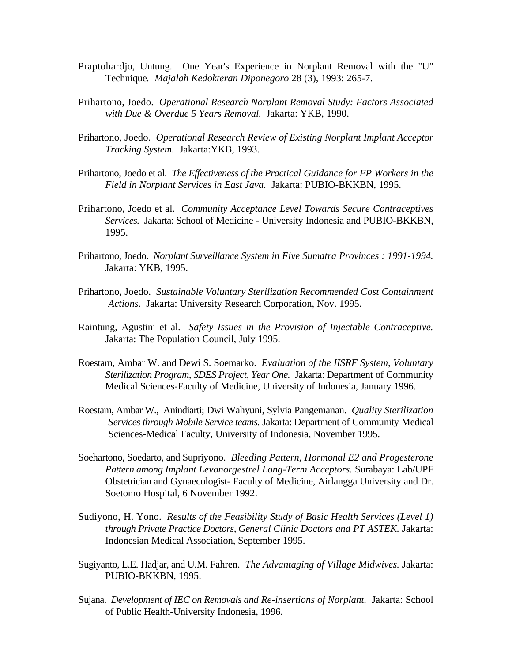- Praptohardjo, Untung. One Year's Experience in Norplant Removal with the "U" Technique*. Majalah Kedokteran Diponegoro* 28 (3), 1993: 265-7.
- Prihartono, Joedo. *Operational Research Norplant Removal Study: Factors Associated with Due & Overdue 5 Years Removal.* Jakarta: YKB, 1990.
- Prihartono, Joedo. *Operational Research Review of Existing Norplant Implant Acceptor Tracking System.* Jakarta:YKB, 1993.
- Prihartono, Joedo et al. *The Effectiveness of the Practical Guidance for FP Workers in the Field in Norplant Services in East Java.* Jakarta: PUBIO-BKKBN, 1995.
- Prihartono, Joedo et al. *Community Acceptance Level Towards Secure Contraceptives Services.* Jakarta: School of Medicine - University Indonesia and PUBIO-BKKBN, 1995.
- Prihartono, Joedo. *Norplant Surveillance System in Five Sumatra Provinces : 1991-1994.* Jakarta: YKB, 1995.
- Prihartono, Joedo. *Sustainable Voluntary Sterilization Recommended Cost Containment Actions.* Jakarta: University Research Corporation, Nov. 1995.
- Raintung, Agustini et al. *Safety Issues in the Provision of Injectable Contraceptive.* Jakarta: The Population Council, July 1995.
- Roestam, Ambar W. and Dewi S. Soemarko. *Evaluation of the IISRF System, Voluntary Sterilization Program, SDES Project, Year One.* Jakarta: Department of Community Medical Sciences-Faculty of Medicine, University of Indonesia, January 1996.
- Roestam, Ambar W., Anindiarti; Dwi Wahyuni, Sylvia Pangemanan. *Quality Sterilization Services through Mobile Service teams.* Jakarta: Department of Community Medical Sciences-Medical Faculty, University of Indonesia, November 1995.
- Soehartono, Soedarto, and Supriyono. *Bleeding Pattern, Hormonal E2 and Progesterone Pattern among Implant Levonorgestrel Long-Term Acceptors.* Surabaya: Lab/UPF Obstetrician and Gynaecologist- Faculty of Medicine, Airlangga University and Dr. Soetomo Hospital, 6 November 1992.
- Sudiyono, H. Yono. *Results of the Feasibility Study of Basic Health Services (Level 1) through Private Practice Doctors, General Clinic Doctors and PT ASTEK.* Jakarta: Indonesian Medical Association, September 1995.
- Sugiyanto, L.E. Hadjar, and U.M. Fahren. *The Advantaging of Village Midwives.* Jakarta: PUBIO-BKKBN, 1995.
- Sujana. *Development of IEC on Removals and Re-insertions of Norplant.* Jakarta: School of Public Health-University Indonesia, 1996.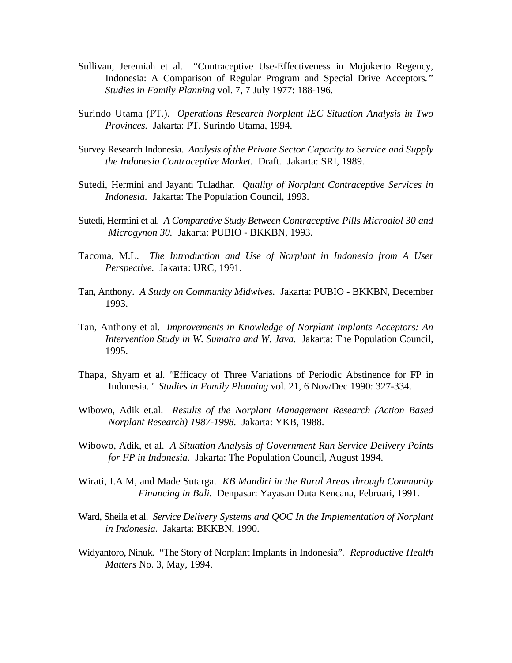- Sullivan, Jeremiah et al. "Contraceptive Use-Effectiveness in Mojokerto Regency, Indonesia: A Comparison of Regular Program and Special Drive Acceptors*." Studies in Family Planning* vol. 7, 7 July 1977: 188-196.
- Surindo Utama (PT.). *Operations Research Norplant IEC Situation Analysis in Two Provinces.* Jakarta: PT. Surindo Utama, 1994.
- Survey Research Indonesia. *Analysis of the Private Sector Capacity to Service and Supply the Indonesia Contraceptive Market.* Draft*.* Jakarta: SRI, 1989.
- Sutedi, Hermini and Jayanti Tuladhar. *Quality of Norplant Contraceptive Services in Indonesia.* Jakarta: The Population Council, 1993.
- Sutedi, Hermini et al. *A Comparative Study Between Contraceptive Pills Microdiol 30 and Microgynon 30.* Jakarta: PUBIO - BKKBN, 1993.
- Tacoma, M.L. *The Introduction and Use of Norplant in Indonesia from A User Perspective.* Jakarta: URC, 1991.
- Tan, Anthony. *A Study on Community Midwives.* Jakarta: PUBIO BKKBN, December 1993.
- Tan, Anthony et al. *Improvements in Knowledge of Norplant Implants Acceptors: An Intervention Study in W. Sumatra and W. Java.* Jakarta: The Population Council, 1995.
- Thapa, Shyam et al. *"*Efficacy of Three Variations of Periodic Abstinence for FP in Indonesia*." Studies in Family Planning* vol. 21, 6 Nov/Dec 1990: 327-334.
- Wibowo, Adik et.al. *Results of the Norplant Management Research (Action Based Norplant Research) 1987-1998.* Jakarta: YKB, 1988.
- Wibowo, Adik, et al. *A Situation Analysis of Government Run Service Delivery Points for FP in Indonesia.* Jakarta: The Population Council, August 1994.
- Wirati, I.A.M, and Made Sutarga. *KB Mandiri in the Rural Areas through Community Financing in Bali.* Denpasar: Yayasan Duta Kencana, Februari, 1991.
- Ward, Sheila et al. *Service Delivery Systems and QOC In the Implementation of Norplant in Indonesia.* Jakarta: BKKBN, 1990.
- Widyantoro, Ninuk. "The Story of Norplant Implants in Indonesia"*. Reproductive Health Matters* No. 3, May, 1994.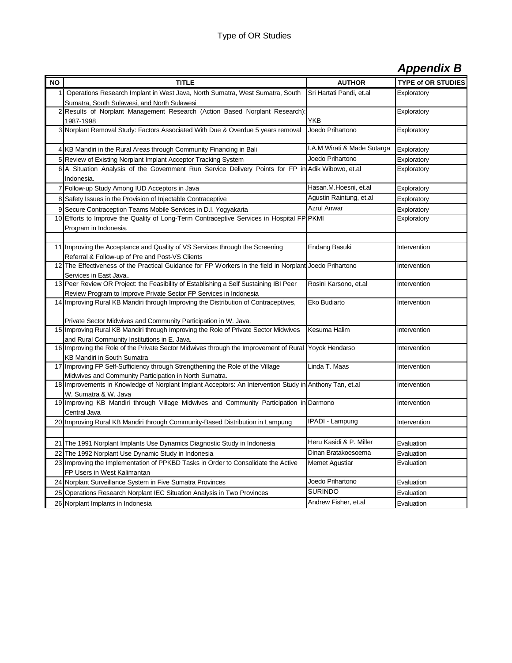# *Appendix B*

| <b>NO</b> | <b>TITLE</b>                                                                                                                                                      | <b>AUTHOR</b>               | <b>TYPE of OR STUDIES</b> |
|-----------|-------------------------------------------------------------------------------------------------------------------------------------------------------------------|-----------------------------|---------------------------|
| 1         | Operations Research Implant in West Java, North Sumatra, West Sumatra, South                                                                                      | Sri Hartati Pandi, et.al    | Exploratory               |
|           | Sumatra, South Sulawesi, and North Sulawesi                                                                                                                       |                             |                           |
|           | 2 Results of Norplant Management Research (Action Based Norplant Research):                                                                                       |                             | Exploratory               |
|           | 1987-1998                                                                                                                                                         | YKB                         |                           |
|           | 3 Norplant Removal Study: Factors Associated With Due & Overdue 5 years removal                                                                                   | Joedo Prihartono            | Exploratory               |
|           |                                                                                                                                                                   |                             |                           |
|           | 4 KB Mandiri in the Rural Areas through Community Financing in Bali                                                                                               | I.A.M Wirati & Made Sutarga | Exploratory               |
|           | 5 Review of Existing Norplant Implant Acceptor Tracking System                                                                                                    | Joedo Prihartono            | Exploratory               |
|           | 6 A Situation Analysis of the Government Run Service Delivery Points for FP in Adik Wibowo, et.al                                                                 |                             | Exploratory               |
|           | Indonesia.                                                                                                                                                        |                             |                           |
|           | 7 Follow-up Study Among IUD Acceptors in Java                                                                                                                     | Hasan.M.Hoesni, et.al       | Exploratory               |
|           | 8 Safety Issues in the Provision of Injectable Contraceptive                                                                                                      | Agustin Raintung, et.al     | Exploratory               |
|           | 9 Secure Contraception Teams Mobile Services in D.I. Yogyakarta                                                                                                   | <b>Azrul Anwar</b>          | Exploratory               |
|           | 10 Efforts to Improve the Quality of Long-Term Contraceptive Services in Hospital FP PKMI                                                                         |                             | Exploratory               |
|           | Program in Indonesia.                                                                                                                                             |                             |                           |
|           |                                                                                                                                                                   |                             |                           |
|           | 11 Improving the Acceptance and Quality of VS Services through the Screening                                                                                      | Endang Basuki               | Intervention              |
|           | Referral & Follow-up of Pre and Post-VS Clients<br>12 The Effectiveness of the Practical Guidance for FP Workers in the field in Norplant Joedo Prihartono        |                             | Intervention              |
|           | Services in East Java                                                                                                                                             |                             |                           |
|           | 13 Peer Review OR Project: the Feasibility of Establishing a Self Sustaining IBI Peer                                                                             | Rosini Karsono, et.al       | Intervention              |
|           | Review Program to Improve Private Sector FP Services in Indonesia                                                                                                 |                             |                           |
|           | 14 Improving Rural KB Mandiri through Improving the Distribution of Contraceptives,                                                                               | Eko Budiarto                | Intervention              |
|           |                                                                                                                                                                   |                             |                           |
|           | Private Sector Midwives and Community Participation in W. Java.                                                                                                   |                             |                           |
|           | 15 Improving Rural KB Mandiri through Improving the Role of Private Sector Midwives                                                                               | Kesuma Halim                | Intervention              |
|           | and Rural Community Institutions in E. Java.                                                                                                                      |                             |                           |
|           | 16 Improving the Role of the Private Sector Midwives through the Improvement of Rural                                                                             | Yoyok Hendarso              | Intervention              |
|           | KB Mandiri in South Sumatra<br>17 Improving FP Self-Sufficiency through Strengthening the Role of the Village                                                     |                             |                           |
|           |                                                                                                                                                                   | Linda T. Maas               | Intervention              |
|           | Midwives and Community Participation in North Sumatra.<br>18 Improvements in Knowledge of Norplant Implant Acceptors: An Intervention Study in Anthony Tan, et.al |                             | Intervention              |
|           | W. Sumatra & W. Java                                                                                                                                              |                             |                           |
|           | 19 Improving KB Mandiri through Village Midwives and Community Participation in Darmono                                                                           |                             | Intervention              |
|           | Central Java                                                                                                                                                      |                             |                           |
|           | 20 Improving Rural KB Mandiri through Community-Based Distribution in Lampung                                                                                     | <b>IPADI - Lampung</b>      | Intervention              |
|           |                                                                                                                                                                   |                             |                           |
|           | 21 The 1991 Norplant Implants Use Dynamics Diagnostic Study in Indonesia                                                                                          | Heru Kasidi & P. Miller     | Evaluation                |
|           | 22 The 1992 Norplant Use Dynamic Study in Indonesia                                                                                                               | Dinan Bratakoesoema         | Evaluation                |
|           | 23 Improving the Implementation of PPKBD Tasks in Order to Consolidate the Active                                                                                 | Memet Agustiar              | Evaluation                |
|           | FP Users in West Kalimantan                                                                                                                                       |                             |                           |
|           | 24 Norplant Surveillance System in Five Sumatra Provinces                                                                                                         | Joedo Prihartono            | Evaluation                |
|           | 25 Operations Research Norplant IEC Situation Analysis in Two Provinces                                                                                           | <b>SURINDO</b>              | Evaluation                |
|           | 26 Norplant Implants in Indonesia                                                                                                                                 | Andrew Fisher, et.al        | Evaluation                |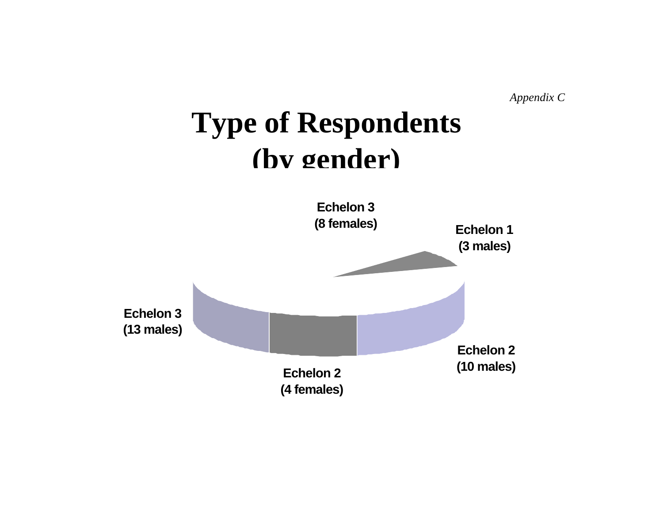*Appendix C*

# **Type of Respondents (by gender)**

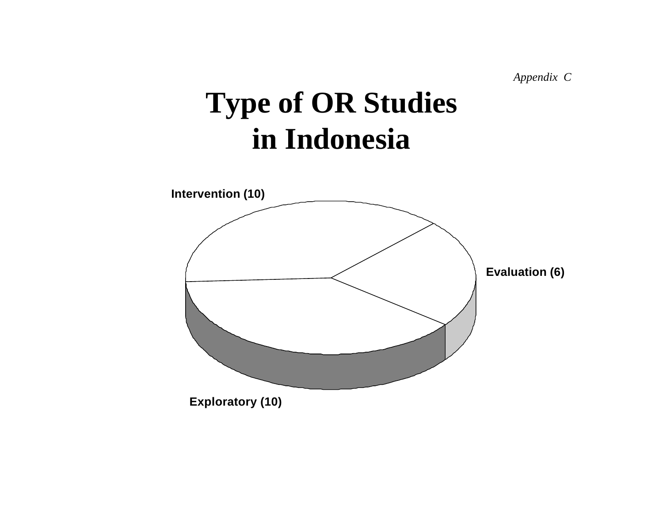*Appendix C*

# **Type of OR Studies in Indonesia**

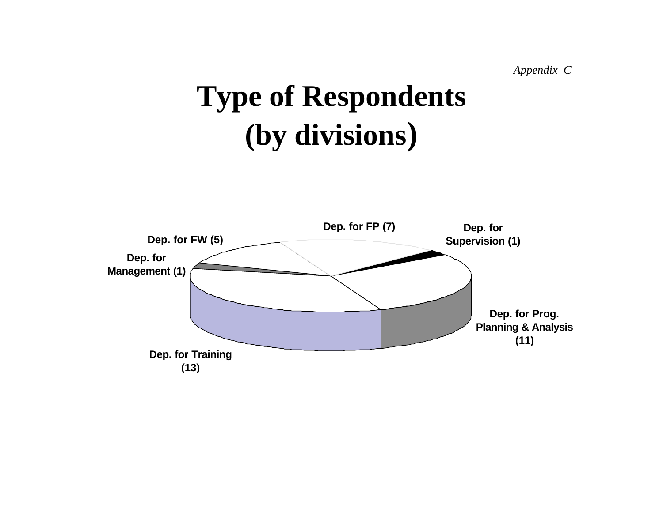*Appendix C*

# **Type of Respondents (by divisions)**

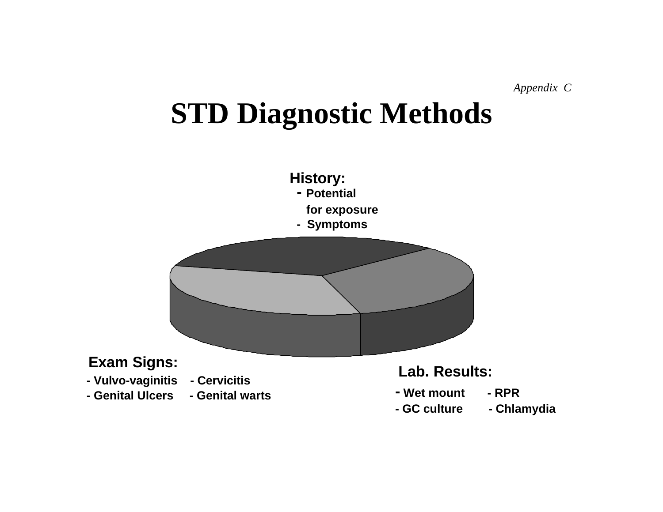# **STD Diagnostic Methods**

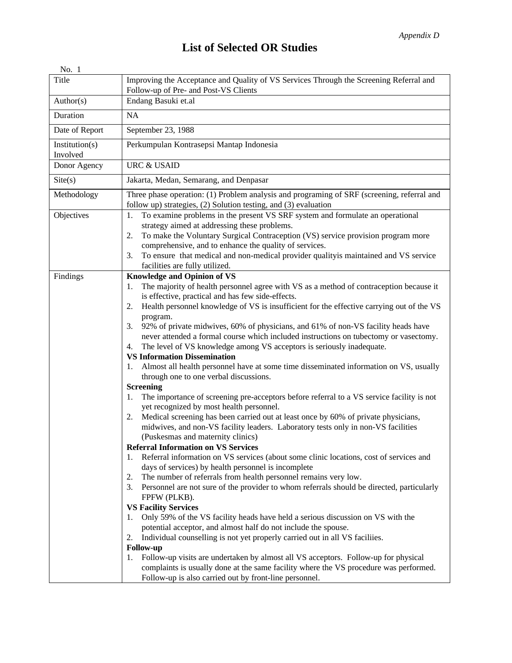# **List of Selected OR Studies**

| Improving the Acceptance and Quality of VS Services Through the Screening Referral and<br>Follow-up of Pre- and Post-VS Clients                                                                                                                                                                                                                                                                                                                                                                                                                                                                                                                                                                                                                                                                                                                                                                                                                                                                                                                                                                                                                                                                                                                                                                                                                                                                                                                                                                                                                                                                                                                                                                                                                                                                                                                                                                                                                                                                                                                                                                       |
|-------------------------------------------------------------------------------------------------------------------------------------------------------------------------------------------------------------------------------------------------------------------------------------------------------------------------------------------------------------------------------------------------------------------------------------------------------------------------------------------------------------------------------------------------------------------------------------------------------------------------------------------------------------------------------------------------------------------------------------------------------------------------------------------------------------------------------------------------------------------------------------------------------------------------------------------------------------------------------------------------------------------------------------------------------------------------------------------------------------------------------------------------------------------------------------------------------------------------------------------------------------------------------------------------------------------------------------------------------------------------------------------------------------------------------------------------------------------------------------------------------------------------------------------------------------------------------------------------------------------------------------------------------------------------------------------------------------------------------------------------------------------------------------------------------------------------------------------------------------------------------------------------------------------------------------------------------------------------------------------------------------------------------------------------------------------------------------------------------|
| Endang Basuki et.al                                                                                                                                                                                                                                                                                                                                                                                                                                                                                                                                                                                                                                                                                                                                                                                                                                                                                                                                                                                                                                                                                                                                                                                                                                                                                                                                                                                                                                                                                                                                                                                                                                                                                                                                                                                                                                                                                                                                                                                                                                                                                   |
| NA                                                                                                                                                                                                                                                                                                                                                                                                                                                                                                                                                                                                                                                                                                                                                                                                                                                                                                                                                                                                                                                                                                                                                                                                                                                                                                                                                                                                                                                                                                                                                                                                                                                                                                                                                                                                                                                                                                                                                                                                                                                                                                    |
| September 23, 1988                                                                                                                                                                                                                                                                                                                                                                                                                                                                                                                                                                                                                                                                                                                                                                                                                                                                                                                                                                                                                                                                                                                                                                                                                                                                                                                                                                                                                                                                                                                                                                                                                                                                                                                                                                                                                                                                                                                                                                                                                                                                                    |
| Perkumpulan Kontrasepsi Mantap Indonesia                                                                                                                                                                                                                                                                                                                                                                                                                                                                                                                                                                                                                                                                                                                                                                                                                                                                                                                                                                                                                                                                                                                                                                                                                                                                                                                                                                                                                                                                                                                                                                                                                                                                                                                                                                                                                                                                                                                                                                                                                                                              |
| <b>URC &amp; USAID</b>                                                                                                                                                                                                                                                                                                                                                                                                                                                                                                                                                                                                                                                                                                                                                                                                                                                                                                                                                                                                                                                                                                                                                                                                                                                                                                                                                                                                                                                                                                                                                                                                                                                                                                                                                                                                                                                                                                                                                                                                                                                                                |
| Jakarta, Medan, Semarang, and Denpasar                                                                                                                                                                                                                                                                                                                                                                                                                                                                                                                                                                                                                                                                                                                                                                                                                                                                                                                                                                                                                                                                                                                                                                                                                                                                                                                                                                                                                                                                                                                                                                                                                                                                                                                                                                                                                                                                                                                                                                                                                                                                |
| Three phase operation: (1) Problem analysis and programing of SRF (screening, referral and<br>follow up) strategies, (2) Solution testing, and (3) evaluation                                                                                                                                                                                                                                                                                                                                                                                                                                                                                                                                                                                                                                                                                                                                                                                                                                                                                                                                                                                                                                                                                                                                                                                                                                                                                                                                                                                                                                                                                                                                                                                                                                                                                                                                                                                                                                                                                                                                         |
| To examine problems in the present VS SRF system and formulate an operational<br>1.<br>strategy aimed at addressing these problems.<br>To make the Voluntary Surgical Contraception (VS) service provision program more<br>2.<br>comprehensive, and to enhance the quality of services.<br>To ensure that medical and non-medical provider qualityis maintained and VS service<br>3.<br>facilities are fully utilized.                                                                                                                                                                                                                                                                                                                                                                                                                                                                                                                                                                                                                                                                                                                                                                                                                                                                                                                                                                                                                                                                                                                                                                                                                                                                                                                                                                                                                                                                                                                                                                                                                                                                                |
| <b>Knowledge and Opinion of VS</b><br>The majority of health personnel agree with VS as a method of contraception because it<br>1.<br>is effective, practical and has few side-effects.<br>Health personnel knowledge of VS is insufficient for the effective carrying out of the VS<br>2.<br>program.<br>92% of private midwives, 60% of physicians, and 61% of non-VS facility heads have<br>3.<br>never attended a formal course which included instructions on tubectomy or vasectomy.<br>The level of VS knowledge among VS acceptors is seriously inadequate.<br>4.<br><b>VS Information Dissemination</b><br>Almost all health personnel have at some time disseminated information on VS, usually<br>1.<br>through one to one verbal discussions.<br><b>Screening</b><br>The importance of screening pre-acceptors before referral to a VS service facility is not<br>1.<br>yet recognized by most health personnel.<br>Medical screening has been carried out at least once by 60% of private physicians,<br>2.<br>midwives, and non-VS facility leaders. Laboratory tests only in non-VS facilities<br>(Puskesmas and maternity clinics)<br><b>Referral Information on VS Services</b><br>Referral information on VS services (about some clinic locations, cost of services and<br>1.<br>days of services) by health personnel is incomplete<br>The number of referrals from health personnel remains very low.<br>2.<br>Personnel are not sure of the provider to whom referrals should be directed, particularly<br>3.<br>FPFW (PLKB).<br><b>VS Facility Services</b><br>Only 59% of the VS facility heads have held a serious discussion on VS with the<br>1.<br>potential acceptor, and almost half do not include the spouse.<br>Individual counselling is not yet properly carried out in all VS faciliies.<br>2.<br><b>Follow-up</b><br>Follow-up visits are undertaken by almost all VS acceptors. Follow-up for physical<br>1.<br>complaints is usually done at the same facility where the VS procedure was performed.<br>Follow-up is also carried out by front-line personnel. |
|                                                                                                                                                                                                                                                                                                                                                                                                                                                                                                                                                                                                                                                                                                                                                                                                                                                                                                                                                                                                                                                                                                                                                                                                                                                                                                                                                                                                                                                                                                                                                                                                                                                                                                                                                                                                                                                                                                                                                                                                                                                                                                       |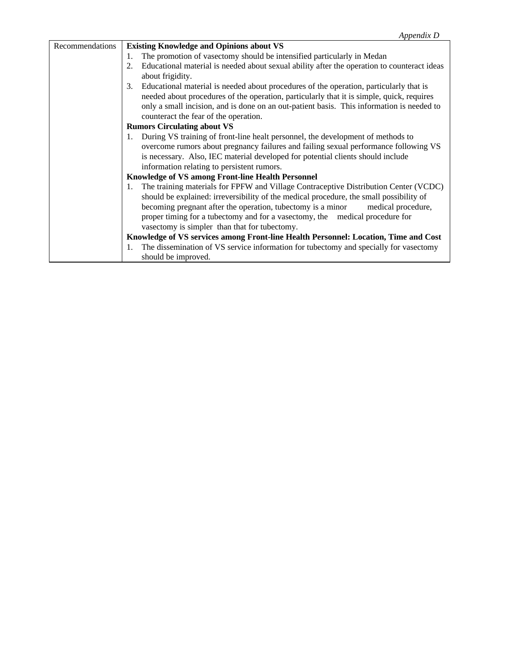| Recommendations | <b>Existing Knowledge and Opinions about VS</b>                                              |
|-----------------|----------------------------------------------------------------------------------------------|
|                 | The promotion of vasectomy should be intensified particularly in Medan                       |
|                 | Educational material is needed about sexual ability after the operation to counteract ideas  |
|                 | about frigidity.                                                                             |
|                 | Educational material is needed about procedures of the operation, particularly that is<br>3. |
|                 | needed about procedures of the operation, particularly that it is simple, quick, requires    |
|                 | only a small incision, and is done on an out-patient basis. This information is needed to    |
|                 | counteract the fear of the operation.                                                        |
|                 | <b>Rumors Circulating about VS</b>                                                           |
|                 | During VS training of front-line healt personnel, the development of methods to              |
|                 | overcome rumors about pregnancy failures and failing sexual performance following VS         |
|                 | is necessary. Also, IEC material developed for potential clients should include              |
|                 | information relating to persistent rumors.                                                   |
|                 | Knowledge of VS among Front-line Health Personnel                                            |
|                 | The training materials for FPFW and Village Contraceptive Distribution Center (VCDC)         |
|                 | should be explained: irreversibility of the medical procedure, the small possibility of      |
|                 | becoming pregnant after the operation, tubectomy is a minor medical procedure,               |
|                 | proper timing for a tubectomy and for a vasectomy, the medical procedure for                 |
|                 | vasectomy is simpler than that for tubectomy.                                                |
|                 | Knowledge of VS services among Front-line Health Personnel: Location, Time and Cost          |
|                 | The dissemination of VS service information for tubectomy and specially for vasectomy<br>1.  |
|                 | should be improved.                                                                          |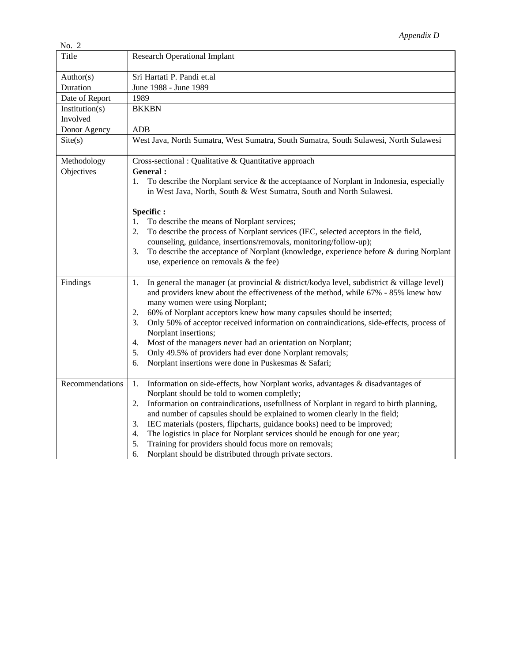| No. 2                      |                                                                                                                                                                                                                                                                                                                                                                                                                                                                                                                                                                                                                                           |
|----------------------------|-------------------------------------------------------------------------------------------------------------------------------------------------------------------------------------------------------------------------------------------------------------------------------------------------------------------------------------------------------------------------------------------------------------------------------------------------------------------------------------------------------------------------------------------------------------------------------------------------------------------------------------------|
| Title                      | <b>Research Operational Implant</b>                                                                                                                                                                                                                                                                                                                                                                                                                                                                                                                                                                                                       |
| Author(s)                  | Sri Hartati P. Pandi et.al                                                                                                                                                                                                                                                                                                                                                                                                                                                                                                                                                                                                                |
| Duration                   | June 1988 - June 1989                                                                                                                                                                                                                                                                                                                                                                                                                                                                                                                                                                                                                     |
| Date of Report             | 1989                                                                                                                                                                                                                                                                                                                                                                                                                                                                                                                                                                                                                                      |
| Institution(s)<br>Involved | <b>BKKBN</b>                                                                                                                                                                                                                                                                                                                                                                                                                                                                                                                                                                                                                              |
| Donor Agency               | <b>ADB</b>                                                                                                                                                                                                                                                                                                                                                                                                                                                                                                                                                                                                                                |
| $\text{Site}(s)$           | West Java, North Sumatra, West Sumatra, South Sumatra, South Sulawesi, North Sulawesi                                                                                                                                                                                                                                                                                                                                                                                                                                                                                                                                                     |
| Methodology                | Cross-sectional : Qualitative & Quantitative approach                                                                                                                                                                                                                                                                                                                                                                                                                                                                                                                                                                                     |
| Objectives                 | General :<br>To describe the Norplant service $\&$ the acceptaance of Norplant in Indonesia, especially<br>1.<br>in West Java, North, South & West Sumatra, South and North Sulawesi.                                                                                                                                                                                                                                                                                                                                                                                                                                                     |
|                            | Specific:                                                                                                                                                                                                                                                                                                                                                                                                                                                                                                                                                                                                                                 |
|                            | To describe the means of Norplant services;<br>1.<br>To describe the process of Norplant services (IEC, selected acceptors in the field,<br>2.<br>counseling, guidance, insertions/removals, monitoring/follow-up);<br>To describe the acceptance of Norplant (knowledge, experience before & during Norplant<br>3.<br>use, experience on removals & the fee)                                                                                                                                                                                                                                                                             |
| Findings                   | In general the manager (at provincial $&$ district/kodya level, subdistrict $&$ village level)<br>1.<br>and providers knew about the effectiveness of the method, while 67% - 85% knew how<br>many women were using Norplant;<br>60% of Norplant acceptors knew how many capsules should be inserted;<br>2.<br>Only 50% of acceptor received information on contraindications, side-effects, process of<br>3.<br>Norplant insertions;<br>Most of the managers never had an orientation on Norplant;<br>4.<br>Only 49.5% of providers had ever done Norplant removals;<br>5.<br>Norplant insertions were done in Puskesmas & Safari;<br>6. |
| Recommendations            | Information on side-effects, how Norplant works, advantages & disadvantages of<br>1.<br>Norplant should be told to women completly;<br>Information on contraindications, usefullness of Norplant in regard to birth planning,<br>2.<br>and number of capsules should be explained to women clearly in the field;<br>IEC materials (posters, flipcharts, guidance books) need to be improved;<br>3.<br>The logistics in place for Norplant services should be enough for one year;<br>4.<br>Training for providers should focus more on removals;<br>5.<br>Norplant should be distributed through private sectors.<br>6.                   |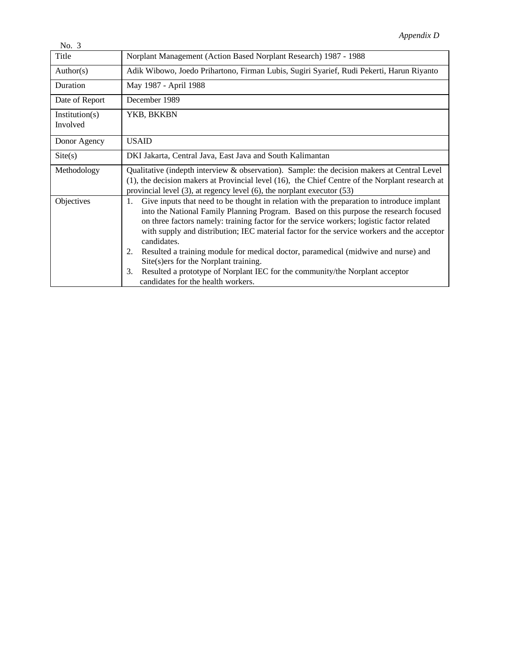| No. $3$                    |                                                                                                                                                                                                                                                                                                                                                                                                                                                                                                                                                                                                                                                                     |
|----------------------------|---------------------------------------------------------------------------------------------------------------------------------------------------------------------------------------------------------------------------------------------------------------------------------------------------------------------------------------------------------------------------------------------------------------------------------------------------------------------------------------------------------------------------------------------------------------------------------------------------------------------------------------------------------------------|
| Title                      | Norplant Management (Action Based Norplant Research) 1987 - 1988                                                                                                                                                                                                                                                                                                                                                                                                                                                                                                                                                                                                    |
| Author(s)                  | Adik Wibowo, Joedo Prihartono, Firman Lubis, Sugiri Syarief, Rudi Pekerti, Harun Riyanto                                                                                                                                                                                                                                                                                                                                                                                                                                                                                                                                                                            |
| Duration                   | May 1987 - April 1988                                                                                                                                                                                                                                                                                                                                                                                                                                                                                                                                                                                                                                               |
| Date of Report             | December 1989                                                                                                                                                                                                                                                                                                                                                                                                                                                                                                                                                                                                                                                       |
| Institution(s)<br>Involved | YKB, BKKBN                                                                                                                                                                                                                                                                                                                                                                                                                                                                                                                                                                                                                                                          |
| Donor Agency               | <b>USAID</b>                                                                                                                                                                                                                                                                                                                                                                                                                                                                                                                                                                                                                                                        |
| $\text{Site}(s)$           | DKI Jakarta, Central Java, East Java and South Kalimantan                                                                                                                                                                                                                                                                                                                                                                                                                                                                                                                                                                                                           |
| Methodology                | Qualitative (indepth interview & observation). Sample: the decision makers at Central Level<br>(1), the decision makers at Provincial level (16), the Chief Centre of the Norplant research at<br>provincial level $(3)$ , at regency level $(6)$ , the norplant executor $(53)$                                                                                                                                                                                                                                                                                                                                                                                    |
| Objectives                 | Give inputs that need to be thought in relation with the preparation to introduce implant<br>1.<br>into the National Family Planning Program. Based on this purpose the research focused<br>on three factors namely: training factor for the service workers; logistic factor related<br>with supply and distribution; IEC material factor for the service workers and the acceptor<br>candidates.<br>Resulted a training module for medical doctor, paramedical (midwive and nurse) and<br>2.<br>Site(s)ers for the Norplant training.<br>Resulted a prototype of Norplant IEC for the community/the Norplant acceptor<br>3.<br>candidates for the health workers. |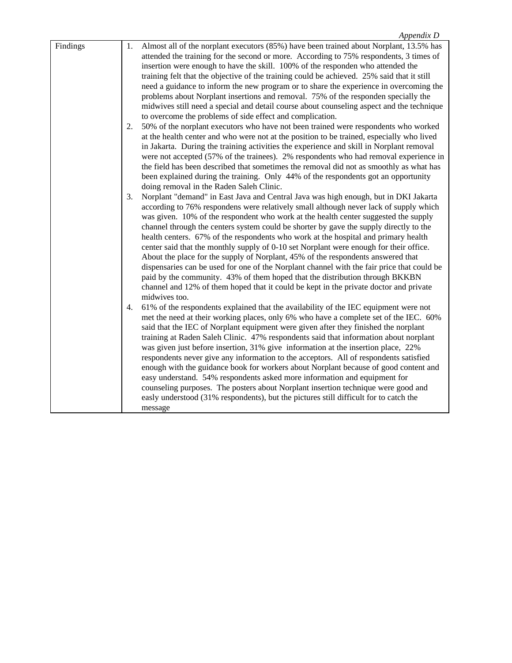| Findings | 1. | Almost all of the norplant executors (85%) have been trained about Norplant, 13.5% has     |
|----------|----|--------------------------------------------------------------------------------------------|
|          |    | attended the training for the second or more. According to 75% respondents, 3 times of     |
|          |    | insertion were enough to have the skill. 100% of the responden who attended the            |
|          |    | training felt that the objective of the training could be achieved. 25% said that it still |
|          |    | need a guidance to inform the new program or to share the experience in overcoming the     |
|          |    | problems about Norplant insertions and removal. 75% of the responden specially the         |
|          |    | midwives still need a special and detail course about counseling aspect and the technique  |
|          |    | to overcome the problems of side effect and complication.                                  |
|          | 2. | 50% of the norplant executors who have not been trained were respondents who worked        |
|          |    | at the health center and who were not at the position to be trained, especially who lived  |
|          |    | in Jakarta. During the training activities the experience and skill in Norplant removal    |
|          |    |                                                                                            |
|          |    | were not accepted (57% of the trainees). 2% respondents who had removal experience in      |
|          |    | the field has been described that sometimes the removal did not as smoothly as what has    |
|          |    | been explained during the training. Only 44% of the respondents got an opportunity         |
|          |    | doing removal in the Raden Saleh Clinic.                                                   |
|          | 3. | Norplant "demand" in East Java and Central Java was high enough, but in DKI Jakarta        |
|          |    | according to 76% respondens were relatively small although never lack of supply which      |
|          |    | was given. 10% of the respondent who work at the health center suggested the supply        |
|          |    | channel through the centers system could be shorter by gave the supply directly to the     |
|          |    | health centers. 67% of the respondents who work at the hospital and primary health         |
|          |    | center said that the monthly supply of 0-10 set Norplant were enough for their office.     |
|          |    | About the place for the supply of Norplant, 45% of the respondents answered that           |
|          |    | dispensaries can be used for one of the Norplant channel with the fair price that could be |
|          |    | paid by the community. 43% of them hoped that the distribution through BKKBN               |
|          |    | channel and 12% of them hoped that it could be kept in the private doctor and private      |
|          |    | midwives too.                                                                              |
|          | 4. | 61% of the respondents explained that the availability of the IEC equipment were not       |
|          |    | met the need at their working places, only 6% who have a complete set of the IEC. 60%      |
|          |    | said that the IEC of Norplant equipment were given after they finished the norplant        |
|          |    | training at Raden Saleh Clinic. 47% respondents said that information about norplant       |
|          |    | was given just before insertion, 31% give information at the insertion place, 22%          |
|          |    | respondents never give any information to the acceptors. All of respondents satisfied      |
|          |    |                                                                                            |
|          |    | enough with the guidance book for workers about Norplant because of good content and       |
|          |    | easy understand. 54% respondents asked more information and equipment for                  |
|          |    | counseling purposes. The posters about Norplant insertion technique were good and          |
|          |    | easly understood (31% respondents), but the pictures still difficult for to catch the      |
|          |    | message                                                                                    |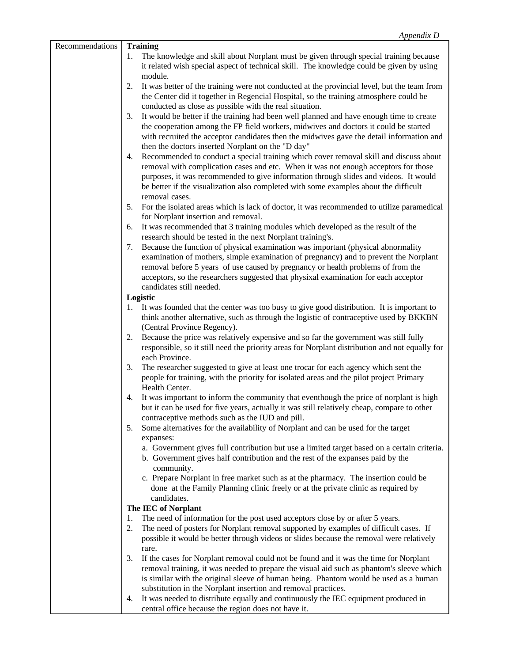| Recommendations | <b>Training</b>                                                                                                                                                                                       |
|-----------------|-------------------------------------------------------------------------------------------------------------------------------------------------------------------------------------------------------|
|                 | The knowledge and skill about Norplant must be given through special training because<br>1.<br>it related wish special aspect of technical skill. The knowledge could be given by using               |
|                 | module.<br>It was better of the training were not conducted at the provincial level, but the team from<br>2.<br>the Center did it together in Regencial Hospital, so the training atmosphere could be |
|                 | conducted as close as possible with the real situation.                                                                                                                                               |
|                 | It would be better if the training had been well planned and have enough time to create<br>3.                                                                                                         |
|                 | the cooperation among the FP field workers, midwives and doctors it could be started                                                                                                                  |
|                 | with recruited the acceptor candidates then the midwives gave the detail information and                                                                                                              |
|                 | then the doctors inserted Norplant on the "D day"                                                                                                                                                     |
|                 | Recommended to conduct a special training which cover removal skill and discuss about<br>4.                                                                                                           |
|                 | removal with complication cases and etc. When it was not enough acceptors for those                                                                                                                   |
|                 | purposes, it was recommended to give information through slides and videos. It would                                                                                                                  |
|                 | be better if the visualization also completed with some examples about the difficult<br>removal cases.                                                                                                |
|                 | 5.<br>For the isolated areas which is lack of doctor, it was recommended to utilize paramedical                                                                                                       |
|                 | for Norplant insertion and removal.                                                                                                                                                                   |
|                 | It was recommended that 3 training modules which developed as the result of the<br>6.                                                                                                                 |
|                 | research should be tested in the next Norplant training's.                                                                                                                                            |
|                 | Because the function of physical examination was important (physical abnormality<br>7.                                                                                                                |
|                 | examination of mothers, simple examination of pregnancy) and to prevent the Norplant                                                                                                                  |
|                 | removal before 5 years of use caused by pregnancy or health problems of from the                                                                                                                      |
|                 | acceptors, so the researchers suggested that physixal examination for each acceptor<br>candidates still needed.                                                                                       |
|                 | Logistic                                                                                                                                                                                              |
|                 | It was founded that the center was too busy to give good distribution. It is important to<br>1.                                                                                                       |
|                 | think another alternative, such as through the logistic of contraceptive used by BKKBN                                                                                                                |
|                 | (Central Province Regency).                                                                                                                                                                           |
|                 | Because the price was relatively expensive and so far the government was still fully<br>2.                                                                                                            |
|                 | responsible, so it still need the priority areas for Norplant distribution and not equally for                                                                                                        |
|                 | each Province.<br>The researcher suggested to give at least one trocar for each agency which sent the<br>3.                                                                                           |
|                 | people for training, with the priority for isolated areas and the pilot project Primary                                                                                                               |
|                 | Health Center.                                                                                                                                                                                        |
|                 | It was important to inform the community that eventhough the price of norplant is high<br>4.                                                                                                          |
|                 | but it can be used for five years, actually it was still relatively cheap, compare to other                                                                                                           |
|                 | contraceptive methods such as the IUD and pill.                                                                                                                                                       |
|                 | Some alternatives for the availability of Norplant and can be used for the target<br>5.                                                                                                               |
|                 | expanses:<br>a. Government gives full contribution but use a limited target based on a certain criteria.                                                                                              |
|                 | b. Government gives half contribution and the rest of the expanses paid by the                                                                                                                        |
|                 | community.                                                                                                                                                                                            |
|                 | c. Prepare Norplant in free market such as at the pharmacy. The insertion could be                                                                                                                    |
|                 | done at the Family Planning clinic freely or at the private clinic as required by                                                                                                                     |
|                 | candidates.                                                                                                                                                                                           |
|                 | The IEC of Norplant<br>The need of information for the post used acceptors close by or after 5 years.<br>1.                                                                                           |
|                 | The need of posters for Norplant removal supported by examples of difficult cases. If<br>2.                                                                                                           |
|                 | possible it would be better through videos or slides because the removal were relatively                                                                                                              |
|                 | rare.                                                                                                                                                                                                 |
|                 | 3.<br>If the cases for Norplant removal could not be found and it was the time for Norplant                                                                                                           |
|                 | removal training, it was needed to prepare the visual aid such as phantom's sleeve which                                                                                                              |
|                 | is similar with the original sleeve of human being. Phantom would be used as a human                                                                                                                  |
|                 | substitution in the Norplant insertion and removal practices.<br>It was needed to distribute equally and continuously the IEC equipment produced in<br>4.                                             |
|                 | central office because the region does not have it.                                                                                                                                                   |
|                 |                                                                                                                                                                                                       |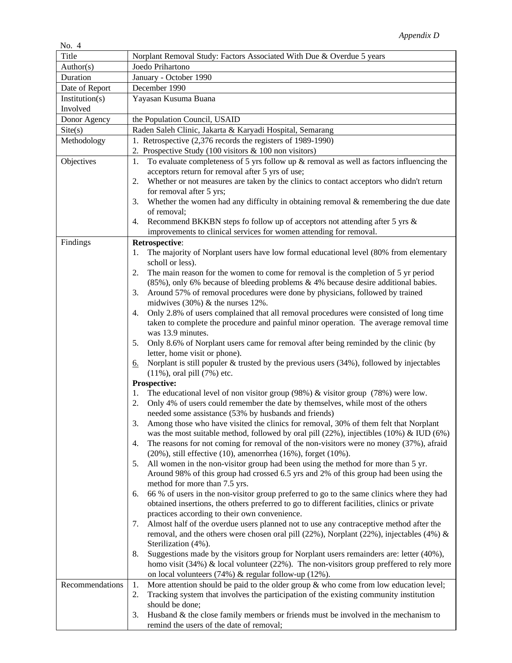| Title           | Norplant Removal Study: Factors Associated With Due & Overdue 5 years                                                                                                                          |
|-----------------|------------------------------------------------------------------------------------------------------------------------------------------------------------------------------------------------|
| Author(s)       | Joedo Prihartono                                                                                                                                                                               |
| Duration        | January - October 1990                                                                                                                                                                         |
| Date of Report  | December 1990                                                                                                                                                                                  |
| Institution(s)  | Yayasan Kusuma Buana                                                                                                                                                                           |
| Involved        |                                                                                                                                                                                                |
| Donor Agency    | the Population Council, USAID                                                                                                                                                                  |
| Site(s)         | Raden Saleh Clinic, Jakarta & Karyadi Hospital, Semarang                                                                                                                                       |
| Methodology     | 1. Retrospective (2,376 records the registers of 1989-1990)                                                                                                                                    |
|                 | 2. Prospective Study (100 visitors & 100 non visitors)                                                                                                                                         |
| Objectives      | To evaluate completeness of 5 yrs follow up $\&$ removal as well as factors influencing the<br>1.                                                                                              |
|                 | acceptors return for removal after 5 yrs of use;                                                                                                                                               |
|                 | Whether or not measures are taken by the clinics to contact acceptors who didn't return<br>2.<br>for removal after 5 yrs;                                                                      |
|                 | Whether the women had any difficulty in obtaining removal $\&$ remembering the due date<br>3.                                                                                                  |
|                 | of removal;                                                                                                                                                                                    |
|                 | Recommend BKKBN steps fo follow up of acceptors not attending after 5 yrs &<br>4.                                                                                                              |
|                 | improvements to clinical services for women attending for removal.                                                                                                                             |
| Findings        | Retrospective:                                                                                                                                                                                 |
|                 | The majority of Norplant users have low formal educational level (80% from elementary<br>1.                                                                                                    |
|                 | scholl or less).                                                                                                                                                                               |
|                 | The main reason for the women to come for removal is the completion of 5 yr period<br>2.                                                                                                       |
|                 | $(85\%)$ , only 6% because of bleeding problems & 4% because desire additional babies.                                                                                                         |
|                 | Around 57% of removal procedures were done by physicians, followed by trained<br>3.<br>midwives $(30\%)$ & the nurses 12%.                                                                     |
|                 | Only 2.8% of users complained that all removal procedures were consisted of long time<br>4.                                                                                                    |
|                 | taken to complete the procedure and painful minor operation. The average removal time                                                                                                          |
|                 | was 13.9 minutes.                                                                                                                                                                              |
|                 | Only 8.6% of Norplant users came for removal after being reminded by the clinic (by<br>5.                                                                                                      |
|                 | letter, home visit or phone).                                                                                                                                                                  |
|                 | Norplant is still populer $\&$ trusted by the previous users (34%), followed by injectables<br>6.                                                                                              |
|                 | $(11\%)$ , oral pill $(7\%)$ etc.                                                                                                                                                              |
|                 | Prospective:                                                                                                                                                                                   |
|                 | The educational level of non visitor group $(98%)$ & visitor group $(78%)$ were low.<br>1.<br>Only 4% of users could remember the date by themselves, while most of the others<br>2.           |
|                 | needed some assistance (53% by husbands and friends)                                                                                                                                           |
|                 | Among those who have visited the clinics for removal, 30% of them felt that Norplant<br>3.                                                                                                     |
|                 | was the most suitable method, followed by oral pill (22%), injectibles (10%) & IUD (6%)                                                                                                        |
|                 | The reasons for not coming for removal of the non-visitors were no money (37%), afraid<br>4.                                                                                                   |
|                 | $(20\%)$ , still effective $(10)$ , amenorrhea $(16\%)$ , forget $(10\%)$ .                                                                                                                    |
|                 | All women in the non-visitor group had been using the method for more than 5 yr.<br>5.                                                                                                         |
|                 | Around 98% of this group had crossed 6.5 yrs and 2% of this group had been using the                                                                                                           |
|                 | method for more than 7.5 yrs.                                                                                                                                                                  |
|                 | 66 % of users in the non-visitor group preferred to go to the same clinics where they had<br>6.<br>obtained insertions, the others preferred to go to different facilities, clinics or private |
|                 | practices according to their own convenience.                                                                                                                                                  |
|                 | Almost half of the overdue users planned not to use any contraceptive method after the<br>7.                                                                                                   |
|                 | removal, and the others were chosen oral pill (22%), Norplant (22%), injectables (4%) &                                                                                                        |
|                 | Sterilization (4%).                                                                                                                                                                            |
|                 | Suggestions made by the visitors group for Norplant users remainders are: letter (40%),<br>8.                                                                                                  |
|                 | homo visit $(34%)$ & local volunteer $(22%)$ . The non-visitors group preffered to rely more                                                                                                   |
|                 | on local volunteers $(74%)$ & regular follow-up $(12%)$ .                                                                                                                                      |
| Recommendations | More attention should be paid to the older group $\&$ who come from low education level;<br>1.                                                                                                 |
|                 | Tracking system that involves the participation of the existing community institution<br>2.                                                                                                    |
|                 | should be done;<br>Husband $\&$ the close family members or friends must be involved in the mechanism to<br>3.                                                                                 |
|                 | remind the users of the date of removal;                                                                                                                                                       |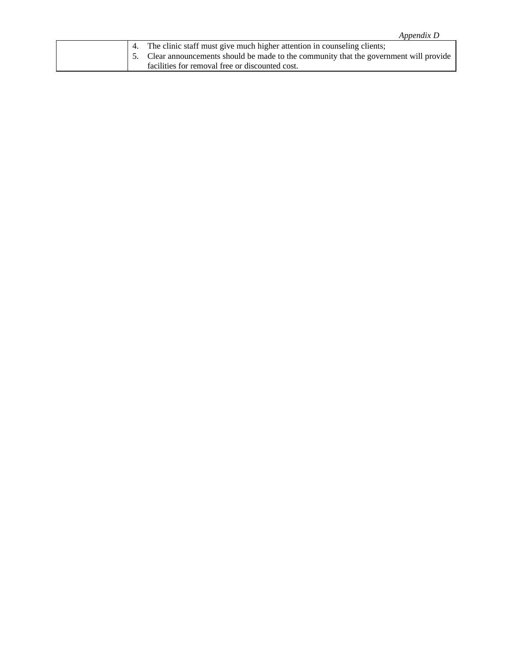| Appendix D |  |
|------------|--|
|            |  |

| 4. The clinic staff must give much higher attention in counseling clients;              |
|-----------------------------------------------------------------------------------------|
| 5. Clear announcements should be made to the community that the government will provide |
| facilities for removal free or discounted cost.                                         |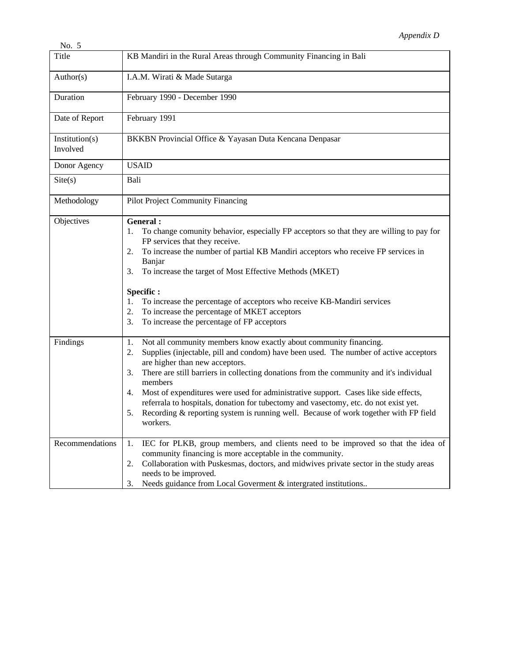| 150.                       |                                                                                                                                                                                                                                                                                                                                                                                                                                                                                                                                                                                                                     |
|----------------------------|---------------------------------------------------------------------------------------------------------------------------------------------------------------------------------------------------------------------------------------------------------------------------------------------------------------------------------------------------------------------------------------------------------------------------------------------------------------------------------------------------------------------------------------------------------------------------------------------------------------------|
| Title                      | KB Mandiri in the Rural Areas through Community Financing in Bali                                                                                                                                                                                                                                                                                                                                                                                                                                                                                                                                                   |
| Author(s)                  | I.A.M. Wirati & Made Sutarga                                                                                                                                                                                                                                                                                                                                                                                                                                                                                                                                                                                        |
| Duration                   | February 1990 - December 1990                                                                                                                                                                                                                                                                                                                                                                                                                                                                                                                                                                                       |
| Date of Report             | February 1991                                                                                                                                                                                                                                                                                                                                                                                                                                                                                                                                                                                                       |
| Institution(s)<br>Involved | BKKBN Provincial Office & Yayasan Duta Kencana Denpasar                                                                                                                                                                                                                                                                                                                                                                                                                                                                                                                                                             |
| Donor Agency               | <b>USAID</b>                                                                                                                                                                                                                                                                                                                                                                                                                                                                                                                                                                                                        |
| $\text{Site}(s)$           | Bali                                                                                                                                                                                                                                                                                                                                                                                                                                                                                                                                                                                                                |
| Methodology                | <b>Pilot Project Community Financing</b>                                                                                                                                                                                                                                                                                                                                                                                                                                                                                                                                                                            |
| Objectives                 | General:<br>To change comunity behavior, especially FP acceptors so that they are willing to pay for<br>1.<br>FP services that they receive.<br>To increase the number of partial KB Mandiri acceptors who receive FP services in<br>2.<br>Banjar<br>To increase the target of Most Effective Methods (MKET)<br>3.<br>Specific:<br>To increase the percentage of acceptors who receive KB-Mandiri services<br>1.<br>To increase the percentage of MKET acceptors<br>2.<br>To increase the percentage of FP acceptors<br>3.                                                                                          |
| Findings                   | Not all community members know exactly about community financing.<br>1.<br>Supplies (injectable, pill and condom) have been used. The number of active acceptors<br>2.<br>are higher than new acceptors.<br>There are still barriers in collecting donations from the community and it's individual<br>3.<br>members<br>Most of expenditures were used for administrative support. Cases like side effects,<br>4.<br>referrala to hospitals, donation for tubectomy and vasectomy, etc. do not exist yet.<br>Recording & reporting system is running well. Because of work together with FP field<br>5.<br>workers. |
| Recommendations            | IEC for PLKB, group members, and clients need to be improved so that the idea of<br>1.<br>community financing is more acceptable in the community.<br>Collaboration with Puskesmas, doctors, and midwives private sector in the study areas<br>2.<br>needs to be improved.<br>Needs guidance from Local Governent & intergrated institutions<br>3.                                                                                                                                                                                                                                                                  |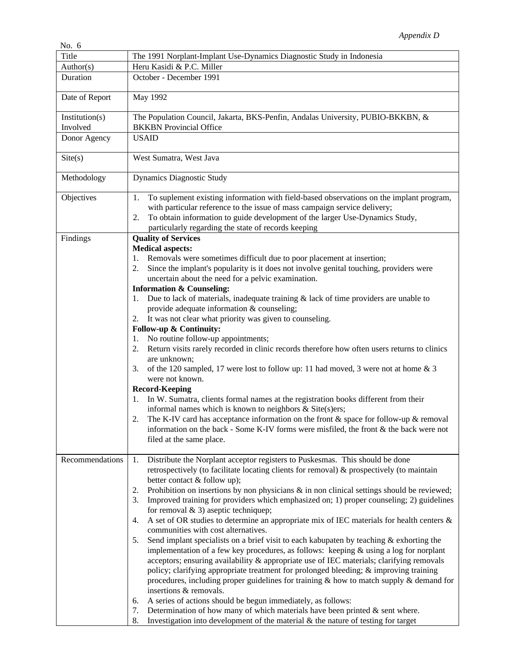| No. $6$         |                                                                                                                                                                                                                                                                                                                                                                                                                                                                                                                                                                                                                                                                                                                                                                                                                                                                                                                                                                                                                                                                                                                                                                                                                                                                                                                                                                                            |
|-----------------|--------------------------------------------------------------------------------------------------------------------------------------------------------------------------------------------------------------------------------------------------------------------------------------------------------------------------------------------------------------------------------------------------------------------------------------------------------------------------------------------------------------------------------------------------------------------------------------------------------------------------------------------------------------------------------------------------------------------------------------------------------------------------------------------------------------------------------------------------------------------------------------------------------------------------------------------------------------------------------------------------------------------------------------------------------------------------------------------------------------------------------------------------------------------------------------------------------------------------------------------------------------------------------------------------------------------------------------------------------------------------------------------|
| Title           | The 1991 Norplant-Implant Use-Dynamics Diagnostic Study in Indonesia                                                                                                                                                                                                                                                                                                                                                                                                                                                                                                                                                                                                                                                                                                                                                                                                                                                                                                                                                                                                                                                                                                                                                                                                                                                                                                                       |
| Author(s)       | Heru Kasidi & P.C. Miller                                                                                                                                                                                                                                                                                                                                                                                                                                                                                                                                                                                                                                                                                                                                                                                                                                                                                                                                                                                                                                                                                                                                                                                                                                                                                                                                                                  |
| Duration        | October - December 1991                                                                                                                                                                                                                                                                                                                                                                                                                                                                                                                                                                                                                                                                                                                                                                                                                                                                                                                                                                                                                                                                                                                                                                                                                                                                                                                                                                    |
| Date of Report  | May 1992                                                                                                                                                                                                                                                                                                                                                                                                                                                                                                                                                                                                                                                                                                                                                                                                                                                                                                                                                                                                                                                                                                                                                                                                                                                                                                                                                                                   |
| Institution(s)  | The Population Council, Jakarta, BKS-Penfin, Andalas University, PUBIO-BKKBN, &                                                                                                                                                                                                                                                                                                                                                                                                                                                                                                                                                                                                                                                                                                                                                                                                                                                                                                                                                                                                                                                                                                                                                                                                                                                                                                            |
| Involved        | <b>BKKBN</b> Provincial Office                                                                                                                                                                                                                                                                                                                                                                                                                                                                                                                                                                                                                                                                                                                                                                                                                                                                                                                                                                                                                                                                                                                                                                                                                                                                                                                                                             |
| Donor Agency    | <b>USAID</b>                                                                                                                                                                                                                                                                                                                                                                                                                                                                                                                                                                                                                                                                                                                                                                                                                                                                                                                                                                                                                                                                                                                                                                                                                                                                                                                                                                               |
| Site(s)         | West Sumatra, West Java                                                                                                                                                                                                                                                                                                                                                                                                                                                                                                                                                                                                                                                                                                                                                                                                                                                                                                                                                                                                                                                                                                                                                                                                                                                                                                                                                                    |
| Methodology     | <b>Dynamics Diagnostic Study</b>                                                                                                                                                                                                                                                                                                                                                                                                                                                                                                                                                                                                                                                                                                                                                                                                                                                                                                                                                                                                                                                                                                                                                                                                                                                                                                                                                           |
| Objectives      | To suplement existing information with field-based observations on the implant program,<br>1.<br>with particular reference to the issue of mass campaign service delivery;<br>To obtain information to guide development of the larger Use-Dynamics Study,<br>2.<br>particularly regarding the state of records keeping                                                                                                                                                                                                                                                                                                                                                                                                                                                                                                                                                                                                                                                                                                                                                                                                                                                                                                                                                                                                                                                                    |
| Findings        | <b>Quality of Services</b><br><b>Medical aspects:</b><br>Removals were sometimes difficult due to poor placement at insertion;<br>Since the implant's popularity is it does not involve genital touching, providers were<br>2.<br>uncertain about the need for a pelvic examination.<br><b>Information &amp; Counseling:</b><br>Due to lack of materials, inadequate training $&$ lack of time providers are unable to<br>provide adequate information & counseling;<br>It was not clear what priority was given to counseling.<br>2.<br>Follow-up & Continuity:<br>No routine follow-up appointments;<br>1.<br>Return visits rarely recorded in clinic records therefore how often users returns to clinics<br>2.<br>are unknown;<br>of the 120 sampled, 17 were lost to follow up: 11 had moved, 3 were not at home $\&$ 3<br>3.<br>were not known.<br><b>Record-Keeping</b><br>In W. Sumatra, clients formal names at the registration books different from their<br>informal names which is known to neighbors $&$ Site(s)ers;<br>The K-IV card has acceptance information on the front $\&$ space for follow-up $\&$ removal<br>information on the back - Some K-IV forms were misfiled, the front & the back were not<br>filed at the same place.                                                                                                                                    |
| Recommendations | Distribute the Norplant acceptor registers to Puskesmas. This should be done<br>1.<br>retrospectively (to facilitate locating clients for removal) & prospectively (to maintain<br>better contact & follow up);<br>Prohibition on insertions by non physicians $\&$ in non clinical settings should be reviewed;<br>2.<br>Improved training for providers which emphasized on; 1) proper counseling; 2) guidelines<br>3.<br>for removal $\&$ 3) aseptic techniquep;<br>A set of OR studies to determine an appropriate mix of IEC materials for health centers &<br>4.<br>communities with cost alternatives.<br>Send implant specialists on a brief visit to each kabupaten by teaching $\&$ exhorting the<br>5.<br>implementation of a few key procedures, as follows: keeping $&$ using a log for norplant<br>acceptors; ensuring availability & appropriate use of IEC materials; clarifying removals<br>policy; clarifying appropriate treatment for prolonged bleeding; & improving training<br>procedures, including proper guidelines for training $\&$ how to match supply $\&$ demand for<br>insertions & removals.<br>A series of actions should be begun immediately, as follows:<br>6.<br>Determination of how many of which materials have been printed $\&$ sent where.<br>7.<br>Investigation into development of the material $\&$ the nature of testing for target<br>8. |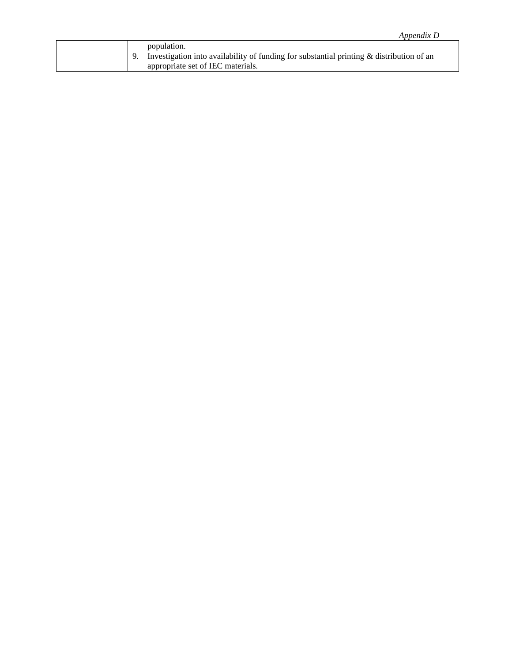| Appendix D                                                                                                                                   |  |
|----------------------------------------------------------------------------------------------------------------------------------------------|--|
| population.<br>Investigation into availability of funding for substantial printing & distribution of an<br>appropriate set of IEC materials. |  |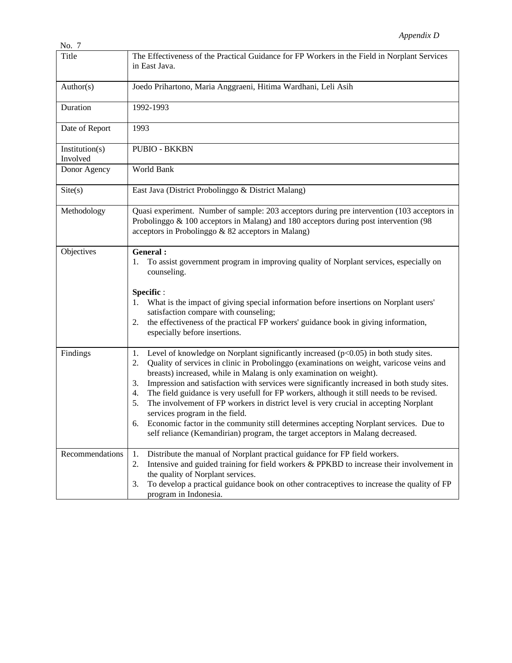| 1 V.O                      |                                                                                                                                                                                                                                                                                                                                                                                                                                                                                                                                                                                                                                                                                                               |
|----------------------------|---------------------------------------------------------------------------------------------------------------------------------------------------------------------------------------------------------------------------------------------------------------------------------------------------------------------------------------------------------------------------------------------------------------------------------------------------------------------------------------------------------------------------------------------------------------------------------------------------------------------------------------------------------------------------------------------------------------|
| Title                      | The Effectiveness of the Practical Guidance for FP Workers in the Field in Norplant Services<br>in East Java.                                                                                                                                                                                                                                                                                                                                                                                                                                                                                                                                                                                                 |
| Author(s)                  | Joedo Prihartono, Maria Anggraeni, Hitima Wardhani, Leli Asih                                                                                                                                                                                                                                                                                                                                                                                                                                                                                                                                                                                                                                                 |
| Duration                   | 1992-1993                                                                                                                                                                                                                                                                                                                                                                                                                                                                                                                                                                                                                                                                                                     |
| Date of Report             | 1993                                                                                                                                                                                                                                                                                                                                                                                                                                                                                                                                                                                                                                                                                                          |
| Institution(s)<br>Involved | <b>PUBIO - BKKBN</b>                                                                                                                                                                                                                                                                                                                                                                                                                                                                                                                                                                                                                                                                                          |
| Donor Agency               | World Bank                                                                                                                                                                                                                                                                                                                                                                                                                                                                                                                                                                                                                                                                                                    |
| Site(s)                    | East Java (District Probolinggo & District Malang)                                                                                                                                                                                                                                                                                                                                                                                                                                                                                                                                                                                                                                                            |
| Methodology                | Quasi experiment. Number of sample: 203 acceptors during pre intervention (103 acceptors in<br>Probolinggo $\&$ 100 acceptors in Malang) and 180 acceptors during post intervention (98<br>acceptors in Probolinggo & 82 acceptors in Malang)                                                                                                                                                                                                                                                                                                                                                                                                                                                                 |
| Objectives                 | General:<br>To assist government program in improving quality of Norplant services, especially on<br>1.<br>counseling.<br>Specific:<br>What is the impact of giving special information before insertions on Norplant users'<br>satisfaction compare with counseling;                                                                                                                                                                                                                                                                                                                                                                                                                                         |
|                            | the effectiveness of the practical FP workers' guidance book in giving information,<br>2.<br>especially before insertions.                                                                                                                                                                                                                                                                                                                                                                                                                                                                                                                                                                                    |
| Findings                   | Level of knowledge on Norplant significantly increased $(p<0.05)$ in both study sites.<br>1.<br>Quality of services in clinic in Probolinggo (examinations on weight, varicose veins and<br>2.<br>breasts) increased, while in Malang is only examination on weight).<br>Impression and satisfaction with services were significantly increased in both study sites.<br>3.<br>The field guidance is very usefull for FP workers, although it still needs to be revised.<br>4.<br>The involvement of FP workers in district level is very crucial in accepting Norplant<br>5.<br>services program in the field.<br>Economic factor in the community still determines accepting Norplant services. Due to<br>6. |
|                            | self reliance (Kemandirian) program, the target acceptors in Malang decreased.                                                                                                                                                                                                                                                                                                                                                                                                                                                                                                                                                                                                                                |
| Recommendations            | Distribute the manual of Norplant practical guidance for FP field workers.<br>1.<br>Intensive and guided training for field workers & PPKBD to increase their involvement in<br>2.<br>the quality of Norplant services.<br>To develop a practical guidance book on other contraceptives to increase the quality of FP<br>3.                                                                                                                                                                                                                                                                                                                                                                                   |
|                            | program in Indonesia.                                                                                                                                                                                                                                                                                                                                                                                                                                                                                                                                                                                                                                                                                         |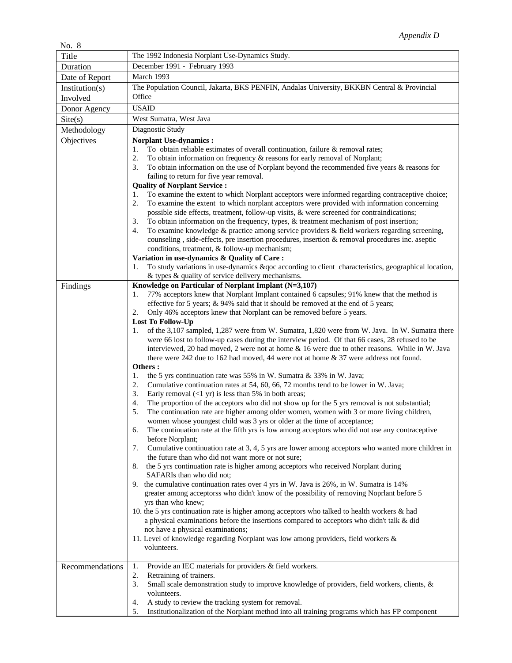| 110.0                      |                                                                                                                                                                                                                                                                                                                                                                                                                                                                                                                                                                                                                                                                                                                                                                                                                                                                                                                                                                                                                                                                                                                                                                                                                                                                                                                                                                                                                                                                                                                                                                                                                                                                                                                                                                                                                                                                                                                                                                                                                                                                                                                                                                                                                                                                                                                                                                         |
|----------------------------|-------------------------------------------------------------------------------------------------------------------------------------------------------------------------------------------------------------------------------------------------------------------------------------------------------------------------------------------------------------------------------------------------------------------------------------------------------------------------------------------------------------------------------------------------------------------------------------------------------------------------------------------------------------------------------------------------------------------------------------------------------------------------------------------------------------------------------------------------------------------------------------------------------------------------------------------------------------------------------------------------------------------------------------------------------------------------------------------------------------------------------------------------------------------------------------------------------------------------------------------------------------------------------------------------------------------------------------------------------------------------------------------------------------------------------------------------------------------------------------------------------------------------------------------------------------------------------------------------------------------------------------------------------------------------------------------------------------------------------------------------------------------------------------------------------------------------------------------------------------------------------------------------------------------------------------------------------------------------------------------------------------------------------------------------------------------------------------------------------------------------------------------------------------------------------------------------------------------------------------------------------------------------------------------------------------------------------------------------------------------------|
| Title                      | The 1992 Indonesia Norplant Use-Dynamics Study.                                                                                                                                                                                                                                                                                                                                                                                                                                                                                                                                                                                                                                                                                                                                                                                                                                                                                                                                                                                                                                                                                                                                                                                                                                                                                                                                                                                                                                                                                                                                                                                                                                                                                                                                                                                                                                                                                                                                                                                                                                                                                                                                                                                                                                                                                                                         |
| Duration                   | December 1991 - February 1993<br>March 1993                                                                                                                                                                                                                                                                                                                                                                                                                                                                                                                                                                                                                                                                                                                                                                                                                                                                                                                                                                                                                                                                                                                                                                                                                                                                                                                                                                                                                                                                                                                                                                                                                                                                                                                                                                                                                                                                                                                                                                                                                                                                                                                                                                                                                                                                                                                             |
| Date of Report             |                                                                                                                                                                                                                                                                                                                                                                                                                                                                                                                                                                                                                                                                                                                                                                                                                                                                                                                                                                                                                                                                                                                                                                                                                                                                                                                                                                                                                                                                                                                                                                                                                                                                                                                                                                                                                                                                                                                                                                                                                                                                                                                                                                                                                                                                                                                                                                         |
| Institution(s)<br>Involved | The Population Council, Jakarta, BKS PENFIN, Andalas University, BKKBN Central & Provincial<br>Office                                                                                                                                                                                                                                                                                                                                                                                                                                                                                                                                                                                                                                                                                                                                                                                                                                                                                                                                                                                                                                                                                                                                                                                                                                                                                                                                                                                                                                                                                                                                                                                                                                                                                                                                                                                                                                                                                                                                                                                                                                                                                                                                                                                                                                                                   |
|                            | <b>USAID</b>                                                                                                                                                                                                                                                                                                                                                                                                                                                                                                                                                                                                                                                                                                                                                                                                                                                                                                                                                                                                                                                                                                                                                                                                                                                                                                                                                                                                                                                                                                                                                                                                                                                                                                                                                                                                                                                                                                                                                                                                                                                                                                                                                                                                                                                                                                                                                            |
| Donor Agency               |                                                                                                                                                                                                                                                                                                                                                                                                                                                                                                                                                                                                                                                                                                                                                                                                                                                                                                                                                                                                                                                                                                                                                                                                                                                                                                                                                                                                                                                                                                                                                                                                                                                                                                                                                                                                                                                                                                                                                                                                                                                                                                                                                                                                                                                                                                                                                                         |
| Site(s)                    | West Sumatra, West Java                                                                                                                                                                                                                                                                                                                                                                                                                                                                                                                                                                                                                                                                                                                                                                                                                                                                                                                                                                                                                                                                                                                                                                                                                                                                                                                                                                                                                                                                                                                                                                                                                                                                                                                                                                                                                                                                                                                                                                                                                                                                                                                                                                                                                                                                                                                                                 |
| Methodology<br>Objectives  | Diagnostic Study<br><b>Norplant Use-dynamics:</b>                                                                                                                                                                                                                                                                                                                                                                                                                                                                                                                                                                                                                                                                                                                                                                                                                                                                                                                                                                                                                                                                                                                                                                                                                                                                                                                                                                                                                                                                                                                                                                                                                                                                                                                                                                                                                                                                                                                                                                                                                                                                                                                                                                                                                                                                                                                       |
|                            | To obtain reliable estimates of overall continuation, failure $&$ removal rates;<br>1.<br>To obtain information on frequency $\&$ reasons for early removal of Norplant;<br>2.<br>To obtain information on the use of Norplant beyond the recommended five years & reasons for<br>3.<br>failing to return for five year removal.<br><b>Quality of Norplant Service:</b><br>To examine the extent to which Norplant acceptors were informed regarding contraceptive choice;<br>1.<br>To examine the extent to which norplant acceptors were provided with information concerning<br>2.<br>possible side effects, treatment, follow-up visits, & were screened for contraindications;<br>To obtain information on the frequency, types, & treatment mechanism of post insertion;<br>3.<br>To examine knowledge $&$ practice among service providers $&$ field workers regarding screening,<br>4.<br>counseling, side-effects, pre insertion procedures, insertion & removal procedures inc. aseptic<br>conditions, treatment, & follow-up mechanism;                                                                                                                                                                                                                                                                                                                                                                                                                                                                                                                                                                                                                                                                                                                                                                                                                                                                                                                                                                                                                                                                                                                                                                                                                                                                                                                      |
|                            | Variation in use-dynamics & Quality of Care:<br>To study variations in use-dynamics &qoc according to client characteristics, geographical location,<br>1.                                                                                                                                                                                                                                                                                                                                                                                                                                                                                                                                                                                                                                                                                                                                                                                                                                                                                                                                                                                                                                                                                                                                                                                                                                                                                                                                                                                                                                                                                                                                                                                                                                                                                                                                                                                                                                                                                                                                                                                                                                                                                                                                                                                                              |
| Findings                   | & types & quality of service delivery mechanisms.<br>Knowledge on Particular of Norplant Implant (N=3,107)<br>77% acceptors knew that Norplant Implant contained 6 capsules; 91% knew that the method is<br>1.<br>effective for 5 years; & 94% said that it should be removed at the end of 5 years;<br>Only 46% acceptors knew that Norplant can be removed before 5 years.<br>2.<br><b>Lost To Follow-Up</b><br>of the 3,107 sampled, 1,287 were from W. Sumatra, 1,820 were from W. Java. In W. Sumatra there<br>1.<br>were 66 lost to follow-up cases during the interview period. Of that 66 cases, 28 refused to be<br>interviewed, 20 had moved, 2 were not at home & 16 were due to other reasons. While in W. Java<br>there were $242$ due to 162 had moved, 44 were not at home $\&$ 37 were address not found.<br>Others:<br>the 5 yrs continuation rate was 55% in W. Sumatra & 33% in W. Java;<br>1.<br>Cumulative continuation rates at 54, 60, 66, 72 months tend to be lower in W. Java;<br>2.<br>Early removal $(\langle 1 \text{ yr} \rangle)$ is less than 5% in both areas;<br>3.<br>The proportion of the acceptors who did not show up for the 5 yrs removal is not substantial;<br>4.<br>The continuation rate are higher among older women, women with 3 or more living children,<br>5.<br>women whose youngest child was 3 yrs or older at the time of acceptance;<br>The continuation rate at the fifth yrs is low among acceptors who did not use any contraceptive<br>6.<br>before Norplant;<br>Cumulative continuation rate at 3, 4, 5 yrs are lower among acceptors who wanted more children in<br>7.<br>the future than who did not want more or not sure;<br>the 5 yrs continuation rate is higher among acceptors who received Norplant during<br>8.<br>SAFARIs than who did not;<br>9. the cumulative continuation rates over 4 yrs in W. Java is 26%, in W. Sumatra is 14%<br>greater among acceptorss who didn't know of the possibility of removing Noprlant before 5<br>yrs than who knew;<br>10. the 5 yrs continuation rate is higher among acceptors who talked to health workers & had<br>a physical examinations before the insertions compared to acceptors who didn't talk & did<br>not have a physical examinations;<br>11. Level of knowledge regarding Norplant was low among providers, field workers &<br>volunteers. |
| Recommendations            | Provide an IEC materials for providers & field workers.<br>1.<br>2.<br>Retraining of trainers.<br>3.<br>Small scale demonstration study to improve knowledge of providers, field workers, clients, &<br>volunteers.                                                                                                                                                                                                                                                                                                                                                                                                                                                                                                                                                                                                                                                                                                                                                                                                                                                                                                                                                                                                                                                                                                                                                                                                                                                                                                                                                                                                                                                                                                                                                                                                                                                                                                                                                                                                                                                                                                                                                                                                                                                                                                                                                     |
|                            | A study to review the tracking system for removal.<br>4.<br>Institutionalization of the Norplant method into all training programs which has FP component<br>5.                                                                                                                                                                                                                                                                                                                                                                                                                                                                                                                                                                                                                                                                                                                                                                                                                                                                                                                                                                                                                                                                                                                                                                                                                                                                                                                                                                                                                                                                                                                                                                                                                                                                                                                                                                                                                                                                                                                                                                                                                                                                                                                                                                                                         |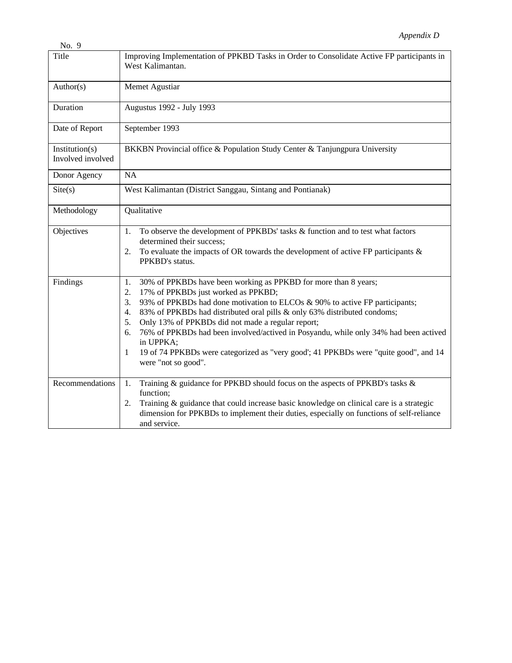| No. 9                               |                                                                                                                                                                                                                                                                                                                                                                                                                                                                                                                                                                                     |
|-------------------------------------|-------------------------------------------------------------------------------------------------------------------------------------------------------------------------------------------------------------------------------------------------------------------------------------------------------------------------------------------------------------------------------------------------------------------------------------------------------------------------------------------------------------------------------------------------------------------------------------|
| Title                               | Improving Implementation of PPKBD Tasks in Order to Consolidate Active FP participants in<br>West Kalimantan.                                                                                                                                                                                                                                                                                                                                                                                                                                                                       |
| Author(s)                           | Memet Agustiar                                                                                                                                                                                                                                                                                                                                                                                                                                                                                                                                                                      |
| Duration                            | Augustus 1992 - July 1993                                                                                                                                                                                                                                                                                                                                                                                                                                                                                                                                                           |
| Date of Report                      | September 1993                                                                                                                                                                                                                                                                                                                                                                                                                                                                                                                                                                      |
| Institution(s)<br>Involved involved | BKKBN Provincial office & Population Study Center & Tanjungpura University                                                                                                                                                                                                                                                                                                                                                                                                                                                                                                          |
| Donor Agency                        | NA                                                                                                                                                                                                                                                                                                                                                                                                                                                                                                                                                                                  |
| Site(s)                             | West Kalimantan (District Sanggau, Sintang and Pontianak)                                                                                                                                                                                                                                                                                                                                                                                                                                                                                                                           |
| Methodology                         | Qualitative                                                                                                                                                                                                                                                                                                                                                                                                                                                                                                                                                                         |
| Objectives                          | To observe the development of PPKBDs' tasks & function and to test what factors<br>1.<br>determined their success;<br>To evaluate the impacts of OR towards the development of active FP participants $\&$<br>2.<br>PPKBD's status.                                                                                                                                                                                                                                                                                                                                                 |
| Findings                            | 30% of PPKBDs have been working as PPKBD for more than 8 years;<br>1.<br>17% of PPKBDs just worked as PPKBD;<br>2.<br>93% of PPKBDs had done motivation to ELCOs & 90% to active FP participants;<br>3.<br>83% of PPKBDs had distributed oral pills & only 63% distributed condoms;<br>4.<br>Only 13% of PPKBDs did not made a regular report;<br>5.<br>76% of PPKBDs had been involved/actived in Posyandu, while only 34% had been actived<br>6.<br>in UPPKA;<br>19 of 74 PPKBDs were categorized as "very good'; 41 PPKBDs were "quite good", and 14<br>1<br>were "not so good". |
| Recommendations                     | Training & guidance for PPKBD should focus on the aspects of PPKBD's tasks &<br>1.<br>function;<br>Training & guidance that could increase basic knowledge on clinical care is a strategic<br>2.<br>dimension for PPKBDs to implement their duties, especially on functions of self-reliance<br>and service.                                                                                                                                                                                                                                                                        |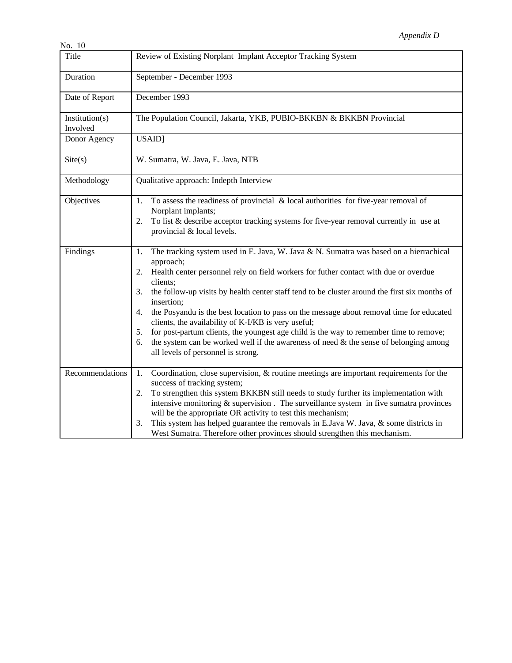| INO. IU                    |                                                                                                                                                                                                                                                                                                                                                                                                                                                                                                                                                                                                                                                                                                                                         |
|----------------------------|-----------------------------------------------------------------------------------------------------------------------------------------------------------------------------------------------------------------------------------------------------------------------------------------------------------------------------------------------------------------------------------------------------------------------------------------------------------------------------------------------------------------------------------------------------------------------------------------------------------------------------------------------------------------------------------------------------------------------------------------|
| Title                      | Review of Existing Norplant Implant Acceptor Tracking System                                                                                                                                                                                                                                                                                                                                                                                                                                                                                                                                                                                                                                                                            |
| Duration                   | September - December 1993                                                                                                                                                                                                                                                                                                                                                                                                                                                                                                                                                                                                                                                                                                               |
| Date of Report             | December 1993                                                                                                                                                                                                                                                                                                                                                                                                                                                                                                                                                                                                                                                                                                                           |
| Institution(s)<br>Involved | The Population Council, Jakarta, YKB, PUBIO-BKKBN & BKKBN Provincial                                                                                                                                                                                                                                                                                                                                                                                                                                                                                                                                                                                                                                                                    |
| Donor Agency               | USAID]                                                                                                                                                                                                                                                                                                                                                                                                                                                                                                                                                                                                                                                                                                                                  |
| Site(s)                    | W. Sumatra, W. Java, E. Java, NTB                                                                                                                                                                                                                                                                                                                                                                                                                                                                                                                                                                                                                                                                                                       |
| Methodology                | Qualitative approach: Indepth Interview                                                                                                                                                                                                                                                                                                                                                                                                                                                                                                                                                                                                                                                                                                 |
| Objectives                 | To assess the readiness of provincial $\&$ local authorities for five-year removal of<br>1.<br>Norplant implants;<br>To list $\&$ describe acceptor tracking systems for five-year removal currently in use at<br>2.<br>provincial & local levels.                                                                                                                                                                                                                                                                                                                                                                                                                                                                                      |
| Findings                   | The tracking system used in E. Java, W. Java & N. Sumatra was based on a hierrachical<br>1.<br>approach;<br>Health center personnel rely on field workers for futher contact with due or overdue<br>2.<br>clients;<br>the follow-up visits by health center staff tend to be cluster around the first six months of<br>3.<br>insertion;<br>the Posyandu is the best location to pass on the message about removal time for educated<br>4.<br>clients, the availability of K-I/KB is very useful;<br>for post-partum clients, the youngest age child is the way to remember time to remove;<br>5.<br>the system can be worked well if the awareness of need $&$ the sense of belonging among<br>6.<br>all levels of personnel is strong. |
| Recommendations            | Coordination, close supervision, & routine meetings are important requirements for the<br>1.<br>success of tracking system;<br>To strengthen this system BKKBN still needs to study further its implementation with<br>2.<br>intensive monitoring $&$ supervision. The surveillance system in five sumatra provinces<br>will be the appropriate OR activity to test this mechanism;<br>This system has helped guarantee the removals in E.Java W. Java, & some districts in<br>3.<br>West Sumatra. Therefore other provinces should strengthen this mechanism.                                                                                                                                                                          |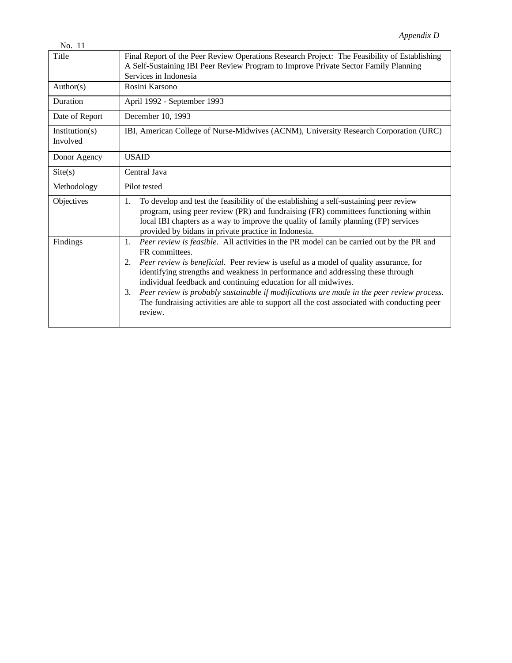| No. 11                     |                                                                                                                                                                                                                                                                                                                                                                                                                                                                                                                                                                                  |
|----------------------------|----------------------------------------------------------------------------------------------------------------------------------------------------------------------------------------------------------------------------------------------------------------------------------------------------------------------------------------------------------------------------------------------------------------------------------------------------------------------------------------------------------------------------------------------------------------------------------|
| Title                      | Final Report of the Peer Review Operations Research Project: The Feasibility of Establishing<br>A Self-Sustaining IBI Peer Review Program to Improve Private Sector Family Planning<br>Services in Indonesia                                                                                                                                                                                                                                                                                                                                                                     |
| Author(s)                  | Rosini Karsono                                                                                                                                                                                                                                                                                                                                                                                                                                                                                                                                                                   |
| Duration                   | April 1992 - September 1993                                                                                                                                                                                                                                                                                                                                                                                                                                                                                                                                                      |
| Date of Report             | December 10, 1993                                                                                                                                                                                                                                                                                                                                                                                                                                                                                                                                                                |
| Institution(s)<br>Involved | IBI, American College of Nurse-Midwives (ACNM), University Research Corporation (URC)                                                                                                                                                                                                                                                                                                                                                                                                                                                                                            |
| Donor Agency               | <b>USAID</b>                                                                                                                                                                                                                                                                                                                                                                                                                                                                                                                                                                     |
| Site(s)                    | Central Java                                                                                                                                                                                                                                                                                                                                                                                                                                                                                                                                                                     |
| Methodology                | Pilot tested                                                                                                                                                                                                                                                                                                                                                                                                                                                                                                                                                                     |
| Objectives                 | To develop and test the feasibility of the establishing a self-sustaining peer review<br>1.<br>program, using peer review (PR) and fundraising (FR) committees functioning within<br>local IBI chapters as a way to improve the quality of family planning (FP) services<br>provided by bidans in private practice in Indonesia.                                                                                                                                                                                                                                                 |
| Findings                   | Peer review is feasible. All activities in the PR model can be carried out by the PR and<br>1.<br>FR committees.<br>Peer review is beneficial. Peer review is useful as a model of quality assurance, for<br>2.<br>identifying strengths and weakness in performance and addressing these through<br>individual feedback and continuing education for all midwives.<br>Peer review is probably sustainable if modifications are made in the peer review process.<br>3.<br>The fundraising activities are able to support all the cost associated with conducting peer<br>review. |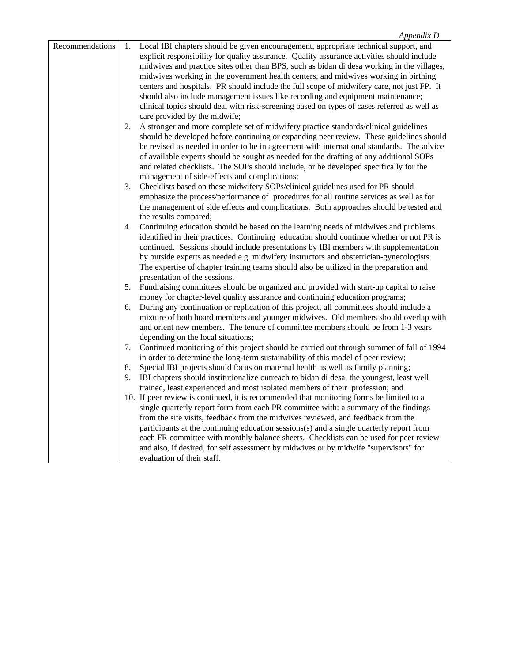| Local IBI chapters should be given encouragement, appropriate technical support, and<br>1.      |
|-------------------------------------------------------------------------------------------------|
| explicit responsibility for quality assurance. Quality assurance activities should include      |
| midwives and practice sites other than BPS, such as bidan di desa working in the villages,      |
| midwives working in the government health centers, and midwives working in birthing             |
| centers and hospitals. PR should include the full scope of midwifery care, not just FP. It      |
|                                                                                                 |
| should also include management issues like recording and equipment maintenance;                 |
| clinical topics should deal with risk-screening based on types of cases referred as well as     |
| care provided by the midwife;                                                                   |
| A stronger and more complete set of midwifery practice standards/clinical guidelines<br>2.      |
| should be developed before continuing or expanding peer review. These guidelines should         |
| be revised as needed in order to be in agreement with international standards. The advice       |
| of available experts should be sought as needed for the drafting of any additional SOPs         |
|                                                                                                 |
| and related checklists. The SOPs should include, or be developed specifically for the           |
| management of side-effects and complications;                                                   |
| 3.<br>Checklists based on these midwifery SOPs/clinical guidelines used for PR should           |
| emphasize the process/performance of procedures for all routine services as well as for         |
| the management of side effects and complications. Both approaches should be tested and          |
| the results compared;                                                                           |
| Continuing education should be based on the learning needs of midwives and problems<br>4.       |
| identified in their practices. Continuing education should continue whether or not PR is        |
|                                                                                                 |
| continued. Sessions should include presentations by IBI members with supplementation            |
| by outside experts as needed e.g. midwifery instructors and obstetrician-gynecologists.         |
| The expertise of chapter training teams should also be utilized in the preparation and          |
| presentation of the sessions.                                                                   |
| Fundraising committees should be organized and provided with start-up capital to raise<br>5.    |
| money for chapter-level quality assurance and continuing education programs;                    |
| During any continuation or replication of this project, all committees should include a<br>6.   |
| mixture of both board members and younger midwives. Old members should overlap with             |
|                                                                                                 |
| and orient new members. The tenure of committee members should be from 1-3 years                |
| depending on the local situations;                                                              |
| Continued monitoring of this project should be carried out through summer of fall of 1994<br>7. |
| in order to determine the long-term sustainability of this model of peer review;                |
| Special IBI projects should focus on maternal health as well as family planning;<br>8.          |
| 9.<br>IBI chapters should institutionalize outreach to bidan di desa, the youngest, least well  |
| trained, least experienced and most isolated members of their profession; and                   |
|                                                                                                 |
| 10. If peer review is continued, it is recommended that monitoring forms be limited to a        |
| single quarterly report form from each PR committee with: a summary of the findings             |
| from the site visits, feedback from the midwives reviewed, and feedback from the                |
| participants at the continuing education sessions(s) and a single quarterly report from         |
| each FR committee with monthly balance sheets. Checklists can be used for peer review           |
| and also, if desired, for self assessment by midwives or by midwife "supervisors" for           |
| evaluation of their staff.                                                                      |
|                                                                                                 |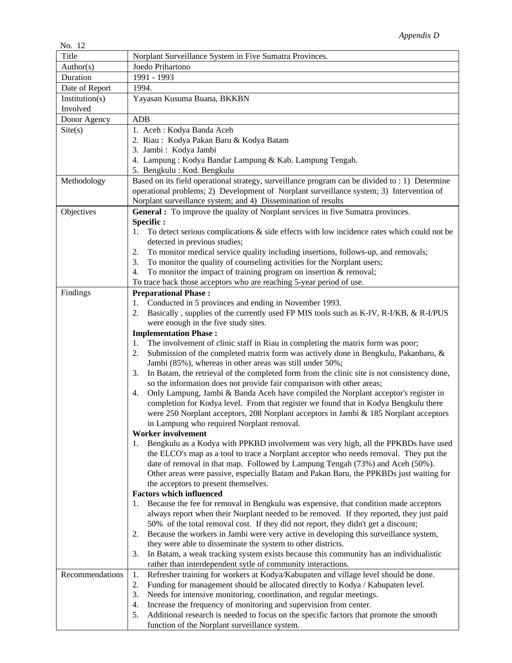| 110. LZ         |                                                                                                     |
|-----------------|-----------------------------------------------------------------------------------------------------|
| Title           | Norplant Surveillance System in Five Sumatra Provinces.                                             |
| Author(s)       | Joedo Prihartono                                                                                    |
| Duration        | 1991 - 1993                                                                                         |
| Date of Report  | 1994.                                                                                               |
| Institution(s)  | Yayasan Kusuma Buana, BKKBN                                                                         |
| Involved        |                                                                                                     |
| Donor Agency    | <b>ADB</b>                                                                                          |
| Site(s)         | 1. Aceh: Kodya Banda Aceh                                                                           |
|                 | 2. Riau: Kodya Pakan Baru & Kodya Batam                                                             |
|                 | 3. Jambi: Kodya Jambi                                                                               |
|                 | 4. Lampung: Kodya Bandar Lampung & Kab. Lampung Tengah.                                             |
|                 | 5. Bengkulu : Kod. Bengkulu                                                                         |
| Methodology     | Based on its field operational strategy, surveillance program can be divided to : 1) Determine      |
|                 | operational problems; 2) Development of Norplant surveillance system; 3) Intervention of            |
|                 | Norplant surveillance system; and 4) Dissemination of results                                       |
| Objectives      | <b>General :</b> To improve the quality of Norplant services in five Sumatra provinces.             |
|                 | Specific:                                                                                           |
|                 | To detect serious complications $\&$ side effects with low incidence rates which could not be<br>1. |
|                 | detected in previous studies;                                                                       |
|                 | To monitor medical service quality including insertions, follows-up, and removals;<br>2.            |
|                 | To monitor the quality of counseling activities for the Norplant users;<br>3.                       |
|                 | To monitor the impact of training program on insertion & removal;<br>4.                             |
|                 | To trace back those acceptors who are reaching 5-year period of use.                                |
| Findings        | <b>Preparational Phase:</b>                                                                         |
|                 | Conducted in 5 provinces and ending in November 1993.<br>1.                                         |
|                 | Basically, supplies of the currently used FP MIS tools such as K-IV, R-I/KB, & R-I/PUS<br>2.        |
|                 | were enough in the five study sites.                                                                |
|                 | <b>Implementation Phase:</b>                                                                        |
|                 | The involvement of clinic staff in Riau in completing the matrix form was poor;<br>1.               |
|                 | Submission of the completed matrix form was actively done in Bengkulu, Pakanbaru, &<br>2.           |
|                 | Jambi (85%), whereas in other areas was still under 50%;                                            |
|                 | In Batam, the retrieval of the completed form from the clinic site is not consistency done,<br>3.   |
|                 | so the information does not provide fair comparison with other areas;                               |
|                 | Only Lampung, Jambi & Banda Aceh have compiled the Norplant acceptor's register in<br>4.            |
|                 | completion for Kodya level. From that register we found that in Kodya Bengkulu there                |
|                 | were 250 Norplant acceptors, 208 Norplant acceptors in Jambi & 185 Norplant acceptors               |
|                 | in Lampung who required Norplant removal.                                                           |
|                 | Worker involvement                                                                                  |
|                 | Bengkulu as a Kodya with PPKBD involvement was very high, all the PPKBDs have used<br>1.            |
|                 | the ELCO's map as a tool to trace a Norplant acceptor who needs removal. They put the               |
|                 | date of removal in that map. Followed by Lampung Tengah (73%) and Aceh (50%).                       |
|                 | Other areas were passive, especially Batam and Pakan Baru, the PPKBDs just waiting for              |
|                 | the acceptors to present themselves.                                                                |
|                 | <b>Factors which influenced</b>                                                                     |
|                 | Because the fee for removal in Bengkulu was expensive, that condition made acceptors<br>1.          |
|                 | always report when their Norplant needed to be removed. If they reported, they just paid            |
|                 | 50% of the total removal cost. If they did not report, they didn't get a discount;                  |
|                 | Because the workers in Jambi were very active in developing this surveillance system,<br>2.         |
|                 | they were able to disseminate the system to other districts.                                        |
|                 | In Batam, a weak tracking system exists because this community has an individualistic<br>3.         |
|                 | rather than interdependent sytle of community interactions.                                         |
| Recommendations | Refresher training for workers at Kodya/Kabupaten and village level should be done.<br>1.           |
|                 |                                                                                                     |
|                 | Funding for management should be allocated directly to Kodya / Kabupaten level.<br>2.               |
|                 | Needs for intensive monitoring, coordination, and regular meetings.<br>3.                           |
|                 | Increase the frequency of monitoring and supervision from center.<br>4.                             |
|                 | Additional research is needed to focus on the specific factors that promote the smooth<br>5.        |
|                 | function of the Norplant surveillance system.                                                       |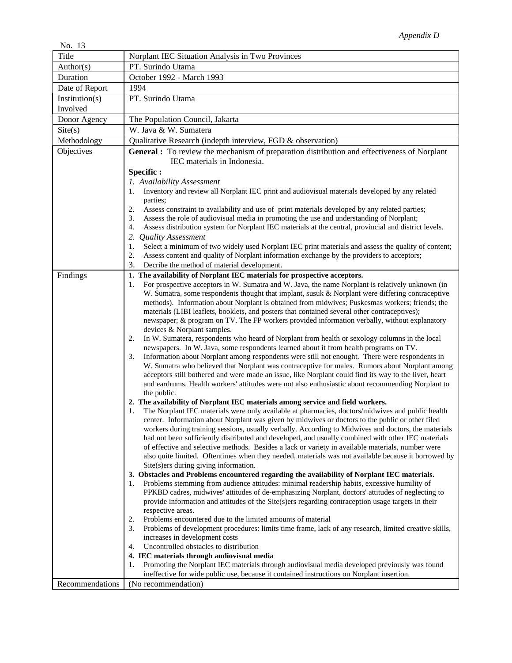| No. 13          |                                                                                                                                                                                                         |
|-----------------|---------------------------------------------------------------------------------------------------------------------------------------------------------------------------------------------------------|
| Title           | Norplant IEC Situation Analysis in Two Provinces                                                                                                                                                        |
| Author(s)       | PT. Surindo Utama                                                                                                                                                                                       |
| Duration        | October 1992 - March 1993                                                                                                                                                                               |
| Date of Report  | 1994                                                                                                                                                                                                    |
| Institution(s)  | PT. Surindo Utama                                                                                                                                                                                       |
| Involved        |                                                                                                                                                                                                         |
| Donor Agency    | The Population Council, Jakarta                                                                                                                                                                         |
| Site(s)         | W. Java & W. Sumatera                                                                                                                                                                                   |
| Methodology     | Qualitative Research (indepth interview, FGD & observation)                                                                                                                                             |
| Objectives      | <b>General :</b> To review the mechanism of preparation distribution and effectiveness of Norplant                                                                                                      |
|                 | IEC materials in Indonesia.                                                                                                                                                                             |
|                 | Specific:                                                                                                                                                                                               |
|                 | 1. Availability Assessment                                                                                                                                                                              |
|                 | Inventory and review all Norplant IEC print and audiovisual materials developed by any related<br>1.                                                                                                    |
|                 | parties;                                                                                                                                                                                                |
|                 | Assess constraint to availability and use of print materials developed by any related parties;<br>2.                                                                                                    |
|                 | Assess the role of audiovisual media in promoting the use and understanding of Norplant;<br>3.                                                                                                          |
|                 | Assess distribution system for Norplant IEC materials at the central, provincial and district levels.<br>4.                                                                                             |
|                 | 2.<br><b>Quality Assessment</b>                                                                                                                                                                         |
|                 | Select a minimum of two widely used Norplant IEC print materials and assess the quality of content;<br>1.                                                                                               |
|                 | Assess content and quality of Norplant information exchange by the providers to acceptors;<br>2.                                                                                                        |
|                 | 3.<br>Decribe the method of material development.                                                                                                                                                       |
| Findings        | 1. The availability of Norplant IEC materials for prospective acceptors.<br>For prospective acceptors in W. Sumatra and W. Java, the name Norplant is relatively unknown (in<br>1.                      |
|                 | W. Sumatra, some respondents thought that implant, susuk & Norplant were differing contraceptive                                                                                                        |
|                 | methods). Information about Norplant is obtained from midwives; Puskesmas workers; friends; the                                                                                                         |
|                 | materials (LIBI leaflets, booklets, and posters that contained several other contraceptives);                                                                                                           |
|                 | newspaper; & program on TV. The FP workers provided information verbally, without explanatory                                                                                                           |
|                 | devices & Norplant samples.                                                                                                                                                                             |
|                 | In W. Sumatera, respondents who heard of Norplant from health or sexology columns in the local<br>2.                                                                                                    |
|                 | newspapers. In W. Java, some respondents learned about it from health programs on TV.                                                                                                                   |
|                 | Information about Norplant among respondents were still not enought. There were respondents in<br>3.<br>W. Sumatra who believed that Norplant was contraceptive for males. Rumors about Norplant among  |
|                 | acceptors still bothered and were made an issue, like Norplant could find its way to the liver, heart                                                                                                   |
|                 | and eardrums. Health workers' attitudes were not also enthusiastic about recommending Norplant to                                                                                                       |
|                 | the public.                                                                                                                                                                                             |
|                 | 2. The availability of Norplant IEC materials among service and field workers.                                                                                                                          |
|                 | The Norplant IEC materials were only available at pharmacies, doctors/midwives and public health<br>1.                                                                                                  |
|                 | center. Information about Norplant was given by midwives or doctors to the public or other filed                                                                                                        |
|                 | workers during training sessions, usually verbally. According to Midwives and doctors, the materials                                                                                                    |
|                 | had not been sufficiently distributed and developed, and usually combined with other IEC materials<br>of effective and selective methods. Besides a lack or variety in available materials, number were |
|                 | also quite limited. Oftentimes when they needed, materials was not available because it borrowed by                                                                                                     |
|                 | Site(s)ers during giving information.                                                                                                                                                                   |
|                 | 3. Obstacles and Problems encountered regarding the availability of Norplant IEC materials.                                                                                                             |
|                 | Problems stemming from audience attitudes: minimal readership habits, excessive humility of<br>1.                                                                                                       |
|                 | PPKBD cadres, midwives' attitudes of de-emphasizing Norplant, doctors' attitudes of neglecting to                                                                                                       |
|                 | provide information and attitudes of the Site(s)ers regarding contraception usage targets in their                                                                                                      |
|                 | respective areas.                                                                                                                                                                                       |
|                 | Problems encountered due to the limited amounts of material<br>2.<br>Problems of development procedures: limits time frame, lack of any research, limited creative skills,<br>3.                        |
|                 | increases in development costs                                                                                                                                                                          |
|                 | Uncontrolled obstacles to distribution<br>4.                                                                                                                                                            |
|                 | 4. IEC materials through audiovisual media                                                                                                                                                              |
|                 | Promoting the Norplant IEC materials through audiovisual media developed previously was found<br>1.                                                                                                     |
|                 | ineffective for wide public use, because it contained instructions on Norplant insertion.                                                                                                               |
| Recommendations | (No recommendation)                                                                                                                                                                                     |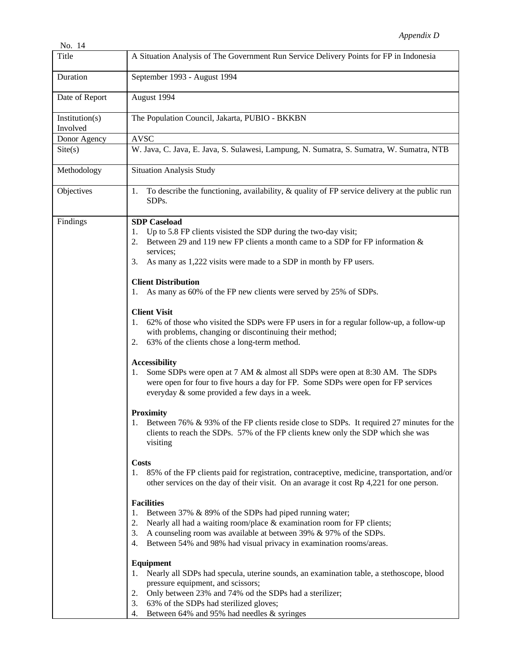| No. 14                     |                                                                                                                                                                                                                                                                                                                                                                                                                                                                                                                                                                                                                                                                                                                                                                                                                                                                                                                                                                                                                                                                                                       |
|----------------------------|-------------------------------------------------------------------------------------------------------------------------------------------------------------------------------------------------------------------------------------------------------------------------------------------------------------------------------------------------------------------------------------------------------------------------------------------------------------------------------------------------------------------------------------------------------------------------------------------------------------------------------------------------------------------------------------------------------------------------------------------------------------------------------------------------------------------------------------------------------------------------------------------------------------------------------------------------------------------------------------------------------------------------------------------------------------------------------------------------------|
| Title                      | A Situation Analysis of The Government Run Service Delivery Points for FP in Indonesia                                                                                                                                                                                                                                                                                                                                                                                                                                                                                                                                                                                                                                                                                                                                                                                                                                                                                                                                                                                                                |
| Duration                   | September 1993 - August 1994                                                                                                                                                                                                                                                                                                                                                                                                                                                                                                                                                                                                                                                                                                                                                                                                                                                                                                                                                                                                                                                                          |
| Date of Report             | August 1994                                                                                                                                                                                                                                                                                                                                                                                                                                                                                                                                                                                                                                                                                                                                                                                                                                                                                                                                                                                                                                                                                           |
| Institution(s)<br>Involved | The Population Council, Jakarta, PUBIO - BKKBN                                                                                                                                                                                                                                                                                                                                                                                                                                                                                                                                                                                                                                                                                                                                                                                                                                                                                                                                                                                                                                                        |
| Donor Agency               | <b>AVSC</b>                                                                                                                                                                                                                                                                                                                                                                                                                                                                                                                                                                                                                                                                                                                                                                                                                                                                                                                                                                                                                                                                                           |
| $\text{Site}(s)$           | W. Java, C. Java, E. Java, S. Sulawesi, Lampung, N. Sumatra, S. Sumatra, W. Sumatra, NTB                                                                                                                                                                                                                                                                                                                                                                                                                                                                                                                                                                                                                                                                                                                                                                                                                                                                                                                                                                                                              |
| Methodology                | <b>Situation Analysis Study</b>                                                                                                                                                                                                                                                                                                                                                                                                                                                                                                                                                                                                                                                                                                                                                                                                                                                                                                                                                                                                                                                                       |
| Objectives                 | To describe the functioning, availability, $\&$ quality of FP service delivery at the public run<br>1.<br>SDP <sub>s</sub> .                                                                                                                                                                                                                                                                                                                                                                                                                                                                                                                                                                                                                                                                                                                                                                                                                                                                                                                                                                          |
| Findings                   | <b>SDP</b> Caseload<br>Up to 5.8 FP clients visisted the SDP during the two-day visit;<br>1.<br>Between 29 and 119 new FP clients a month came to a SDP for FP information &<br>2.<br>services;<br>As many as 1,222 visits were made to a SDP in month by FP users.<br>3.<br><b>Client Distribution</b><br>As many as 60% of the FP new clients were served by 25% of SDPs.<br>1.<br><b>Client Visit</b><br>62% of those who visited the SDPs were FP users in for a regular follow-up, a follow-up<br>1.<br>with problems, changing or discontinuing their method;<br>63% of the clients chose a long-term method.<br>2.<br><b>Accessibility</b><br>Some SDPs were open at 7 AM & almost all SDPs were open at 8:30 AM. The SDPs<br>1.<br>were open for four to five hours a day for FP. Some SDPs were open for FP services<br>everyday & some provided a few days in a week.<br><b>Proximity</b><br>Between 76% & 93% of the FP clients reside close to SDPs. It required 27 minutes for the<br>1.<br>clients to reach the SDPs. 57% of the FP clients knew only the SDP which she was<br>visiting |
|                            | <b>Costs</b><br>85% of the FP clients paid for registration, contraceptive, medicine, transportation, and/or<br>1.<br>other services on the day of their visit. On an avarage it cost Rp 4,221 for one person.<br><b>Facilities</b><br>Between 37% & 89% of the SDPs had piped running water;<br>1.<br>Nearly all had a waiting room/place & examination room for FP clients;<br>2.<br>A counseling room was available at between 39% & 97% of the SDPs.<br>3.                                                                                                                                                                                                                                                                                                                                                                                                                                                                                                                                                                                                                                        |
|                            | Between 54% and 98% had visual privacy in examination rooms/areas.<br>4.<br>Equipment<br>Nearly all SDPs had specula, uterine sounds, an examination table, a stethoscope, blood<br>1.<br>pressure equipment, and scissors;<br>Only between 23% and 74% od the SDPs had a sterilizer;<br>2.<br>63% of the SDPs had sterilized gloves;<br>3.<br>Between 64% and 95% had needles & syringes<br>4.                                                                                                                                                                                                                                                                                                                                                                                                                                                                                                                                                                                                                                                                                                       |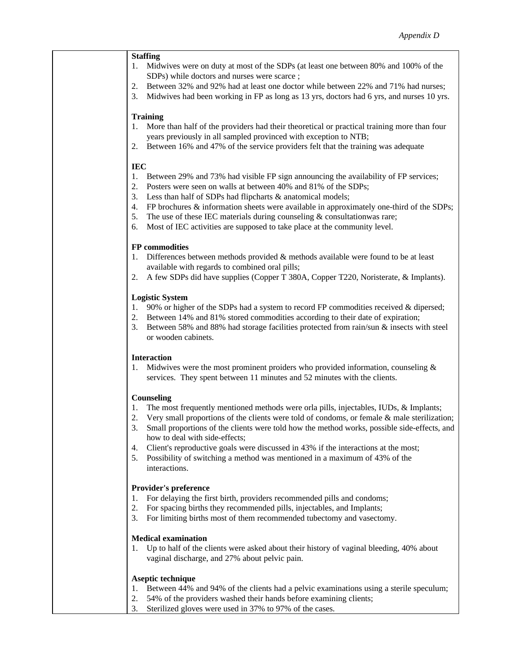#### **Staffing**

- 1. Midwives were on duty at most of the SDPs (at least one between 80% and 100% of the SDPs) while doctors and nurses were scarce ;
- 2. Between 32% and 92% had at least one doctor while between 22% and 71% had nurses;
- 3. Midwives had been working in FP as long as 13 yrs, doctors had 6 yrs, and nurses 10 yrs.

#### **Training**

- 1. More than half of the providers had their theoretical or practical training more than four years previously in all sampled provinced with exception to NTB;
- 2. Between 16% and 47% of the service providers felt that the training was adequate

#### **IEC**

- 1. Between 29% and 73% had visible FP sign announcing the availability of FP services;
- 2. Posters were seen on walls at between 40% and 81% of the SDPs;
- 3. Less than half of SDPs had flipcharts & anatomical models;
- 4. FP brochures & information sheets were available in approximately one-third of the SDPs;
- 5. The use of these IEC materials during counseling  $&$  consultationwas rare;
- 6. Most of IEC activities are supposed to take place at the community level.

#### **FP commodities**

- 1. Differences between methods provided & methods available were found to be at least available with regards to combined oral pills;
- 2. A few SDPs did have supplies (Copper T 380A, Copper T220, Noristerate, & Implants).

#### **Logistic System**

- 1. 90% or higher of the SDPs had a system to record FP commodities received & dipersed;
- 2. Between 14% and 81% stored commodities according to their date of expiration;
- 3. Between 58% and 88% had storage facilities protected from rain/sun & insects with steel or wooden cabinets.

#### **Interaction**

1. Midwives were the most prominent proiders who provided information, counseling & services. They spent between 11 minutes and 52 minutes with the clients.

#### **Counseling**

- 1. The most frequently mentioned methods were orla pills, injectables, IUDs, & Implants;
- 2. Very small proportions of the clients were told of condoms, or female & male sterilization;
- 3. Small proportions of the clients were told how the method works, possible side-effects, and how to deal with side-effects;
- 4. Client's reproductive goals were discussed in 43% if the interactions at the most;
- 5. Possibility of switching a method was mentioned in a maximum of 43% of the interactions.

#### **Provider's preference**

- 1. For delaying the first birth, providers recommended pills and condoms;
- 2. For spacing births they recommended pills, injectables, and Implants;
- 3. For limiting births most of them recommended tubectomy and vasectomy.

### **Medical examination**

1. Up to half of the clients were asked about their history of vaginal bleeding, 40% about vaginal discharge, and 27% about pelvic pain.

#### **Aseptic technique**

- 1. Between 44% and 94% of the clients had a pelvic examinations using a sterile speculum;
- 2. 54% of the providers washed their hands before examining clients;
- 3. Sterilized gloves were used in 37% to 97% of the cases.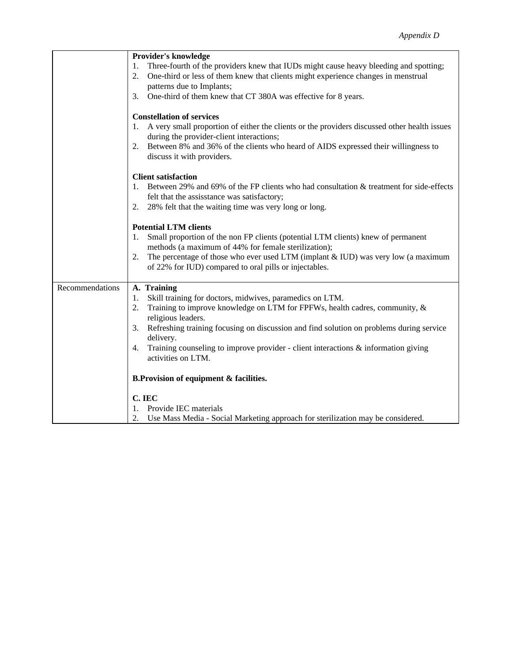|                 | Provider's knowledge<br>Three-fourth of the providers knew that IUDs might cause heavy bleeding and spotting;<br>1.<br>One-third or less of them knew that clients might experience changes in menstrual<br>2.                                                                                                                                                                                                              |
|-----------------|-----------------------------------------------------------------------------------------------------------------------------------------------------------------------------------------------------------------------------------------------------------------------------------------------------------------------------------------------------------------------------------------------------------------------------|
|                 | patterns due to Implants;<br>One-third of them knew that CT 380A was effective for 8 years.<br>3.                                                                                                                                                                                                                                                                                                                           |
|                 | <b>Constellation of services</b><br>A very small proportion of either the clients or the providers discussed other health issues<br>1.<br>during the provider-client interactions;<br>Between 8% and 36% of the clients who heard of AIDS expressed their willingness to<br>2.<br>discuss it with providers.                                                                                                                |
|                 | <b>Client satisfaction</b><br>Between 29% and 69% of the FP clients who had consultation & treatment for side-effects<br>1.<br>felt that the assisstance was satisfactory;<br>28% felt that the waiting time was very long or long.<br>2.                                                                                                                                                                                   |
|                 | <b>Potential LTM clients</b><br>Small proportion of the non FP clients (potential LTM clients) knew of permanent<br>1.<br>methods (a maximum of 44% for female sterilization);<br>The percentage of those who ever used LTM (implant $&$ IUD) was very low (a maximum<br>2.<br>of 22% for IUD) compared to oral pills or injectables.                                                                                       |
| Recommendations | A. Training<br>Skill training for doctors, midwives, paramedics on LTM.<br>1.<br>2.<br>Training to improve knowledge on LTM for FPFWs, health cadres, community, &<br>religious leaders.<br>Refreshing training focusing on discussion and find solution on problems during service<br>3.<br>delivery.<br>Training counseling to improve provider - client interactions $\&$ information giving<br>4.<br>activities on LTM. |
|                 | <b>B.Provision of equipment &amp; facilities.</b>                                                                                                                                                                                                                                                                                                                                                                           |
|                 | C. IEC<br>1.<br>Provide IEC materials<br>2.<br>Use Mass Media - Social Marketing approach for sterilization may be considered.                                                                                                                                                                                                                                                                                              |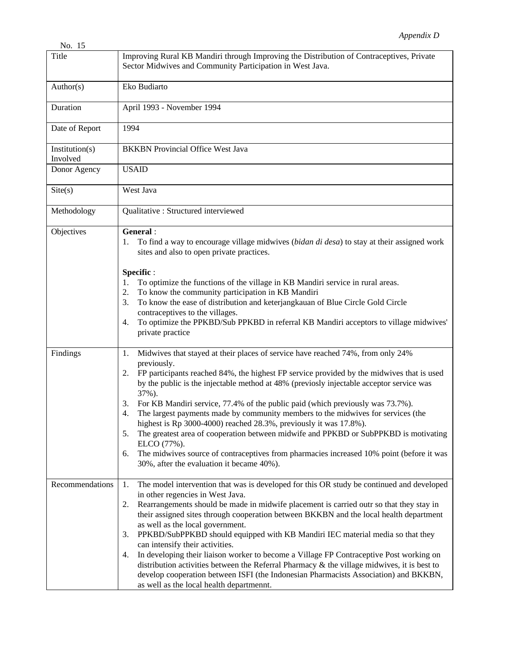| No. 15                     |                                                                                                                                                                                                                                                                                                                                                                                                                                                                                                                                                                                                                                                                                                                                                                                                                                      |
|----------------------------|--------------------------------------------------------------------------------------------------------------------------------------------------------------------------------------------------------------------------------------------------------------------------------------------------------------------------------------------------------------------------------------------------------------------------------------------------------------------------------------------------------------------------------------------------------------------------------------------------------------------------------------------------------------------------------------------------------------------------------------------------------------------------------------------------------------------------------------|
| Title                      | Improving Rural KB Mandiri through Improving the Distribution of Contraceptives, Private<br>Sector Midwives and Community Participation in West Java.                                                                                                                                                                                                                                                                                                                                                                                                                                                                                                                                                                                                                                                                                |
| Author(s)                  | Eko Budiarto                                                                                                                                                                                                                                                                                                                                                                                                                                                                                                                                                                                                                                                                                                                                                                                                                         |
| Duration                   | April 1993 - November 1994                                                                                                                                                                                                                                                                                                                                                                                                                                                                                                                                                                                                                                                                                                                                                                                                           |
| Date of Report             | 1994                                                                                                                                                                                                                                                                                                                                                                                                                                                                                                                                                                                                                                                                                                                                                                                                                                 |
| Institution(s)<br>Involved | <b>BKKBN</b> Provincial Office West Java                                                                                                                                                                                                                                                                                                                                                                                                                                                                                                                                                                                                                                                                                                                                                                                             |
| Donor Agency               | <b>USAID</b>                                                                                                                                                                                                                                                                                                                                                                                                                                                                                                                                                                                                                                                                                                                                                                                                                         |
| $\text{Site}(s)$           | West Java                                                                                                                                                                                                                                                                                                                                                                                                                                                                                                                                                                                                                                                                                                                                                                                                                            |
| Methodology                | Qualitative : Structured interviewed                                                                                                                                                                                                                                                                                                                                                                                                                                                                                                                                                                                                                                                                                                                                                                                                 |
| Objectives                 | General:<br>To find a way to encourage village midwives (bidan di desa) to stay at their assigned work<br>1.<br>sites and also to open private practices.                                                                                                                                                                                                                                                                                                                                                                                                                                                                                                                                                                                                                                                                            |
|                            | Specific:<br>To optimize the functions of the village in KB Mandiri service in rural areas.<br>1.<br>To know the community participation in KB Mandiri<br>2.<br>To know the ease of distribution and keterjangkauan of Blue Circle Gold Circle<br>3.<br>contraceptives to the villages.<br>To optimize the PPKBD/Sub PPKBD in referral KB Mandiri acceptors to village midwives'<br>4.<br>private practice                                                                                                                                                                                                                                                                                                                                                                                                                           |
| Findings                   | Midwives that stayed at their places of service have reached 74%, from only 24%<br>1.<br>previously.<br>FP participants reached 84%, the highest FP service provided by the midwives that is used<br>2.<br>by the public is the injectable method at 48% (previosly injectable acceptor service was<br>37%).<br>For KB Mandiri service, 77.4% of the public paid (which previously was 73.7%).<br>3.<br>The largest payments made by community members to the midwives for services (the<br>4.<br>highest is Rp 3000-4000) reached 28.3%, previously it was 17.8%).<br>The greatest area of cooperation between midwife and PPKBD or SubPPKBD is motivating<br>5.<br>ELCO (77%).<br>The midwives source of contraceptives from pharmacies increased 10% point (before it was<br>6.<br>30%, after the evaluation it became 40%).      |
| Recommendations            | The model intervention that was is developed for this OR study be continued and developed<br>1.<br>in other regencies in West Java.<br>Rearrangements should be made in midwife placement is carried outr so that they stay in<br>2.<br>their assigned sites through cooperation between BKKBN and the local health department<br>as well as the local government.<br>PPKBD/SubPPKBD should equipped with KB Mandiri IEC material media so that they<br>3.<br>can intensify their activities.<br>In developing their liaison worker to become a Village FP Contraceptive Post working on<br>4.<br>distribution activities between the Referral Pharmacy $\&$ the village midwives, it is best to<br>develop cooperation between ISFI (the Indonesian Pharmacists Association) and BKKBN,<br>as well as the local health departmennt. |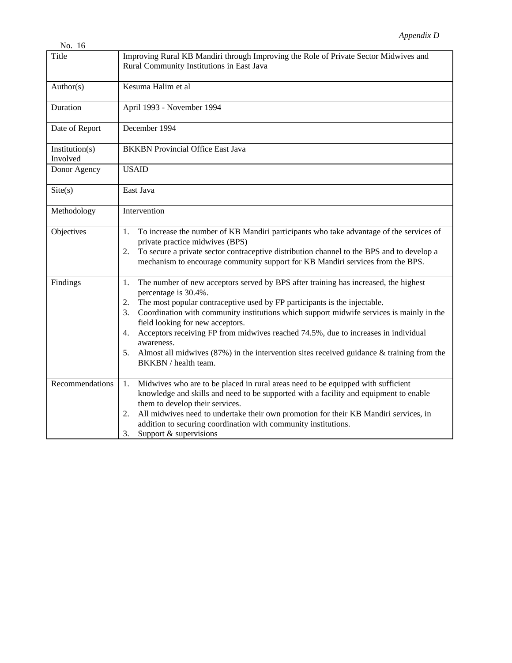| No. 16                     |                                                                                                                                                                                                                                                                                                                                                                                                                                                                                                                                                                                   |
|----------------------------|-----------------------------------------------------------------------------------------------------------------------------------------------------------------------------------------------------------------------------------------------------------------------------------------------------------------------------------------------------------------------------------------------------------------------------------------------------------------------------------------------------------------------------------------------------------------------------------|
| Title                      | Improving Rural KB Mandiri through Improving the Role of Private Sector Midwives and<br>Rural Community Institutions in East Java                                                                                                                                                                                                                                                                                                                                                                                                                                                 |
| Author(s)                  | Kesuma Halim et al                                                                                                                                                                                                                                                                                                                                                                                                                                                                                                                                                                |
| Duration                   | April 1993 - November 1994                                                                                                                                                                                                                                                                                                                                                                                                                                                                                                                                                        |
| Date of Report             | December 1994                                                                                                                                                                                                                                                                                                                                                                                                                                                                                                                                                                     |
| Institution(s)<br>Involved | <b>BKKBN</b> Provincial Office East Java                                                                                                                                                                                                                                                                                                                                                                                                                                                                                                                                          |
| Donor Agency               | <b>USAID</b>                                                                                                                                                                                                                                                                                                                                                                                                                                                                                                                                                                      |
| $\text{Site}(s)$           | East Java                                                                                                                                                                                                                                                                                                                                                                                                                                                                                                                                                                         |
| Methodology                | Intervention                                                                                                                                                                                                                                                                                                                                                                                                                                                                                                                                                                      |
| Objectives                 | To increase the number of KB Mandiri participants who take advantage of the services of<br>1.<br>private practice midwives (BPS)<br>To secure a private sector contraceptive distribution channel to the BPS and to develop a<br>2.<br>mechanism to encourage community support for KB Mandiri services from the BPS.                                                                                                                                                                                                                                                             |
| Findings                   | The number of new acceptors served by BPS after training has increased, the highest<br>1.<br>percentage is 30.4%.<br>The most popular contraceptive used by FP participants is the injectable.<br>2.<br>Coordination with community institutions which support midwife services is mainly in the<br>3.<br>field looking for new acceptors.<br>Acceptors receiving FP from midwives reached 74.5%, due to increases in individual<br>4.<br>awareness.<br>Almost all midwives $(87%)$ in the intervention sites received guidance & training from the<br>5.<br>BKKBN / health team. |
| Recommendations            | Midwives who are to be placed in rural areas need to be equipped with sufficient<br>1.<br>knowledge and skills and need to be supported with a facility and equipment to enable<br>them to develop their services.<br>All midwives need to undertake their own promotion for their KB Mandiri services, in<br>2.<br>addition to securing coordination with community institutions.<br>Support & supervisions<br>3.                                                                                                                                                                |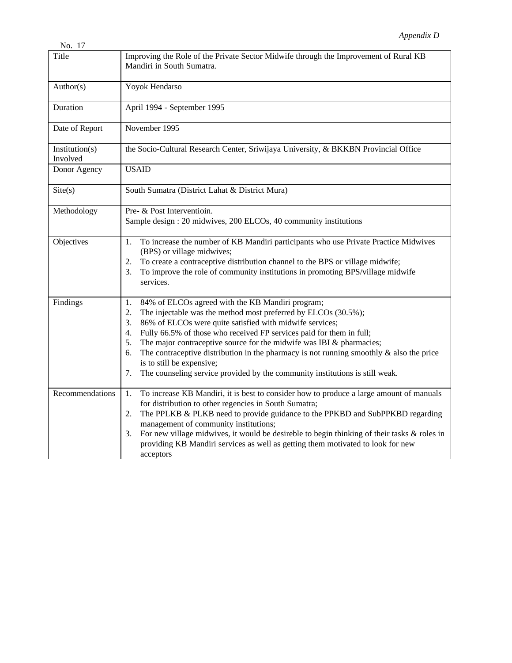| No. 17                     |                                                                                                                                                                                                                                                                                                                                                                                                                                                                                                                                                                                        |
|----------------------------|----------------------------------------------------------------------------------------------------------------------------------------------------------------------------------------------------------------------------------------------------------------------------------------------------------------------------------------------------------------------------------------------------------------------------------------------------------------------------------------------------------------------------------------------------------------------------------------|
| Title                      | Improving the Role of the Private Sector Midwife through the Improvement of Rural KB<br>Mandiri in South Sumatra.                                                                                                                                                                                                                                                                                                                                                                                                                                                                      |
| Author(s)                  | Yoyok Hendarso                                                                                                                                                                                                                                                                                                                                                                                                                                                                                                                                                                         |
| Duration                   | April 1994 - September 1995                                                                                                                                                                                                                                                                                                                                                                                                                                                                                                                                                            |
| Date of Report             | November 1995                                                                                                                                                                                                                                                                                                                                                                                                                                                                                                                                                                          |
| Institution(s)<br>Involved | the Socio-Cultural Research Center, Sriwijaya University, & BKKBN Provincial Office                                                                                                                                                                                                                                                                                                                                                                                                                                                                                                    |
| Donor Agency               | <b>USAID</b>                                                                                                                                                                                                                                                                                                                                                                                                                                                                                                                                                                           |
| Site(s)                    | South Sumatra (District Lahat & District Mura)                                                                                                                                                                                                                                                                                                                                                                                                                                                                                                                                         |
| Methodology                | Pre- & Post Interventioin.<br>Sample design : 20 midwives, 200 ELCOs, 40 community institutions                                                                                                                                                                                                                                                                                                                                                                                                                                                                                        |
| Objectives                 | To increase the number of KB Mandiri participants who use Private Practice Midwives<br>1.<br>(BPS) or village midwives;<br>To create a contraceptive distribution channel to the BPS or village midwife;<br>2.<br>To improve the role of community institutions in promoting BPS/village midwife<br>3.<br>services.                                                                                                                                                                                                                                                                    |
| Findings                   | 84% of ELCOs agreed with the KB Mandiri program;<br>1.<br>2.<br>The injectable was the method most preferred by ELCOs (30.5%);<br>86% of ELCOs were quite satisfied with midwife services;<br>3.<br>Fully 66.5% of those who received FP services paid for them in full;<br>4.<br>The major contraceptive source for the midwife was IBI $\&$ pharmacies;<br>5.<br>The contraceptive distribution in the pharmacy is not running smoothly $\&$ also the price<br>6.<br>is to still be expensive;<br>The counseling service provided by the community institutions is still weak.<br>7. |
| Recommendations            | To increase KB Mandiri, it is best to consider how to produce a large amount of manuals<br>1.<br>for distribution to other regencies in South Sumatra;<br>The PPLKB & PLKB need to provide guidance to the PPKBD and SubPPKBD regarding<br>2.<br>management of community institutions;<br>For new village midwives, it would be desireble to begin thinking of their tasks & roles in<br>3.<br>providing KB Mandiri services as well as getting them motivated to look for new<br>acceptors                                                                                            |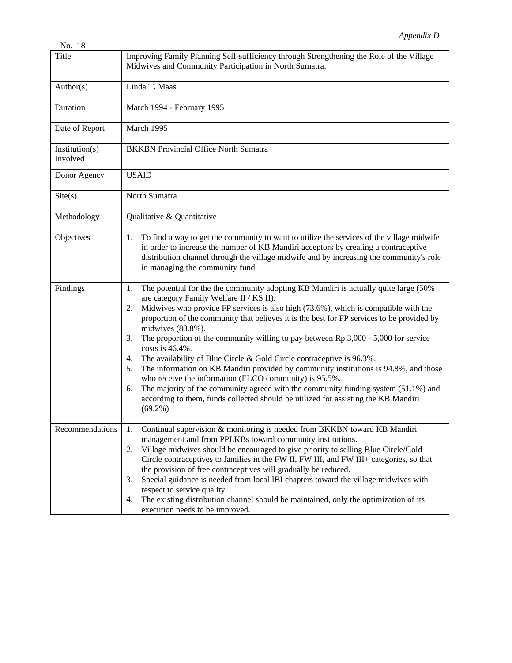| No. 18                     |                                                                                                                                                                                                                                                                                                                                                                                                                                                                                                                                                                                                                                                                                                                                                                                                                                                                                                                 |
|----------------------------|-----------------------------------------------------------------------------------------------------------------------------------------------------------------------------------------------------------------------------------------------------------------------------------------------------------------------------------------------------------------------------------------------------------------------------------------------------------------------------------------------------------------------------------------------------------------------------------------------------------------------------------------------------------------------------------------------------------------------------------------------------------------------------------------------------------------------------------------------------------------------------------------------------------------|
| Title                      | Improving Family Planning Self-sufficiency through Strengthening the Role of the Village<br>Midwives and Community Participation in North Sumatra.                                                                                                                                                                                                                                                                                                                                                                                                                                                                                                                                                                                                                                                                                                                                                              |
| Author(s)                  | Linda T. Maas                                                                                                                                                                                                                                                                                                                                                                                                                                                                                                                                                                                                                                                                                                                                                                                                                                                                                                   |
| Duration                   | March 1994 - February 1995                                                                                                                                                                                                                                                                                                                                                                                                                                                                                                                                                                                                                                                                                                                                                                                                                                                                                      |
| Date of Report             | March 1995                                                                                                                                                                                                                                                                                                                                                                                                                                                                                                                                                                                                                                                                                                                                                                                                                                                                                                      |
| Institution(s)<br>Involved | <b>BKKBN</b> Provincial Office North Sumatra                                                                                                                                                                                                                                                                                                                                                                                                                                                                                                                                                                                                                                                                                                                                                                                                                                                                    |
| Donor Agency               | <b>USAID</b>                                                                                                                                                                                                                                                                                                                                                                                                                                                                                                                                                                                                                                                                                                                                                                                                                                                                                                    |
| $\text{Site}(s)$           | North Sumatra                                                                                                                                                                                                                                                                                                                                                                                                                                                                                                                                                                                                                                                                                                                                                                                                                                                                                                   |
| Methodology                | Qualitative & Quantitative                                                                                                                                                                                                                                                                                                                                                                                                                                                                                                                                                                                                                                                                                                                                                                                                                                                                                      |
| Objectives                 | To find a way to get the community to want to utilize the services of the village midwife<br>1.<br>in order to increase the number of KB Mandiri acceptors by creating a contraceptive<br>distribution channel through the village midwife and by increasing the community's role<br>in managing the community fund.                                                                                                                                                                                                                                                                                                                                                                                                                                                                                                                                                                                            |
| Findings                   | The potential for the the community adopting KB Mandiri is actually quite large (50%<br>1.<br>are category Family Welfare II / KS II).<br>Midwives who provide FP services is also high (73.6%), which is compatible with the<br>2.<br>proportion of the community that believes it is the best for FP services to be provided by<br>midwives (80.8%).<br>The proportion of the community willing to pay between $Rp 3,000 - 5,000$ for service<br>3.<br>costs is 46.4%.<br>The availability of Blue Circle & Gold Circle contraceptive is 96.3%.<br>4.<br>The information on KB Mandiri provided by community institutions is 94.8%, and those<br>5.<br>who receive the information (ELCO community) is 95.5%.<br>The majority of the community agreed with the community funding system (51.1%) and<br>6.<br>according to them, funds collected should be utilized for assisting the KB Mandiri<br>$(69.2\%)$ |
| Recommendations            | Continual supervision & monitoring is needed from BKKBN toward KB Mandiri<br>1.<br>management and from PPLKBs toward community institutions.<br>Village midwives should be encouraged to give priority to selling Blue Circle/Gold<br>2.<br>Circle contraceptives to families in the FW II, FW III, and FW III+ categories, so that<br>the provision of free contraceptives will gradually be reduced.<br>Special guidance is needed from local IBI chapters toward the village midwives with<br>3.<br>respect to service quality.<br>The existing distribution channel should be maintained, only the optimization of its<br>4.<br>execution needs to be improved.                                                                                                                                                                                                                                             |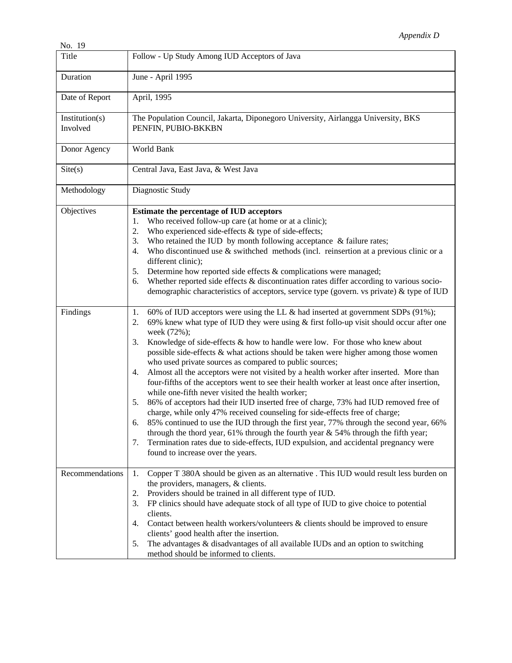| No. 19                     |                                                                                                                                                                                                                                                                                                                                                                                                                                                                                                                                                                                                                                                                                                                                                                                                                                                                                                                                                                                                                                                                                                                                                                                                        |
|----------------------------|--------------------------------------------------------------------------------------------------------------------------------------------------------------------------------------------------------------------------------------------------------------------------------------------------------------------------------------------------------------------------------------------------------------------------------------------------------------------------------------------------------------------------------------------------------------------------------------------------------------------------------------------------------------------------------------------------------------------------------------------------------------------------------------------------------------------------------------------------------------------------------------------------------------------------------------------------------------------------------------------------------------------------------------------------------------------------------------------------------------------------------------------------------------------------------------------------------|
| Title                      | Follow - Up Study Among IUD Acceptors of Java                                                                                                                                                                                                                                                                                                                                                                                                                                                                                                                                                                                                                                                                                                                                                                                                                                                                                                                                                                                                                                                                                                                                                          |
| Duration                   | June - April 1995                                                                                                                                                                                                                                                                                                                                                                                                                                                                                                                                                                                                                                                                                                                                                                                                                                                                                                                                                                                                                                                                                                                                                                                      |
| Date of Report             | April, 1995                                                                                                                                                                                                                                                                                                                                                                                                                                                                                                                                                                                                                                                                                                                                                                                                                                                                                                                                                                                                                                                                                                                                                                                            |
| Institution(s)<br>Involved | The Population Council, Jakarta, Diponegoro University, Airlangga University, BKS<br>PENFIN, PUBIO-BKKBN                                                                                                                                                                                                                                                                                                                                                                                                                                                                                                                                                                                                                                                                                                                                                                                                                                                                                                                                                                                                                                                                                               |
| Donor Agency               | World Bank                                                                                                                                                                                                                                                                                                                                                                                                                                                                                                                                                                                                                                                                                                                                                                                                                                                                                                                                                                                                                                                                                                                                                                                             |
| $\text{Site}(s)$           | Central Java, East Java, & West Java                                                                                                                                                                                                                                                                                                                                                                                                                                                                                                                                                                                                                                                                                                                                                                                                                                                                                                                                                                                                                                                                                                                                                                   |
| Methodology                | Diagnostic Study                                                                                                                                                                                                                                                                                                                                                                                                                                                                                                                                                                                                                                                                                                                                                                                                                                                                                                                                                                                                                                                                                                                                                                                       |
| Objectives                 | Estimate the percentage of IUD acceptors<br>Who received follow-up care (at home or at a clinic);<br>1.<br>Who experienced side-effects & type of side-effects;<br>2.<br>Who retained the IUD by month following acceptance $\&$ failure rates;<br>3.<br>Who discontinued use $\&$ swithched methods (incl. reinsertion at a previous clinic or a<br>4.<br>different clinic);<br>Determine how reported side effects & complications were managed;<br>5.<br>Whether reported side effects $\&$ discontinuation rates differ according to various socio-<br>6.<br>demographic characteristics of acceptors, service type (govern. vs private) & type of IUD                                                                                                                                                                                                                                                                                                                                                                                                                                                                                                                                             |
| Findings                   | 60% of IUD acceptors were using the LL & had inserted at government SDPs (91%);<br>1.<br>69% knew what type of IUD they were using $\&$ first follo-up visit should occur after one<br>2.<br>week (72%);<br>Knowledge of side-effects & how to handle were low. For those who knew about<br>3.<br>possible side-effects & what actions should be taken were higher among those women<br>who used private sources as compared to public sources;<br>Almost all the acceptors were not visited by a health worker after inserted. More than<br>4.<br>four-fifths of the acceptors went to see their health worker at least once after insertion,<br>while one-fifth never visited the health worker;<br>86% of acceptors had their IUD inserted free of charge, 73% had IUD removed free of<br>5.<br>charge, while only 47% received counseling for side-effects free of charge;<br>85% continued to use the IUD through the first year, 77% through the second year, 66%<br>6.<br>through the thord year, 61% through the fourth year $& 54%$ through the fifth year;<br>Termination rates due to side-effects, IUD expulsion, and accidental pregnancy were<br>7.<br>found to increase over the years. |
| Recommendations            | Copper T 380A should be given as an alternative . This IUD would result less burden on<br>1.<br>the providers, managers, & clients.<br>Providers should be trained in all different type of IUD.<br>2.<br>FP clinics should have adequate stock of all type of IUD to give choice to potential<br>3.<br>clients.<br>Contact between health workers/volunteers & clients should be improved to ensure<br>4.<br>clients' good health after the insertion.<br>The advantages & disadvantages of all available IUDs and an option to switching<br>5.<br>method should be informed to clients.                                                                                                                                                                                                                                                                                                                                                                                                                                                                                                                                                                                                              |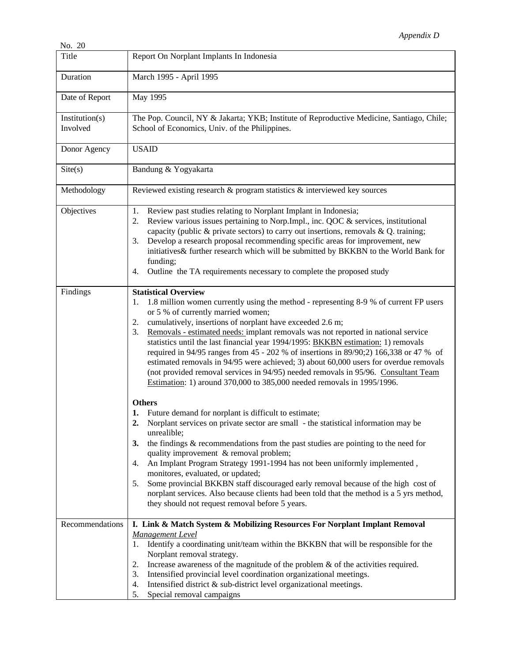| No. 20                     |                                                                                                                                                                                                                                                                                                                                                                                                                                                                                                                                                                                                                                                                                                                                                                                                                                                                                                                                                                                                                                                                                                                                                                                                                              |
|----------------------------|------------------------------------------------------------------------------------------------------------------------------------------------------------------------------------------------------------------------------------------------------------------------------------------------------------------------------------------------------------------------------------------------------------------------------------------------------------------------------------------------------------------------------------------------------------------------------------------------------------------------------------------------------------------------------------------------------------------------------------------------------------------------------------------------------------------------------------------------------------------------------------------------------------------------------------------------------------------------------------------------------------------------------------------------------------------------------------------------------------------------------------------------------------------------------------------------------------------------------|
| Title                      | Report On Norplant Implants In Indonesia                                                                                                                                                                                                                                                                                                                                                                                                                                                                                                                                                                                                                                                                                                                                                                                                                                                                                                                                                                                                                                                                                                                                                                                     |
| Duration                   | March 1995 - April 1995                                                                                                                                                                                                                                                                                                                                                                                                                                                                                                                                                                                                                                                                                                                                                                                                                                                                                                                                                                                                                                                                                                                                                                                                      |
| Date of Report             | May 1995                                                                                                                                                                                                                                                                                                                                                                                                                                                                                                                                                                                                                                                                                                                                                                                                                                                                                                                                                                                                                                                                                                                                                                                                                     |
| Institution(s)<br>Involved | The Pop. Council, NY & Jakarta; YKB; Institute of Reproductive Medicine, Santiago, Chile;<br>School of Economics, Univ. of the Philippines.                                                                                                                                                                                                                                                                                                                                                                                                                                                                                                                                                                                                                                                                                                                                                                                                                                                                                                                                                                                                                                                                                  |
| Donor Agency               | <b>USAID</b>                                                                                                                                                                                                                                                                                                                                                                                                                                                                                                                                                                                                                                                                                                                                                                                                                                                                                                                                                                                                                                                                                                                                                                                                                 |
| Site(s)                    | Bandung & Yogyakarta                                                                                                                                                                                                                                                                                                                                                                                                                                                                                                                                                                                                                                                                                                                                                                                                                                                                                                                                                                                                                                                                                                                                                                                                         |
| Methodology                | Reviewed existing research & program statistics & interviewed key sources                                                                                                                                                                                                                                                                                                                                                                                                                                                                                                                                                                                                                                                                                                                                                                                                                                                                                                                                                                                                                                                                                                                                                    |
| Objectives                 | Review past studies relating to Norplant Implant in Indonesia;<br>1.<br>Review various issues pertaining to Norp.Impl., inc. QOC & services, institutional<br>2.<br>capacity (public $\&$ private sectors) to carry out insertions, removals $\&$ Q. training;<br>Develop a research proposal recommending specific areas for improvement, new<br>3.<br>initiatives& further research which will be submitted by BKKBN to the World Bank for<br>funding;<br>Outline the TA requirements necessary to complete the proposed study<br>4.                                                                                                                                                                                                                                                                                                                                                                                                                                                                                                                                                                                                                                                                                       |
| Findings                   | <b>Statistical Overview</b><br>1.8 million women currently using the method - representing 8-9 % of current FP users<br>1.<br>or 5 % of currently married women;<br>cumulatively, insertions of norplant have exceeded 2.6 m;<br>2.<br>Removals - estimated needs: implant removals was not reported in national service<br>3.<br>statistics until the last financial year 1994/1995: BKKBN estimation: 1) removals<br>required in 94/95 ranges from 45 - 202 % of insertions in 89/90;2) 166,338 or 47 % of<br>estimated removals in 94/95 were achieved; 3) about 60,000 users for overdue removals<br>(not provided removal services in 94/95) needed removals in 95/96. Consultant Team<br>Estimation: 1) around 370,000 to 385,000 needed removals in 1995/1996.<br><b>Others</b><br>Future demand for norplant is difficult to estimate;<br>1.<br>Norplant services on private sector are small - the statistical information may be<br>2.<br>unrealible;<br>the findings & recommendations from the past studies are pointing to the need for<br>3.<br>quality improvement & removal problem;<br>An Implant Program Strategy 1991-1994 has not been uniformly implemented,<br>4.<br>monitores, evaluated, or updated; |
|                            | Some provincial BKKBN staff discouraged early removal because of the high cost of<br>5.<br>norplant services. Also because clients had been told that the method is a 5 yrs method,<br>they should not request removal before 5 years.                                                                                                                                                                                                                                                                                                                                                                                                                                                                                                                                                                                                                                                                                                                                                                                                                                                                                                                                                                                       |
| Recommendations            | I. Link & Match System & Mobilizing Resources For Norplant Implant Removal                                                                                                                                                                                                                                                                                                                                                                                                                                                                                                                                                                                                                                                                                                                                                                                                                                                                                                                                                                                                                                                                                                                                                   |
|                            | Management Level                                                                                                                                                                                                                                                                                                                                                                                                                                                                                                                                                                                                                                                                                                                                                                                                                                                                                                                                                                                                                                                                                                                                                                                                             |
|                            | Identify a coordinating unit/team within the BKKBN that will be responsible for the<br>1.<br>Norplant removal strategy.                                                                                                                                                                                                                                                                                                                                                                                                                                                                                                                                                                                                                                                                                                                                                                                                                                                                                                                                                                                                                                                                                                      |
|                            | Increase awareness of the magnitude of the problem $\&$ of the activities required.<br>2.                                                                                                                                                                                                                                                                                                                                                                                                                                                                                                                                                                                                                                                                                                                                                                                                                                                                                                                                                                                                                                                                                                                                    |
|                            | Intensified provincial level coordination organizational meetings.<br>3.                                                                                                                                                                                                                                                                                                                                                                                                                                                                                                                                                                                                                                                                                                                                                                                                                                                                                                                                                                                                                                                                                                                                                     |
|                            | Intensified district & sub-district level organizational meetings.<br>4.                                                                                                                                                                                                                                                                                                                                                                                                                                                                                                                                                                                                                                                                                                                                                                                                                                                                                                                                                                                                                                                                                                                                                     |
|                            | 5.<br>Special removal campaigns                                                                                                                                                                                                                                                                                                                                                                                                                                                                                                                                                                                                                                                                                                                                                                                                                                                                                                                                                                                                                                                                                                                                                                                              |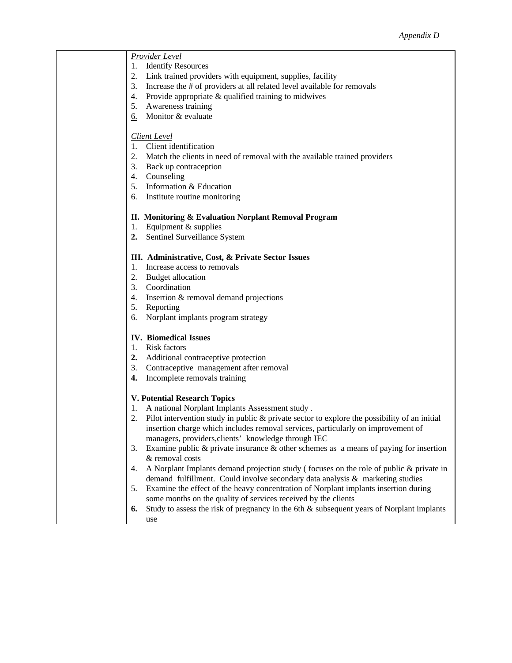| <b>Provider Level</b>                                                                              |
|----------------------------------------------------------------------------------------------------|
| <b>Identify Resources</b><br>1.                                                                    |
| 2.<br>Link trained providers with equipment, supplies, facility                                    |
| 3.<br>Increase the # of providers at all related level available for removals                      |
| Provide appropriate & qualified training to midwives<br>4.                                         |
| Awareness training<br>5.                                                                           |
| $6.$ Monitor & evaluate                                                                            |
|                                                                                                    |
| <b>Client Level</b>                                                                                |
| Client identification<br>1.                                                                        |
| 2.<br>Match the clients in need of removal with the available trained providers                    |
| 3. Back up contraception                                                                           |
| 4. Counseling                                                                                      |
| 5. Information & Education                                                                         |
| 6.<br>Institute routine monitoring                                                                 |
|                                                                                                    |
| II. Monitoring & Evaluation Norplant Removal Program                                               |
| Equipment & supplies<br>1.                                                                         |
| 2.<br>Sentinel Surveillance System                                                                 |
|                                                                                                    |
| III. Administrative, Cost, & Private Sector Issues                                                 |
| Increase access to removals<br>1.                                                                  |
|                                                                                                    |
| 2. Budget allocation<br>3. Coordination                                                            |
|                                                                                                    |
| 4. Insertion & removal demand projections                                                          |
| 5.<br>Reporting                                                                                    |
| Norplant implants program strategy<br>6.                                                           |
|                                                                                                    |
| <b>IV.</b> Biomedical Issues                                                                       |
| Risk factors<br>1.                                                                                 |
| 2. Additional contraceptive protection                                                             |
| 3. Contraceptive management after removal                                                          |
| Incomplete removals training<br>4.                                                                 |
|                                                                                                    |
| <b>V. Potential Research Topics</b>                                                                |
| A national Norplant Implants Assessment study.<br>1.                                               |
| Pilot intervention study in public & private sector to explore the possibility of an initial<br>2. |
| insertion charge which includes removal services, particularly on improvement of                   |
| managers, providers, clients' knowledge through IEC                                                |
| Examine public & private insurance & other schemes as a means of paying for insertion<br>3.        |
| & removal costs                                                                                    |
| A Norplant Implants demand projection study (focuses on the role of public & private in<br>4.      |
| demand fulfillment. Could involve secondary data analysis & marketing studies                      |
| Examine the effect of the heavy concentration of Norplant implants insertion during<br>5.          |
| some months on the quality of services received by the clients                                     |
| Study to assess the risk of pregnancy in the 6th & subsequent years of Norplant implants<br>6.     |
|                                                                                                    |

use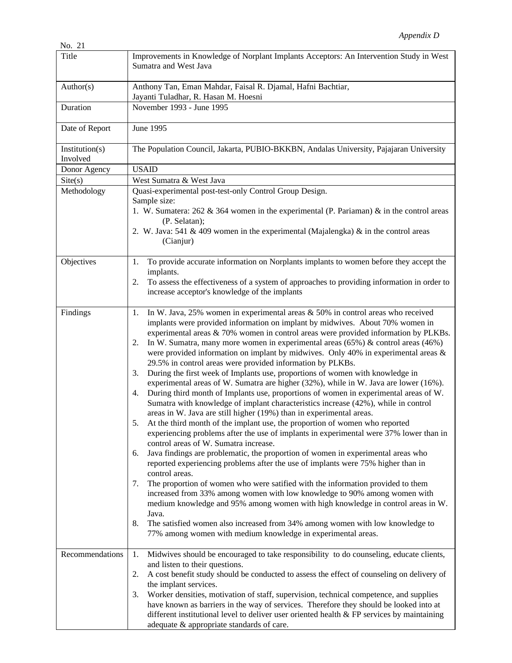| Title                      | Improvements in Knowledge of Norplant Implants Acceptors: An Intervention Study in West<br>Sumatra and West Java                                                                                                                                                                                                                                                                                                                                                                                                                                                                                                                                                                                                                                                                                                                                                                                                                                                                                                                                                                                                                                                                                                                                                                                                                                                                                                                                                                                                                                                                                                                                                                                                                                                                                          |
|----------------------------|-----------------------------------------------------------------------------------------------------------------------------------------------------------------------------------------------------------------------------------------------------------------------------------------------------------------------------------------------------------------------------------------------------------------------------------------------------------------------------------------------------------------------------------------------------------------------------------------------------------------------------------------------------------------------------------------------------------------------------------------------------------------------------------------------------------------------------------------------------------------------------------------------------------------------------------------------------------------------------------------------------------------------------------------------------------------------------------------------------------------------------------------------------------------------------------------------------------------------------------------------------------------------------------------------------------------------------------------------------------------------------------------------------------------------------------------------------------------------------------------------------------------------------------------------------------------------------------------------------------------------------------------------------------------------------------------------------------------------------------------------------------------------------------------------------------|
| Author(s)                  | Anthony Tan, Eman Mahdar, Faisal R. Djamal, Hafni Bachtiar,<br>Jayanti Tuladhar, R. Hasan M. Hoesni                                                                                                                                                                                                                                                                                                                                                                                                                                                                                                                                                                                                                                                                                                                                                                                                                                                                                                                                                                                                                                                                                                                                                                                                                                                                                                                                                                                                                                                                                                                                                                                                                                                                                                       |
| Duration                   | November 1993 - June 1995                                                                                                                                                                                                                                                                                                                                                                                                                                                                                                                                                                                                                                                                                                                                                                                                                                                                                                                                                                                                                                                                                                                                                                                                                                                                                                                                                                                                                                                                                                                                                                                                                                                                                                                                                                                 |
| Date of Report             | June 1995                                                                                                                                                                                                                                                                                                                                                                                                                                                                                                                                                                                                                                                                                                                                                                                                                                                                                                                                                                                                                                                                                                                                                                                                                                                                                                                                                                                                                                                                                                                                                                                                                                                                                                                                                                                                 |
| Institution(s)<br>Involved | The Population Council, Jakarta, PUBIO-BKKBN, Andalas University, Pajajaran University                                                                                                                                                                                                                                                                                                                                                                                                                                                                                                                                                                                                                                                                                                                                                                                                                                                                                                                                                                                                                                                                                                                                                                                                                                                                                                                                                                                                                                                                                                                                                                                                                                                                                                                    |
| Donor Agency               | <b>USAID</b>                                                                                                                                                                                                                                                                                                                                                                                                                                                                                                                                                                                                                                                                                                                                                                                                                                                                                                                                                                                                                                                                                                                                                                                                                                                                                                                                                                                                                                                                                                                                                                                                                                                                                                                                                                                              |
| $\text{Site}(s)$           | West Sumatra & West Java                                                                                                                                                                                                                                                                                                                                                                                                                                                                                                                                                                                                                                                                                                                                                                                                                                                                                                                                                                                                                                                                                                                                                                                                                                                                                                                                                                                                                                                                                                                                                                                                                                                                                                                                                                                  |
| Methodology                | Quasi-experimental post-test-only Control Group Design.<br>Sample size:<br>1. W. Sumatera: $262 \& 364$ women in the experimental (P. Pariaman) $\&$ in the control areas                                                                                                                                                                                                                                                                                                                                                                                                                                                                                                                                                                                                                                                                                                                                                                                                                                                                                                                                                                                                                                                                                                                                                                                                                                                                                                                                                                                                                                                                                                                                                                                                                                 |
|                            | (P. Selatan);<br>2. W. Java: 541 & 409 women in the experimental (Majalengka) & in the control areas<br>(Cianjur)                                                                                                                                                                                                                                                                                                                                                                                                                                                                                                                                                                                                                                                                                                                                                                                                                                                                                                                                                                                                                                                                                                                                                                                                                                                                                                                                                                                                                                                                                                                                                                                                                                                                                         |
| Objectives                 | To provide accurate information on Norplants implants to women before they accept the<br>1.<br>implants.<br>To assess the effectiveness of a system of approaches to providing information in order to<br>2.                                                                                                                                                                                                                                                                                                                                                                                                                                                                                                                                                                                                                                                                                                                                                                                                                                                                                                                                                                                                                                                                                                                                                                                                                                                                                                                                                                                                                                                                                                                                                                                              |
|                            | increase acceptor's knowledge of the implants                                                                                                                                                                                                                                                                                                                                                                                                                                                                                                                                                                                                                                                                                                                                                                                                                                                                                                                                                                                                                                                                                                                                                                                                                                                                                                                                                                                                                                                                                                                                                                                                                                                                                                                                                             |
| Findings                   | In W. Java, 25% women in experimental areas $&50\%$ in control areas who received<br>1.<br>implants were provided information on implant by midwives. About 70% women in<br>experimental areas & 70% women in control areas were provided information by PLKBs.<br>In W. Sumatra, many more women in experimental areas $(65%)$ & control areas $(46%)$<br>2.<br>were provided information on implant by midwives. Only 40% in experimental areas $\&$<br>29.5% in control areas were provided information by PLKBs.<br>During the first week of Implants use, proportions of women with knowledge in<br>3.<br>experimental areas of W. Sumatra are higher (32%), while in W. Java are lower (16%).<br>During third month of Implants use, proportions of women in experimental areas of W.<br>4.<br>Sumatra with knowledge of implant characteristics increase (42%), while in control<br>areas in W. Java are still higher (19%) than in experimental areas.<br>At the third month of the implant use, the proportion of women who reported<br>experiencing problems after the use of implants in experimental were 37% lower than in<br>control areas of W. Sumatra increase.<br>Java findings are problematic, the proportion of women in experimental areas who<br>6.<br>reported experiencing problems after the use of implants were 75% higher than in<br>control areas.<br>The proportion of women who were satified with the information provided to them<br>7.<br>increased from 33% among women with low knowledge to 90% among women with<br>medium knowledge and 95% among women with high knowledge in control areas in W.<br>Java.<br>The satisfied women also increased from 34% among women with low knowledge to<br>8.<br>77% among women with medium knowledge in experimental areas. |
| Recommendations            | Midwives should be encouraged to take responsibility to do counseling, educate clients,<br>1.<br>and listen to their questions.<br>A cost benefit study should be conducted to assess the effect of counseling on delivery of<br>2.                                                                                                                                                                                                                                                                                                                                                                                                                                                                                                                                                                                                                                                                                                                                                                                                                                                                                                                                                                                                                                                                                                                                                                                                                                                                                                                                                                                                                                                                                                                                                                       |
|                            | the implant services.<br>Worker densities, motivation of staff, supervision, technical competence, and supplies<br>3.<br>have known as barriers in the way of services. Therefore they should be looked into at<br>different institutional level to deliver user oriented health & FP services by maintaining<br>adequate & appropriate standards of care.                                                                                                                                                                                                                                                                                                                                                                                                                                                                                                                                                                                                                                                                                                                                                                                                                                                                                                                                                                                                                                                                                                                                                                                                                                                                                                                                                                                                                                                |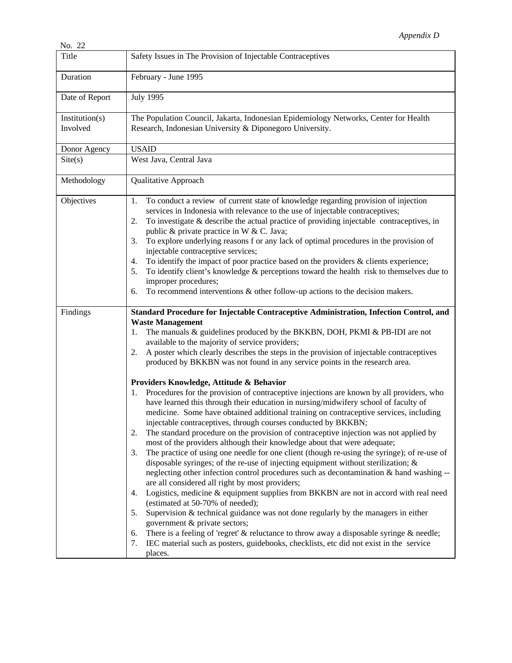| Title                      | Safety Issues in The Provision of Injectable Contraceptives                                                                                                                                                                                                                                                                                                                                                                                                                                                                                                                                                                                                                                                                                                                                                                                                                                                                                                                                                                                                                                                                                                                                                                                                                                                                                                |
|----------------------------|------------------------------------------------------------------------------------------------------------------------------------------------------------------------------------------------------------------------------------------------------------------------------------------------------------------------------------------------------------------------------------------------------------------------------------------------------------------------------------------------------------------------------------------------------------------------------------------------------------------------------------------------------------------------------------------------------------------------------------------------------------------------------------------------------------------------------------------------------------------------------------------------------------------------------------------------------------------------------------------------------------------------------------------------------------------------------------------------------------------------------------------------------------------------------------------------------------------------------------------------------------------------------------------------------------------------------------------------------------|
| Duration                   | February - June 1995                                                                                                                                                                                                                                                                                                                                                                                                                                                                                                                                                                                                                                                                                                                                                                                                                                                                                                                                                                                                                                                                                                                                                                                                                                                                                                                                       |
| Date of Report             | <b>July 1995</b>                                                                                                                                                                                                                                                                                                                                                                                                                                                                                                                                                                                                                                                                                                                                                                                                                                                                                                                                                                                                                                                                                                                                                                                                                                                                                                                                           |
| Institution(s)<br>Involved | The Population Council, Jakarta, Indonesian Epidemiology Networks, Center for Health<br>Research, Indonesian University & Diponegoro University.                                                                                                                                                                                                                                                                                                                                                                                                                                                                                                                                                                                                                                                                                                                                                                                                                                                                                                                                                                                                                                                                                                                                                                                                           |
| Donor Agency               | <b>USAID</b>                                                                                                                                                                                                                                                                                                                                                                                                                                                                                                                                                                                                                                                                                                                                                                                                                                                                                                                                                                                                                                                                                                                                                                                                                                                                                                                                               |
| Site(s)                    | West Java, Central Java                                                                                                                                                                                                                                                                                                                                                                                                                                                                                                                                                                                                                                                                                                                                                                                                                                                                                                                                                                                                                                                                                                                                                                                                                                                                                                                                    |
| Methodology                | Qualitative Approach                                                                                                                                                                                                                                                                                                                                                                                                                                                                                                                                                                                                                                                                                                                                                                                                                                                                                                                                                                                                                                                                                                                                                                                                                                                                                                                                       |
| Objectives                 | To conduct a review of current state of knowledge regarding provision of injection<br>1.<br>services in Indonesia with relevance to the use of injectable contraceptives;<br>To investigate & describe the actual practice of providing injectable contraceptives, in<br>2.<br>public & private practice in W & C. Java;<br>To explore underlying reasons f or any lack of optimal procedures in the provision of<br>3.<br>injectable contraceptive services;<br>To identify the impact of poor practice based on the providers $\&$ clients experience;<br>4.<br>To identify client's knowledge $\&$ perceptions toward the health risk to themselves due to<br>5.<br>improper procedures;<br>To recommend interventions $\&$ other follow-up actions to the decision makers.<br>6.                                                                                                                                                                                                                                                                                                                                                                                                                                                                                                                                                                       |
| Findings                   | Standard Procedure for Injectable Contraceptive Administration, Infection Control, and<br><b>Waste Management</b><br>The manuals & guidelines produced by the BKKBN, DOH, PKMI & PB-IDI are not<br>1.<br>available to the majority of service providers;<br>A poster which clearly describes the steps in the provision of injectable contraceptives<br>2.<br>produced by BKKBN was not found in any service points in the research area.<br>Providers Knowledge, Attitude & Behavior                                                                                                                                                                                                                                                                                                                                                                                                                                                                                                                                                                                                                                                                                                                                                                                                                                                                      |
|                            | Procedures for the provision of contraceptive injections are known by all providers, who<br>1.<br>have learned this through their education in nursing/midwifery school of faculty of<br>medicine. Some have obtained additional training on contraceptive services, including<br>injectable contraceptives, through courses conducted by BKKBN;<br>The standard procedure on the provision of contraceptive injection was not applied by<br>2.<br>most of the providers although their knowledge about that were adequate;<br>The practice of using one needle for one client (though re-using the syringe); of re-use of<br>3.<br>disposable syringes; of the re-use of injecting equipment without sterilization; $\&$<br>neglecting other infection control procedures such as decontamination & hand washing --<br>are all considered all right by most providers;<br>Logistics, medicine & equipment supplies from BKKBN are not in accord with real need<br>4.<br>(estimated at 50-70% of needed);<br>Supervision $&$ technical guidance was not done regularly by the managers in either<br>5.<br>government & private sectors;<br>There is a feeling of 'regret' $\&$ reluctance to throw away a disposable syringe $\&$ needle;<br>6.<br>IEC material such as posters, guidebooks, checklists, etc did not exist in the service<br>7.<br>places. |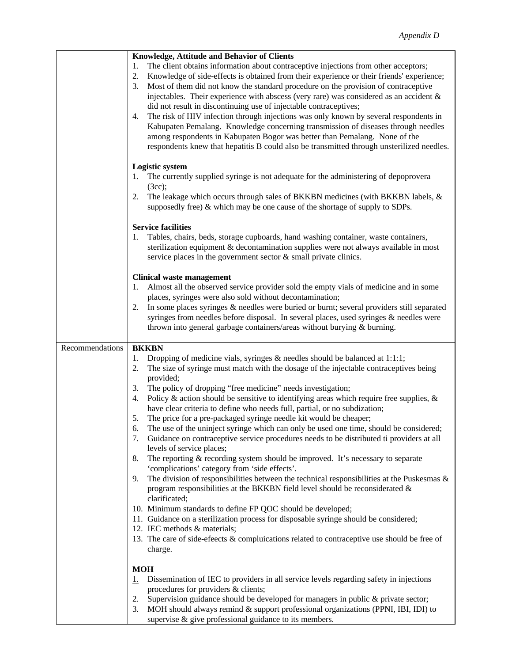|                 | Knowledge, Attitude and Behavior of Clients                                                                                                                                                                                                                                                                                                                                                                                                                                                                                                                                                                                                                                                                                                                                                                               |
|-----------------|---------------------------------------------------------------------------------------------------------------------------------------------------------------------------------------------------------------------------------------------------------------------------------------------------------------------------------------------------------------------------------------------------------------------------------------------------------------------------------------------------------------------------------------------------------------------------------------------------------------------------------------------------------------------------------------------------------------------------------------------------------------------------------------------------------------------------|
|                 | The client obtains information about contraceptive injections from other acceptors;<br>1.<br>Knowledge of side-effects is obtained from their experience or their friends' experience;<br>2.<br>Most of them did not know the standard procedure on the provision of contraceptive<br>3.<br>injectables. Their experience with abscess (very rare) was considered as an accident $\&$<br>did not result in discontinuing use of injectable contraceptives;<br>The risk of HIV infection through injections was only known by several respondents in<br>4.<br>Kabupaten Pemalang. Knowledge concerning transmission of diseases through needles<br>among respondents in Kabupaten Bogor was better than Pemalang. None of the<br>respondents knew that hepatitis B could also be transmitted through unsterilized needles. |
|                 | <b>Logistic system</b><br>The currently supplied syringe is not adequate for the administering of depoprovera<br>(3cc);<br>The leakage which occurs through sales of BKKBN medicines (with BKKBN labels, &<br>2.                                                                                                                                                                                                                                                                                                                                                                                                                                                                                                                                                                                                          |
|                 | supposedly free) & which may be one cause of the shortage of supply to SDPs.<br><b>Service facilities</b>                                                                                                                                                                                                                                                                                                                                                                                                                                                                                                                                                                                                                                                                                                                 |
|                 | Tables, chairs, beds, storage cupboards, hand washing container, waste containers,<br>sterilization equipment & decontamination supplies were not always available in most<br>service places in the government sector $\&$ small private clinics.                                                                                                                                                                                                                                                                                                                                                                                                                                                                                                                                                                         |
|                 | <b>Clinical waste management</b><br>Almost all the observed service provider sold the empty vials of medicine and in some<br>places, syringes were also sold without decontamination;                                                                                                                                                                                                                                                                                                                                                                                                                                                                                                                                                                                                                                     |
|                 | In some places syringes & needles were buried or burnt; several providers still separated<br>2.<br>syringes from needles before disposal. In several places, used syringes & needles were<br>thrown into general garbage containers/areas without burying & burning.                                                                                                                                                                                                                                                                                                                                                                                                                                                                                                                                                      |
| Recommendations | <b>BKKBN</b>                                                                                                                                                                                                                                                                                                                                                                                                                                                                                                                                                                                                                                                                                                                                                                                                              |
|                 | Dropping of medicine vials, syringes $\&$ needles should be balanced at 1:1:1;<br>1.<br>The size of syringe must match with the dosage of the injectable contraceptives being<br>2.<br>provided;                                                                                                                                                                                                                                                                                                                                                                                                                                                                                                                                                                                                                          |
|                 | The policy of dropping "free medicine" needs investigation;<br>3.<br>Policy & action should be sensitive to identifying areas which require free supplies, $\&$<br>4.<br>have clear criteria to define who needs full, partial, or no subdization;                                                                                                                                                                                                                                                                                                                                                                                                                                                                                                                                                                        |
|                 | The price for a pre-packaged syringe needle kit would be cheaper;<br>5.                                                                                                                                                                                                                                                                                                                                                                                                                                                                                                                                                                                                                                                                                                                                                   |
|                 | The use of the uninject syringe which can only be used one time, should be considered;<br>6.<br>Guidance on contraceptive service procedures needs to be distributed ti providers at all<br>7.                                                                                                                                                                                                                                                                                                                                                                                                                                                                                                                                                                                                                            |
|                 | levels of service places;<br>The reporting & recording system should be improved. It's necessary to separate<br>8.<br>'complications' category from 'side effects'.                                                                                                                                                                                                                                                                                                                                                                                                                                                                                                                                                                                                                                                       |
|                 | The division of responsibilities between the technical responsibilities at the Puskesmas $\&$<br>9.<br>program responsibilities at the BKKBN field level should be reconsiderated &<br>clarificated;                                                                                                                                                                                                                                                                                                                                                                                                                                                                                                                                                                                                                      |
|                 | 10. Minimum standards to define FP QOC should be developed;<br>11. Guidance on a sterilization process for disposable syringe should be considered;                                                                                                                                                                                                                                                                                                                                                                                                                                                                                                                                                                                                                                                                       |
|                 | 12. IEC methods & materials;<br>13. The care of side-efeects & compluications related to contraceptive use should be free of<br>charge.                                                                                                                                                                                                                                                                                                                                                                                                                                                                                                                                                                                                                                                                                   |
|                 | <b>MOH</b>                                                                                                                                                                                                                                                                                                                                                                                                                                                                                                                                                                                                                                                                                                                                                                                                                |
|                 | Dissemination of IEC to providers in all service levels regarding safety in injections<br><u>ı.</u>                                                                                                                                                                                                                                                                                                                                                                                                                                                                                                                                                                                                                                                                                                                       |
|                 | procedures for providers & clients;                                                                                                                                                                                                                                                                                                                                                                                                                                                                                                                                                                                                                                                                                                                                                                                       |
|                 | Supervision guidance should be developed for managers in public & private sector;<br>2.                                                                                                                                                                                                                                                                                                                                                                                                                                                                                                                                                                                                                                                                                                                                   |
|                 | MOH should always remind & support professional organizations (PPNI, IBI, IDI) to<br>3.<br>supervise & give professional guidance to its members.                                                                                                                                                                                                                                                                                                                                                                                                                                                                                                                                                                                                                                                                         |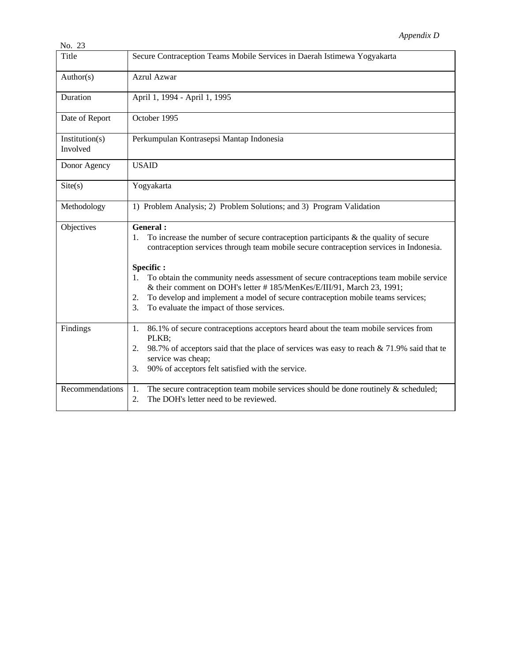| INO. 25                    |                                                                                                                                                                                                                                                                                                                                                                                                                                                                                                                                          |
|----------------------------|------------------------------------------------------------------------------------------------------------------------------------------------------------------------------------------------------------------------------------------------------------------------------------------------------------------------------------------------------------------------------------------------------------------------------------------------------------------------------------------------------------------------------------------|
| Title                      | Secure Contraception Teams Mobile Services in Daerah Istimewa Yogyakarta                                                                                                                                                                                                                                                                                                                                                                                                                                                                 |
| Author(s)                  | Azrul Azwar                                                                                                                                                                                                                                                                                                                                                                                                                                                                                                                              |
| Duration                   | April 1, 1994 - April 1, 1995                                                                                                                                                                                                                                                                                                                                                                                                                                                                                                            |
| Date of Report             | October 1995                                                                                                                                                                                                                                                                                                                                                                                                                                                                                                                             |
| Institution(s)<br>Involved | Perkumpulan Kontrasepsi Mantap Indonesia                                                                                                                                                                                                                                                                                                                                                                                                                                                                                                 |
| Donor Agency               | <b>USAID</b>                                                                                                                                                                                                                                                                                                                                                                                                                                                                                                                             |
| Site(s)                    | Yogyakarta                                                                                                                                                                                                                                                                                                                                                                                                                                                                                                                               |
| Methodology                | 1) Problem Analysis; 2) Problem Solutions; and 3) Program Validation                                                                                                                                                                                                                                                                                                                                                                                                                                                                     |
| Objectives                 | General:<br>To increase the number of secure contraception participants $\&$ the quality of secure<br>1.<br>contraception services through team mobile secure contraception services in Indonesia.<br>Specific:<br>To obtain the community needs assessment of secure contraceptions team mobile service<br>$1_{-}$<br>& their comment on DOH's letter #185/MenKes/E/III/91, March 23, 1991;<br>To develop and implement a model of secure contraception mobile teams services;<br>2.<br>To evaluate the impact of those services.<br>3. |
| Findings                   | 86.1% of secure contraceptions acceptors heard about the team mobile services from<br>1.<br>PLKB;<br>98.7% of acceptors said that the place of services was easy to reach $&$ 71.9% said that te<br>2.<br>service was cheap;<br>90% of acceptors felt satisfied with the service.<br>3.                                                                                                                                                                                                                                                  |
| Recommendations            | 1.<br>The secure contraception team mobile services should be done routinely $\&$ scheduled;<br>The DOH's letter need to be reviewed.<br>2.                                                                                                                                                                                                                                                                                                                                                                                              |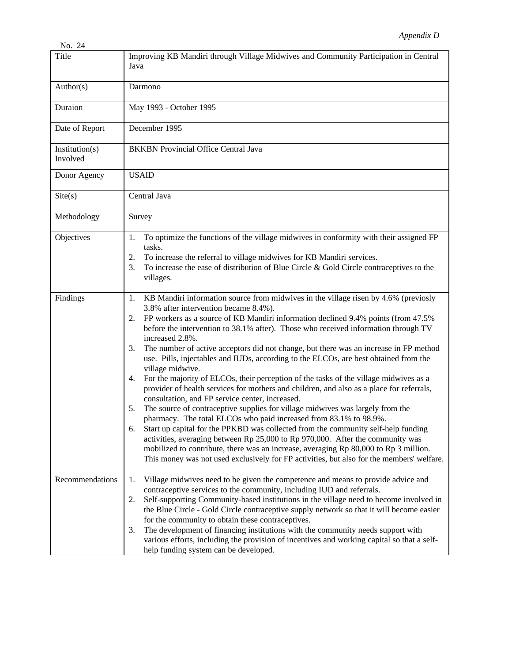| Title                      | Improving KB Mandiri through Village Midwives and Community Participation in Central<br>Java                                                                                                                                                                                                                                                                                                                                                                                                                                                                                                                                                                                                                                                                                                                                                                                                                                                                                                                                                                                                                                                                                                                                                                                                                                   |
|----------------------------|--------------------------------------------------------------------------------------------------------------------------------------------------------------------------------------------------------------------------------------------------------------------------------------------------------------------------------------------------------------------------------------------------------------------------------------------------------------------------------------------------------------------------------------------------------------------------------------------------------------------------------------------------------------------------------------------------------------------------------------------------------------------------------------------------------------------------------------------------------------------------------------------------------------------------------------------------------------------------------------------------------------------------------------------------------------------------------------------------------------------------------------------------------------------------------------------------------------------------------------------------------------------------------------------------------------------------------|
| Author(s)                  | Darmono                                                                                                                                                                                                                                                                                                                                                                                                                                                                                                                                                                                                                                                                                                                                                                                                                                                                                                                                                                                                                                                                                                                                                                                                                                                                                                                        |
| Duraion                    | May 1993 - October 1995                                                                                                                                                                                                                                                                                                                                                                                                                                                                                                                                                                                                                                                                                                                                                                                                                                                                                                                                                                                                                                                                                                                                                                                                                                                                                                        |
| Date of Report             | December 1995                                                                                                                                                                                                                                                                                                                                                                                                                                                                                                                                                                                                                                                                                                                                                                                                                                                                                                                                                                                                                                                                                                                                                                                                                                                                                                                  |
| Institution(s)<br>Involved | <b>BKKBN</b> Provincial Office Central Java                                                                                                                                                                                                                                                                                                                                                                                                                                                                                                                                                                                                                                                                                                                                                                                                                                                                                                                                                                                                                                                                                                                                                                                                                                                                                    |
| Donor Agency               | <b>USAID</b>                                                                                                                                                                                                                                                                                                                                                                                                                                                                                                                                                                                                                                                                                                                                                                                                                                                                                                                                                                                                                                                                                                                                                                                                                                                                                                                   |
| Site(s)                    | Central Java                                                                                                                                                                                                                                                                                                                                                                                                                                                                                                                                                                                                                                                                                                                                                                                                                                                                                                                                                                                                                                                                                                                                                                                                                                                                                                                   |
| Methodology                | Survey                                                                                                                                                                                                                                                                                                                                                                                                                                                                                                                                                                                                                                                                                                                                                                                                                                                                                                                                                                                                                                                                                                                                                                                                                                                                                                                         |
| Objectives                 | To optimize the functions of the village midwives in conformity with their assigned FP<br>1.<br>tasks.<br>To increase the referral to village midwives for KB Mandiri services.<br>2.<br>To increase the ease of distribution of Blue Circle $\&$ Gold Circle contraceptives to the<br>3.<br>villages.                                                                                                                                                                                                                                                                                                                                                                                                                                                                                                                                                                                                                                                                                                                                                                                                                                                                                                                                                                                                                         |
| Findings                   | KB Mandiri information source from midwives in the village risen by 4.6% (previosly<br>1.<br>3.8% after intervention became 8.4%).<br>FP workers as a source of KB Mandiri information declined 9.4% points (from 47.5%<br>2.<br>before the intervention to 38.1% after). Those who received information through TV<br>increased 2.8%.<br>The number of active acceptors did not change, but there was an increase in FP method<br>3.<br>use. Pills, injectables and IUDs, according to the ELCOs, are best obtained from the<br>village midwive.<br>For the majority of ELCOs, their perception of the tasks of the village midwives as a<br>4.<br>provider of health services for mothers and children, and also as a place for referrals,<br>consultation, and FP service center, increased.<br>The source of contraceptive supplies for village midwives was largely from the<br>5.<br>pharmacy. The total ELCOs who paid increased from 83.1% to 98.9%.<br>Start up capital for the PPKBD was collected from the community self-help funding<br>6.<br>activities, averaging between Rp 25,000 to Rp 970,000. After the community was<br>mobilized to contribute, there was an increase, averaging Rp 80,000 to Rp 3 million.<br>This money was not used exclusively for FP activities, but also for the members' welfare. |
| Recommendations            | Village midwives need to be given the competence and means to provide advice and<br>1.<br>contraceptive services to the community, including IUD and referrals.<br>Self-supporting Community-based institutions in the village need to become involved in<br>2.<br>the Blue Circle - Gold Circle contraceptive supply network so that it will become easier<br>for the community to obtain these contraceptives.<br>The development of financing institutions with the community needs support with<br>3.<br>various efforts, including the provision of incentives and working capital so that a self-<br>help funding system can be developed.                                                                                                                                                                                                                                                                                                                                                                                                                                                                                                                                                                                                                                                                               |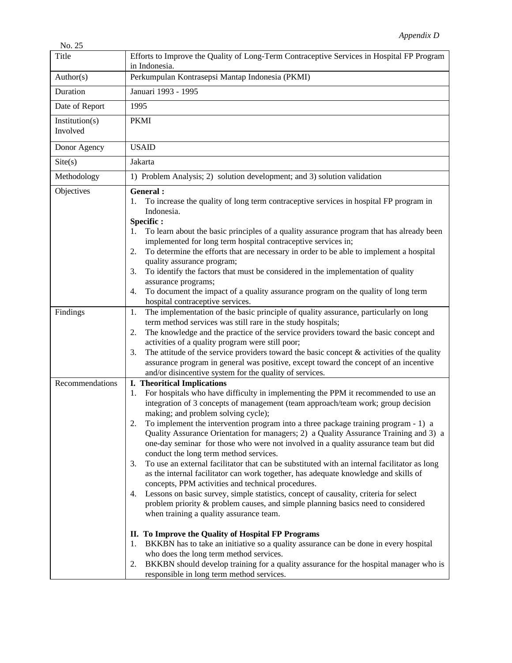| Title                      | Efforts to Improve the Quality of Long-Term Contraceptive Services in Hospital FP Program<br>in Indonesia.                                                                                                                                                                                                                                                                                                                                                                                                                                                                                                                                                                                                                                                                                                                                                                                                                                                                                                                                               |
|----------------------------|----------------------------------------------------------------------------------------------------------------------------------------------------------------------------------------------------------------------------------------------------------------------------------------------------------------------------------------------------------------------------------------------------------------------------------------------------------------------------------------------------------------------------------------------------------------------------------------------------------------------------------------------------------------------------------------------------------------------------------------------------------------------------------------------------------------------------------------------------------------------------------------------------------------------------------------------------------------------------------------------------------------------------------------------------------|
| Author(s)                  | Perkumpulan Kontrasepsi Mantap Indonesia (PKMI)                                                                                                                                                                                                                                                                                                                                                                                                                                                                                                                                                                                                                                                                                                                                                                                                                                                                                                                                                                                                          |
| Duration                   | Januari 1993 - 1995                                                                                                                                                                                                                                                                                                                                                                                                                                                                                                                                                                                                                                                                                                                                                                                                                                                                                                                                                                                                                                      |
| Date of Report             | 1995                                                                                                                                                                                                                                                                                                                                                                                                                                                                                                                                                                                                                                                                                                                                                                                                                                                                                                                                                                                                                                                     |
| Institution(s)<br>Involved | <b>PKMI</b>                                                                                                                                                                                                                                                                                                                                                                                                                                                                                                                                                                                                                                                                                                                                                                                                                                                                                                                                                                                                                                              |
| Donor Agency               | <b>USAID</b>                                                                                                                                                                                                                                                                                                                                                                                                                                                                                                                                                                                                                                                                                                                                                                                                                                                                                                                                                                                                                                             |
| $\text{Site}(s)$           | Jakarta                                                                                                                                                                                                                                                                                                                                                                                                                                                                                                                                                                                                                                                                                                                                                                                                                                                                                                                                                                                                                                                  |
| Methodology                | 1) Problem Analysis; 2) solution development; and 3) solution validation                                                                                                                                                                                                                                                                                                                                                                                                                                                                                                                                                                                                                                                                                                                                                                                                                                                                                                                                                                                 |
| Objectives                 | General :<br>To increase the quality of long term contraceptive services in hospital FP program in<br>1.<br>Indonesia.<br>Specific:<br>To learn about the basic principles of a quality assurance program that has already been<br>1.<br>implemented for long term hospital contraceptive services in;<br>To determine the efforts that are necessary in order to be able to implement a hospital<br>2.<br>quality assurance program;<br>To identify the factors that must be considered in the implementation of quality<br>3.<br>assurance programs;<br>To document the impact of a quality assurance program on the quality of long term<br>4.<br>hospital contraceptive services.                                                                                                                                                                                                                                                                                                                                                                    |
| Findings                   | The implementation of the basic principle of quality assurance, particularly on long<br>1.<br>term method services was still rare in the study hospitals;<br>The knowledge and the practice of the service providers toward the basic concept and<br>2.<br>activities of a quality program were still poor;<br>The attitude of the service providers toward the basic concept $\&$ activities of the quality<br>3.<br>assurance program in general was positive, except toward the concept of an incentive<br>and/or disincentive system for the quality of services.                                                                                                                                                                                                                                                                                                                                                                                                                                                                                    |
| Recommendations            | <b>I.</b> Theoritical Implications<br>For hospitals who have difficulty in implementing the PPM it recommended to use an<br>1.<br>integration of 3 concepts of management (team approach/team work; group decision<br>making; and problem solving cycle);<br>To implement the intervention program into a three package training program - 1) a<br>Quality Assurance Orientation for managers; 2) a Quality Assurance Training and 3) a<br>one-day seminar for those who were not involved in a quality assurance team but did<br>conduct the long term method services.<br>To use an external facilitator that can be substituted with an internal facilitator as long<br>3.<br>as the internal facilitator can work together, has adequate knowledge and skills of<br>concepts, PPM activities and technical procedures.<br>Lessons on basic survey, simple statistics, concept of causality, criteria for select<br>4.<br>problem priority & problem causes, and simple planning basics need to considered<br>when training a quality assurance team. |
|                            | II. To Improve the Quality of Hospital FP Programs<br>BKKBN has to take an initiative so a quality assurance can be done in every hospital<br>1.<br>who does the long term method services.<br>BKKBN should develop training for a quality assurance for the hospital manager who is<br>2.<br>responsible in long term method services.                                                                                                                                                                                                                                                                                                                                                                                                                                                                                                                                                                                                                                                                                                                  |